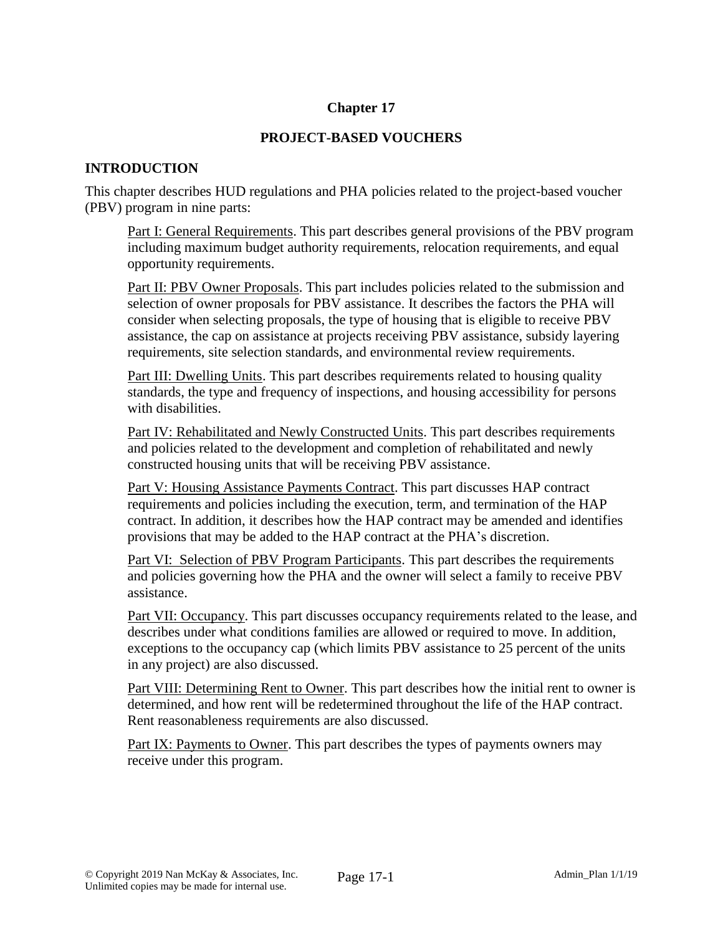### **Chapter 17**

### **PROJECT-BASED VOUCHERS**

### **INTRODUCTION**

This chapter describes HUD regulations and PHA policies related to the project-based voucher (PBV) program in nine parts:

Part I: General Requirements. This part describes general provisions of the PBV program including maximum budget authority requirements, relocation requirements, and equal opportunity requirements.

Part II: PBV Owner Proposals. This part includes policies related to the submission and selection of owner proposals for PBV assistance. It describes the factors the PHA will consider when selecting proposals, the type of housing that is eligible to receive PBV assistance, the cap on assistance at projects receiving PBV assistance, subsidy layering requirements, site selection standards, and environmental review requirements.

Part III: Dwelling Units. This part describes requirements related to housing quality standards, the type and frequency of inspections, and housing accessibility for persons with disabilities.

Part IV: Rehabilitated and Newly Constructed Units. This part describes requirements and policies related to the development and completion of rehabilitated and newly constructed housing units that will be receiving PBV assistance.

Part V: Housing Assistance Payments Contract. This part discusses HAP contract requirements and policies including the execution, term, and termination of the HAP contract. In addition, it describes how the HAP contract may be amended and identifies provisions that may be added to the HAP contract at the PHA's discretion.

Part VI: Selection of PBV Program Participants. This part describes the requirements and policies governing how the PHA and the owner will select a family to receive PBV assistance.

Part VII: Occupancy. This part discusses occupancy requirements related to the lease, and describes under what conditions families are allowed or required to move. In addition, exceptions to the occupancy cap (which limits PBV assistance to 25 percent of the units in any project) are also discussed.

Part VIII: Determining Rent to Owner. This part describes how the initial rent to owner is determined, and how rent will be redetermined throughout the life of the HAP contract. Rent reasonableness requirements are also discussed.

Part IX: Payments to Owner. This part describes the types of payments owners may receive under this program.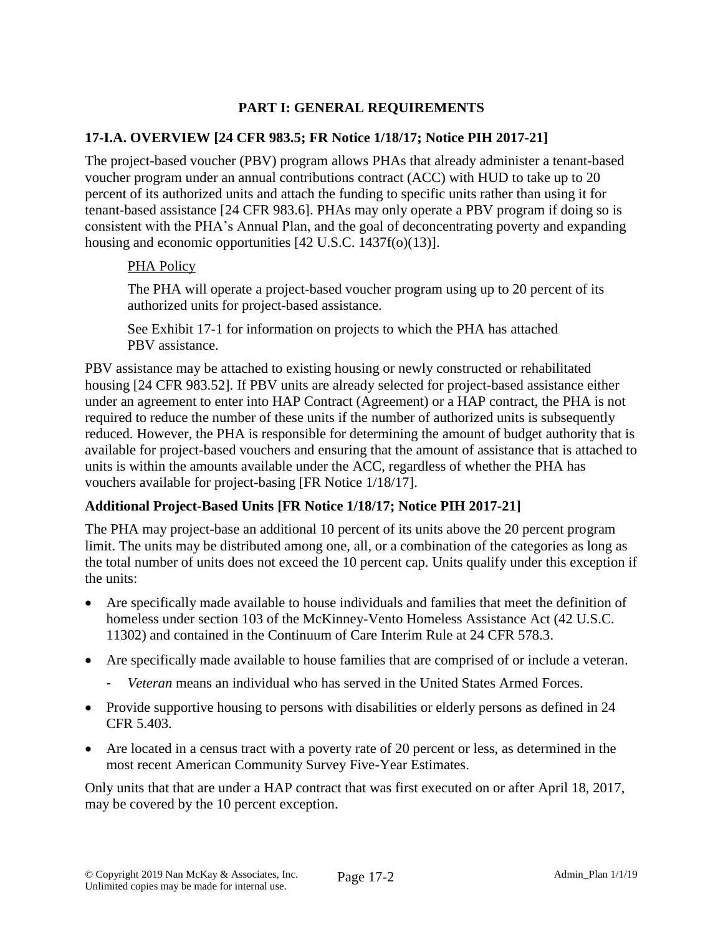# **PART I: GENERAL REQUIREMENTS**

### **17-I.A. OVERVIEW [24 CFR 983.5; FR Notice 1/18/17; Notice PIH 2017-21]**

The project-based voucher (PBV) program allows PHAs that already administer a tenant-based voucher program under an annual contributions contract (ACC) with HUD to take up to 20 percent of its authorized units and attach the funding to specific units rather than using it for tenant-based assistance [24 CFR 983.6]. PHAs may only operate a PBV program if doing so is consistent with the PHA's Annual Plan, and the goal of deconcentrating poverty and expanding housing and economic opportunities [42 U.S.C. 1437f(o)(13)].

#### PHA Policy

The PHA will operate a project-based voucher program using up to 20 percent of its authorized units for project-based assistance.

See Exhibit 17-1 for information on projects to which the PHA has attached PBV assistance.

PBV assistance may be attached to existing housing or newly constructed or rehabilitated housing [24 CFR 983.52]. If PBV units are already selected for project-based assistance either under an agreement to enter into HAP Contract (Agreement) or a HAP contract, the PHA is not required to reduce the number of these units if the number of authorized units is subsequently reduced. However, the PHA is responsible for determining the amount of budget authority that is available for project-based vouchers and ensuring that the amount of assistance that is attached to units is within the amounts available under the ACC, regardless of whether the PHA has vouchers available for project-basing [FR Notice 1/18/17].

### **Additional Project-Based Units [FR Notice 1/18/17; Notice PIH 2017-21]**

The PHA may project-base an additional 10 percent of its units above the 20 percent program limit. The units may be distributed among one, all, or a combination of the categories as long as the total number of units does not exceed the 10 percent cap. Units qualify under this exception if the units:

- Are specifically made available to house individuals and families that meet the definition of homeless under section 103 of the McKinney-Vento Homeless Assistance Act (42 U.S.C. 11302) and contained in the Continuum of Care Interim Rule at 24 CFR 578.3.
- Are specifically made available to house families that are comprised of or include a veteran.
	- *Veteran* means an individual who has served in the United States Armed Forces.
- Provide supportive housing to persons with disabilities or elderly persons as defined in 24 CFR 5.403.
- Are located in a census tract with a poverty rate of 20 percent or less, as determined in the most recent American Community Survey Five-Year Estimates.

Only units that that are under a HAP contract that was first executed on or after April 18, 2017, may be covered by the 10 percent exception.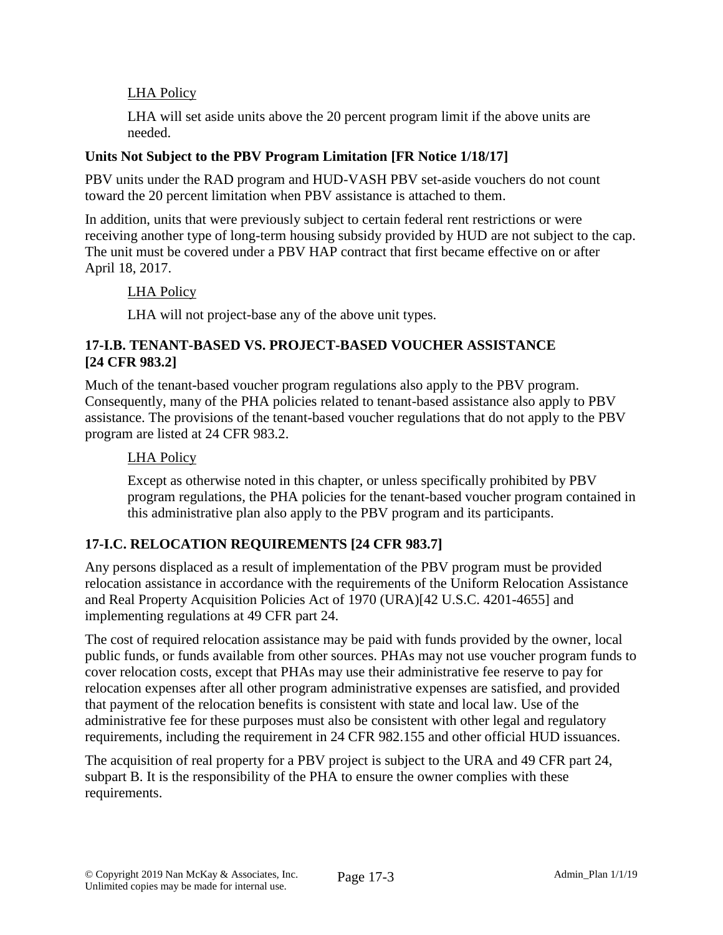# LHA Policy

LHA will set aside units above the 20 percent program limit if the above units are needed.

# **Units Not Subject to the PBV Program Limitation [FR Notice 1/18/17]**

PBV units under the RAD program and HUD-VASH PBV set-aside vouchers do not count toward the 20 percent limitation when PBV assistance is attached to them.

In addition, units that were previously subject to certain federal rent restrictions or were receiving another type of long-term housing subsidy provided by HUD are not subject to the cap. The unit must be covered under a PBV HAP contract that first became effective on or after April 18, 2017.

### LHA Policy

LHA will not project-base any of the above unit types.

### **17-I.B. TENANT-BASED VS. PROJECT-BASED VOUCHER ASSISTANCE [24 CFR 983.2]**

Much of the tenant-based voucher program regulations also apply to the PBV program. Consequently, many of the PHA policies related to tenant-based assistance also apply to PBV assistance. The provisions of the tenant-based voucher regulations that do not apply to the PBV program are listed at 24 CFR 983.2.

# LHA Policy

Except as otherwise noted in this chapter, or unless specifically prohibited by PBV program regulations, the PHA policies for the tenant-based voucher program contained in this administrative plan also apply to the PBV program and its participants.

# **17-I.C. RELOCATION REQUIREMENTS [24 CFR 983.7]**

Any persons displaced as a result of implementation of the PBV program must be provided relocation assistance in accordance with the requirements of the Uniform Relocation Assistance and Real Property Acquisition Policies Act of 1970 (URA)[42 U.S.C. 4201-4655] and implementing regulations at 49 CFR part 24.

The cost of required relocation assistance may be paid with funds provided by the owner, local public funds, or funds available from other sources. PHAs may not use voucher program funds to cover relocation costs, except that PHAs may use their administrative fee reserve to pay for relocation expenses after all other program administrative expenses are satisfied, and provided that payment of the relocation benefits is consistent with state and local law. Use of the administrative fee for these purposes must also be consistent with other legal and regulatory requirements, including the requirement in 24 CFR 982.155 and other official HUD issuances.

The acquisition of real property for a PBV project is subject to the URA and 49 CFR part 24, subpart B. It is the responsibility of the PHA to ensure the owner complies with these requirements.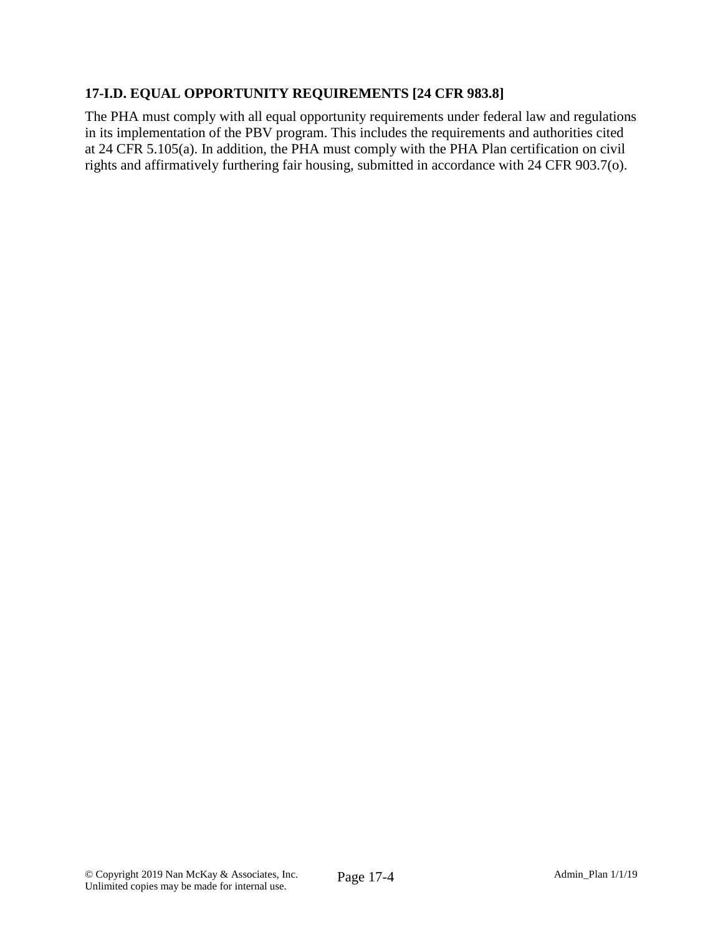# **17-I.D. EQUAL OPPORTUNITY REQUIREMENTS [24 CFR 983.8]**

The PHA must comply with all equal opportunity requirements under federal law and regulations in its implementation of the PBV program. This includes the requirements and authorities cited at 24 CFR 5.105(a). In addition, the PHA must comply with the PHA Plan certification on civil rights and affirmatively furthering fair housing, submitted in accordance with 24 CFR 903.7(o).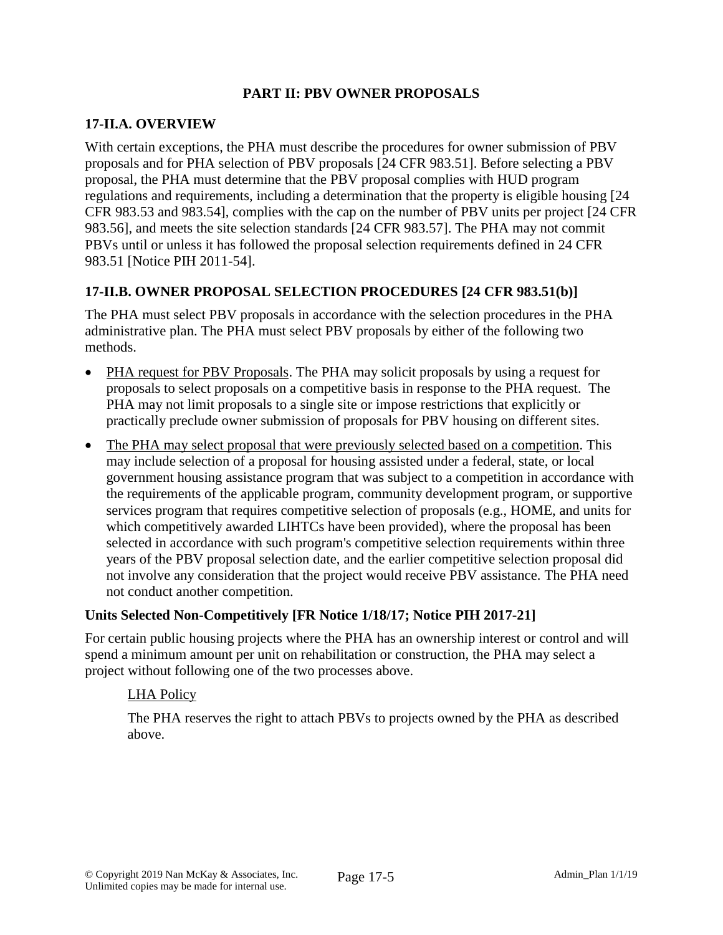#### **PART II: PBV OWNER PROPOSALS**

### **17-II.A. OVERVIEW**

With certain exceptions, the PHA must describe the procedures for owner submission of PBV proposals and for PHA selection of PBV proposals [24 CFR 983.51]. Before selecting a PBV proposal, the PHA must determine that the PBV proposal complies with HUD program regulations and requirements, including a determination that the property is eligible housing [24 CFR 983.53 and 983.54], complies with the cap on the number of PBV units per project [24 CFR 983.56], and meets the site selection standards [24 CFR 983.57]. The PHA may not commit PBVs until or unless it has followed the proposal selection requirements defined in 24 CFR 983.51 [Notice PIH 2011-54].

# **17-II.B. OWNER PROPOSAL SELECTION PROCEDURES [24 CFR 983.51(b)]**

The PHA must select PBV proposals in accordance with the selection procedures in the PHA administrative plan. The PHA must select PBV proposals by either of the following two methods.

- PHA request for PBV Proposals. The PHA may solicit proposals by using a request for proposals to select proposals on a competitive basis in response to the PHA request. The PHA may not limit proposals to a single site or impose restrictions that explicitly or practically preclude owner submission of proposals for PBV housing on different sites.
- The PHA may select proposal that were previously selected based on a competition. This may include selection of a proposal for housing assisted under a federal, state, or local government housing assistance program that was subject to a competition in accordance with the requirements of the applicable program, community development program, or supportive services program that requires competitive selection of proposals (e.g., HOME, and units for which competitively awarded LIHTCs have been provided), where the proposal has been selected in accordance with such program's competitive selection requirements within three years of the PBV proposal selection date, and the earlier competitive selection proposal did not involve any consideration that the project would receive PBV assistance. The PHA need not conduct another competition.

### **Units Selected Non-Competitively [FR Notice 1/18/17; Notice PIH 2017-21]**

For certain public housing projects where the PHA has an ownership interest or control and will spend a minimum amount per unit on rehabilitation or construction, the PHA may select a project without following one of the two processes above.

### LHA Policy

The PHA reserves the right to attach PBVs to projects owned by the PHA as described above.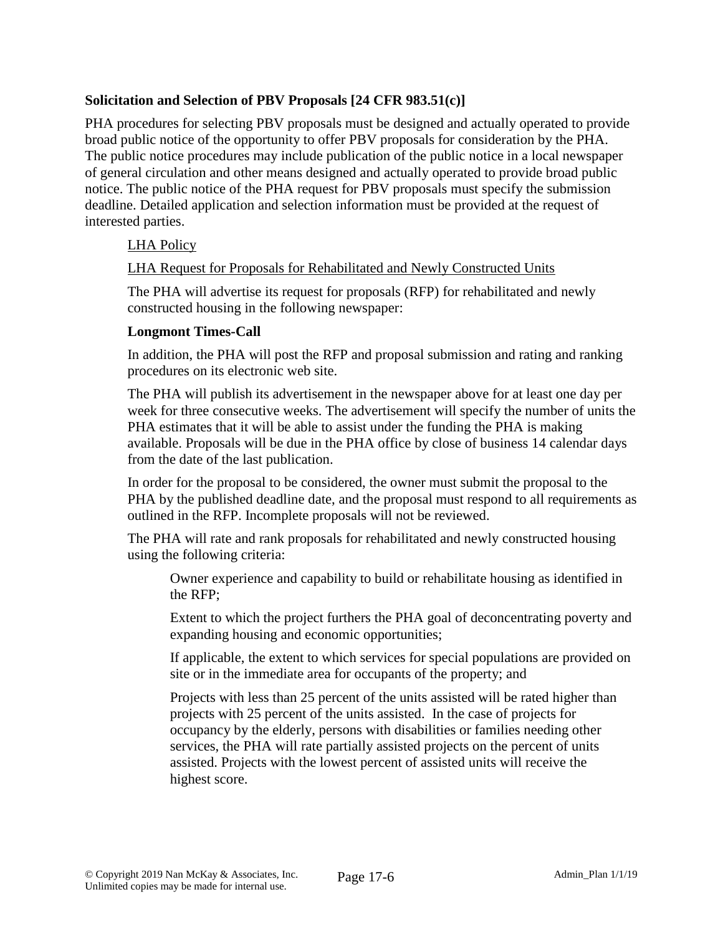### **Solicitation and Selection of PBV Proposals [24 CFR 983.51(c)]**

PHA procedures for selecting PBV proposals must be designed and actually operated to provide broad public notice of the opportunity to offer PBV proposals for consideration by the PHA. The public notice procedures may include publication of the public notice in a local newspaper of general circulation and other means designed and actually operated to provide broad public notice. The public notice of the PHA request for PBV proposals must specify the submission deadline. Detailed application and selection information must be provided at the request of interested parties.

# LHA Policy

### LHA Request for Proposals for Rehabilitated and Newly Constructed Units

The PHA will advertise its request for proposals (RFP) for rehabilitated and newly constructed housing in the following newspaper:

### **Longmont Times-Call**

In addition, the PHA will post the RFP and proposal submission and rating and ranking procedures on its electronic web site.

The PHA will publish its advertisement in the newspaper above for at least one day per week for three consecutive weeks. The advertisement will specify the number of units the PHA estimates that it will be able to assist under the funding the PHA is making available. Proposals will be due in the PHA office by close of business 14 calendar days from the date of the last publication.

In order for the proposal to be considered, the owner must submit the proposal to the PHA by the published deadline date, and the proposal must respond to all requirements as outlined in the RFP. Incomplete proposals will not be reviewed.

The PHA will rate and rank proposals for rehabilitated and newly constructed housing using the following criteria:

Owner experience and capability to build or rehabilitate housing as identified in the RFP;

Extent to which the project furthers the PHA goal of deconcentrating poverty and expanding housing and economic opportunities;

If applicable, the extent to which services for special populations are provided on site or in the immediate area for occupants of the property; and

Projects with less than 25 percent of the units assisted will be rated higher than projects with 25 percent of the units assisted. In the case of projects for occupancy by the elderly, persons with disabilities or families needing other services, the PHA will rate partially assisted projects on the percent of units assisted. Projects with the lowest percent of assisted units will receive the highest score.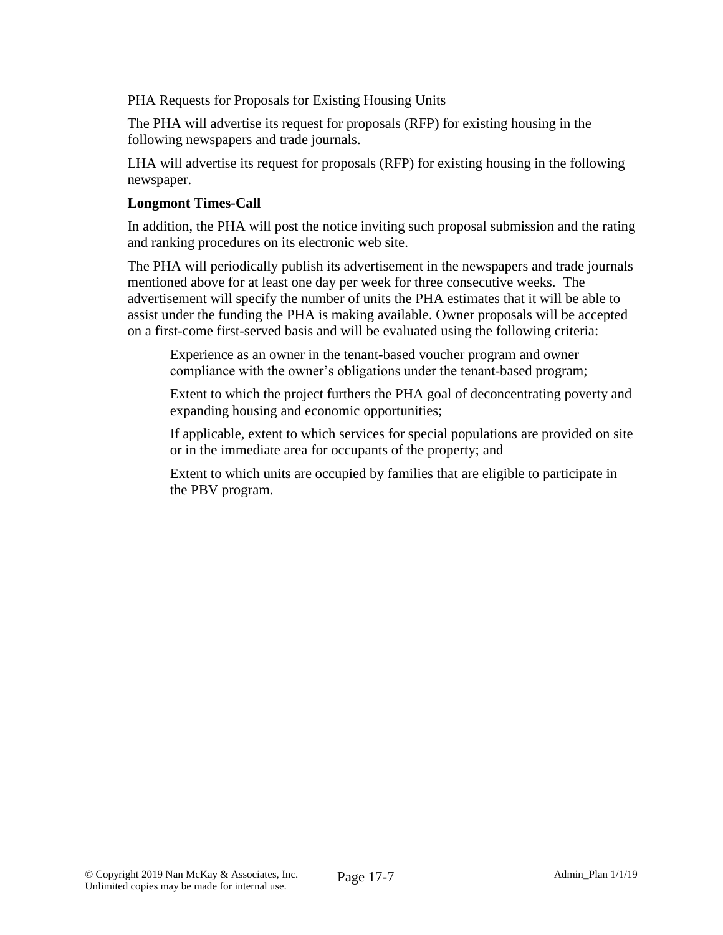### PHA Requests for Proposals for Existing Housing Units

The PHA will advertise its request for proposals (RFP) for existing housing in the following newspapers and trade journals.

LHA will advertise its request for proposals (RFP) for existing housing in the following newspaper.

#### **Longmont Times-Call**

In addition, the PHA will post the notice inviting such proposal submission and the rating and ranking procedures on its electronic web site.

The PHA will periodically publish its advertisement in the newspapers and trade journals mentioned above for at least one day per week for three consecutive weeks. The advertisement will specify the number of units the PHA estimates that it will be able to assist under the funding the PHA is making available. Owner proposals will be accepted on a first-come first-served basis and will be evaluated using the following criteria:

Experience as an owner in the tenant-based voucher program and owner compliance with the owner's obligations under the tenant-based program;

Extent to which the project furthers the PHA goal of deconcentrating poverty and expanding housing and economic opportunities;

If applicable, extent to which services for special populations are provided on site or in the immediate area for occupants of the property; and

Extent to which units are occupied by families that are eligible to participate in the PBV program.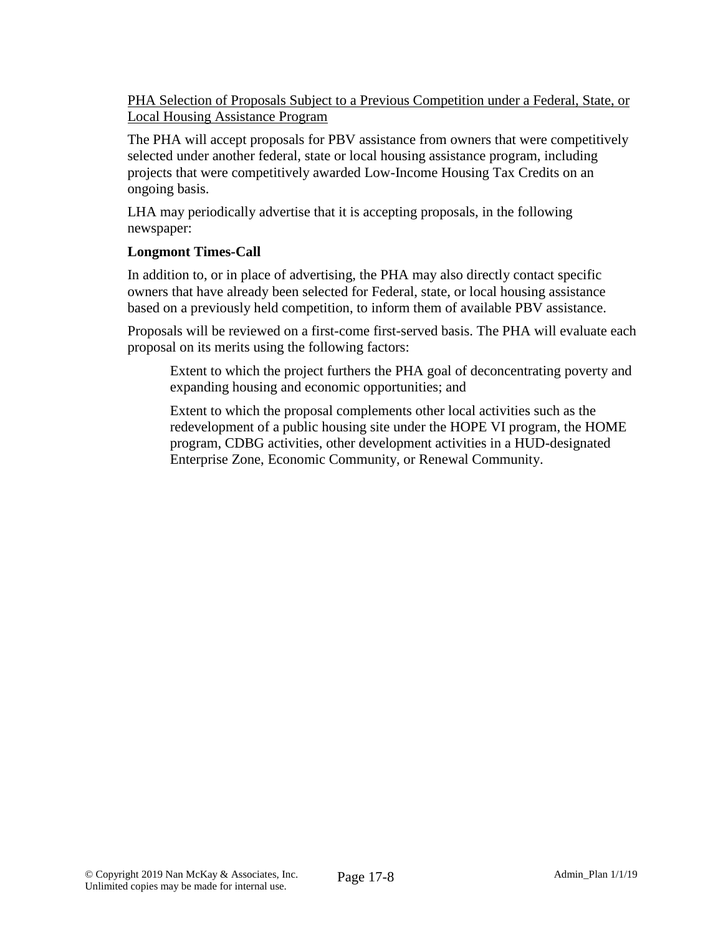PHA Selection of Proposals Subject to a Previous Competition under a Federal, State, or Local Housing Assistance Program

The PHA will accept proposals for PBV assistance from owners that were competitively selected under another federal, state or local housing assistance program, including projects that were competitively awarded Low-Income Housing Tax Credits on an ongoing basis.

LHA may periodically advertise that it is accepting proposals, in the following newspaper:

### **Longmont Times-Call**

In addition to, or in place of advertising, the PHA may also directly contact specific owners that have already been selected for Federal, state, or local housing assistance based on a previously held competition, to inform them of available PBV assistance.

Proposals will be reviewed on a first-come first-served basis. The PHA will evaluate each proposal on its merits using the following factors:

Extent to which the project furthers the PHA goal of deconcentrating poverty and expanding housing and economic opportunities; and

Extent to which the proposal complements other local activities such as the redevelopment of a public housing site under the HOPE VI program, the HOME program, CDBG activities, other development activities in a HUD-designated Enterprise Zone, Economic Community, or Renewal Community.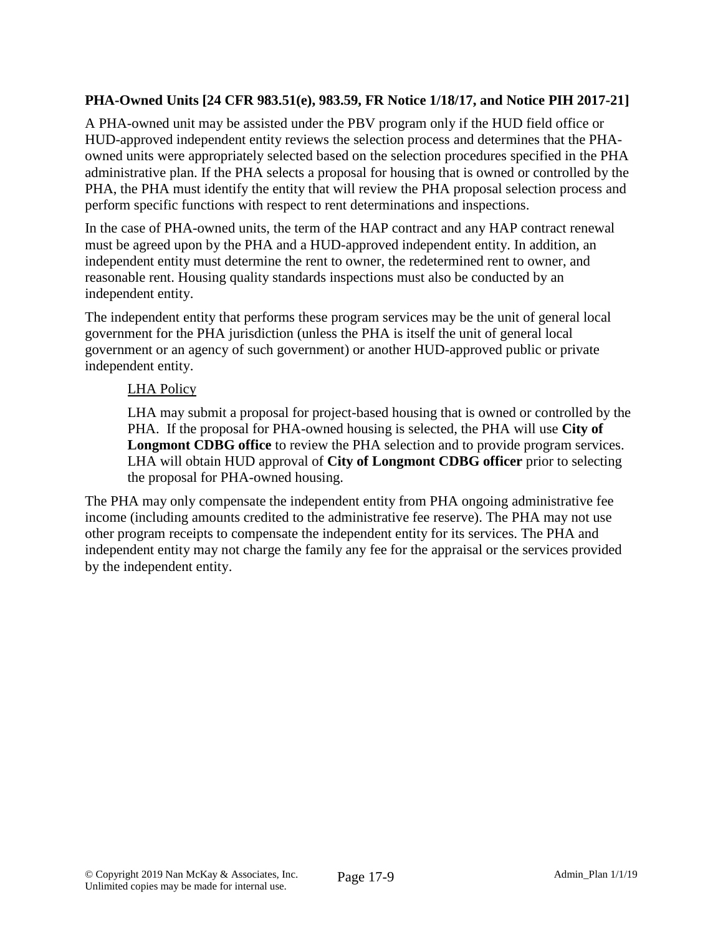### **PHA-Owned Units [24 CFR 983.51(e), 983.59, FR Notice 1/18/17, and Notice PIH 2017-21]**

A PHA-owned unit may be assisted under the PBV program only if the HUD field office or HUD-approved independent entity reviews the selection process and determines that the PHAowned units were appropriately selected based on the selection procedures specified in the PHA administrative plan. If the PHA selects a proposal for housing that is owned or controlled by the PHA, the PHA must identify the entity that will review the PHA proposal selection process and perform specific functions with respect to rent determinations and inspections.

In the case of PHA-owned units, the term of the HAP contract and any HAP contract renewal must be agreed upon by the PHA and a HUD-approved independent entity. In addition, an independent entity must determine the rent to owner, the redetermined rent to owner, and reasonable rent. Housing quality standards inspections must also be conducted by an independent entity.

The independent entity that performs these program services may be the unit of general local government for the PHA jurisdiction (unless the PHA is itself the unit of general local government or an agency of such government) or another HUD-approved public or private independent entity.

### LHA Policy

LHA may submit a proposal for project-based housing that is owned or controlled by the PHA. If the proposal for PHA-owned housing is selected, the PHA will use **City of Longmont CDBG office** to review the PHA selection and to provide program services. LHA will obtain HUD approval of **City of Longmont CDBG officer** prior to selecting the proposal for PHA-owned housing.

The PHA may only compensate the independent entity from PHA ongoing administrative fee income (including amounts credited to the administrative fee reserve). The PHA may not use other program receipts to compensate the independent entity for its services. The PHA and independent entity may not charge the family any fee for the appraisal or the services provided by the independent entity.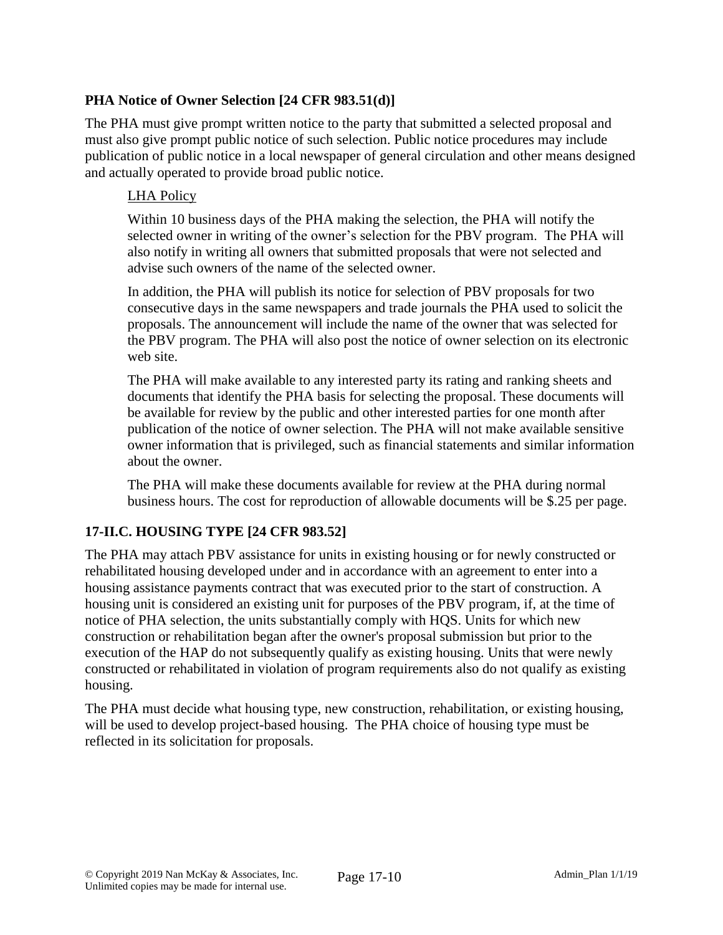# **PHA Notice of Owner Selection [24 CFR 983.51(d)]**

The PHA must give prompt written notice to the party that submitted a selected proposal and must also give prompt public notice of such selection. Public notice procedures may include publication of public notice in a local newspaper of general circulation and other means designed and actually operated to provide broad public notice.

### LHA Policy

Within 10 business days of the PHA making the selection, the PHA will notify the selected owner in writing of the owner's selection for the PBV program. The PHA will also notify in writing all owners that submitted proposals that were not selected and advise such owners of the name of the selected owner.

In addition, the PHA will publish its notice for selection of PBV proposals for two consecutive days in the same newspapers and trade journals the PHA used to solicit the proposals. The announcement will include the name of the owner that was selected for the PBV program. The PHA will also post the notice of owner selection on its electronic web site.

The PHA will make available to any interested party its rating and ranking sheets and documents that identify the PHA basis for selecting the proposal. These documents will be available for review by the public and other interested parties for one month after publication of the notice of owner selection. The PHA will not make available sensitive owner information that is privileged, such as financial statements and similar information about the owner.

The PHA will make these documents available for review at the PHA during normal business hours. The cost for reproduction of allowable documents will be \$.25 per page.

### **17-II.C. HOUSING TYPE [24 CFR 983.52]**

The PHA may attach PBV assistance for units in existing housing or for newly constructed or rehabilitated housing developed under and in accordance with an agreement to enter into a housing assistance payments contract that was executed prior to the start of construction. A housing unit is considered an existing unit for purposes of the PBV program, if, at the time of notice of PHA selection, the units substantially comply with HQS. Units for which new construction or rehabilitation began after the owner's proposal submission but prior to the execution of the HAP do not subsequently qualify as existing housing. Units that were newly constructed or rehabilitated in violation of program requirements also do not qualify as existing housing.

The PHA must decide what housing type, new construction, rehabilitation, or existing housing, will be used to develop project-based housing. The PHA choice of housing type must be reflected in its solicitation for proposals.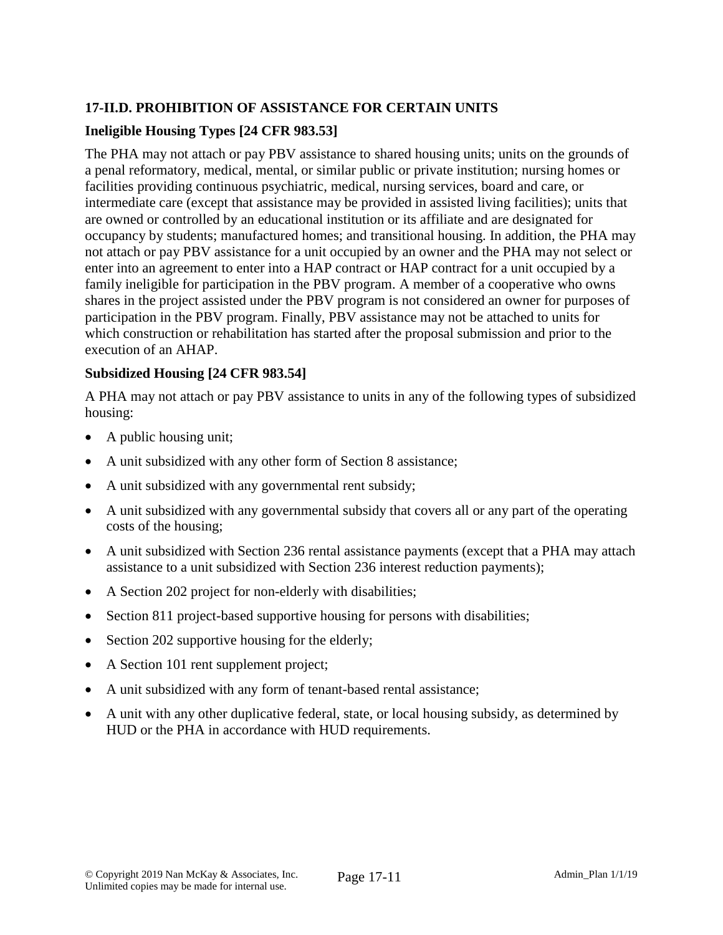# **17-II.D. PROHIBITION OF ASSISTANCE FOR CERTAIN UNITS**

### **Ineligible Housing Types [24 CFR 983.53]**

The PHA may not attach or pay PBV assistance to shared housing units; units on the grounds of a penal reformatory, medical, mental, or similar public or private institution; nursing homes or facilities providing continuous psychiatric, medical, nursing services, board and care, or intermediate care (except that assistance may be provided in assisted living facilities); units that are owned or controlled by an educational institution or its affiliate and are designated for occupancy by students; manufactured homes; and transitional housing. In addition, the PHA may not attach or pay PBV assistance for a unit occupied by an owner and the PHA may not select or enter into an agreement to enter into a HAP contract or HAP contract for a unit occupied by a family ineligible for participation in the PBV program. A member of a cooperative who owns shares in the project assisted under the PBV program is not considered an owner for purposes of participation in the PBV program. Finally, PBV assistance may not be attached to units for which construction or rehabilitation has started after the proposal submission and prior to the execution of an AHAP.

### **Subsidized Housing [24 CFR 983.54]**

A PHA may not attach or pay PBV assistance to units in any of the following types of subsidized housing:

- A public housing unit;
- A unit subsidized with any other form of Section 8 assistance;
- A unit subsidized with any governmental rent subsidy;
- A unit subsidized with any governmental subsidy that covers all or any part of the operating costs of the housing;
- A unit subsidized with Section 236 rental assistance payments (except that a PHA may attach assistance to a unit subsidized with Section 236 interest reduction payments);
- A Section 202 project for non-elderly with disabilities;
- Section 811 project-based supportive housing for persons with disabilities;
- Section 202 supportive housing for the elderly;
- A Section 101 rent supplement project;
- A unit subsidized with any form of tenant-based rental assistance;
- A unit with any other duplicative federal, state, or local housing subsidy, as determined by HUD or the PHA in accordance with HUD requirements.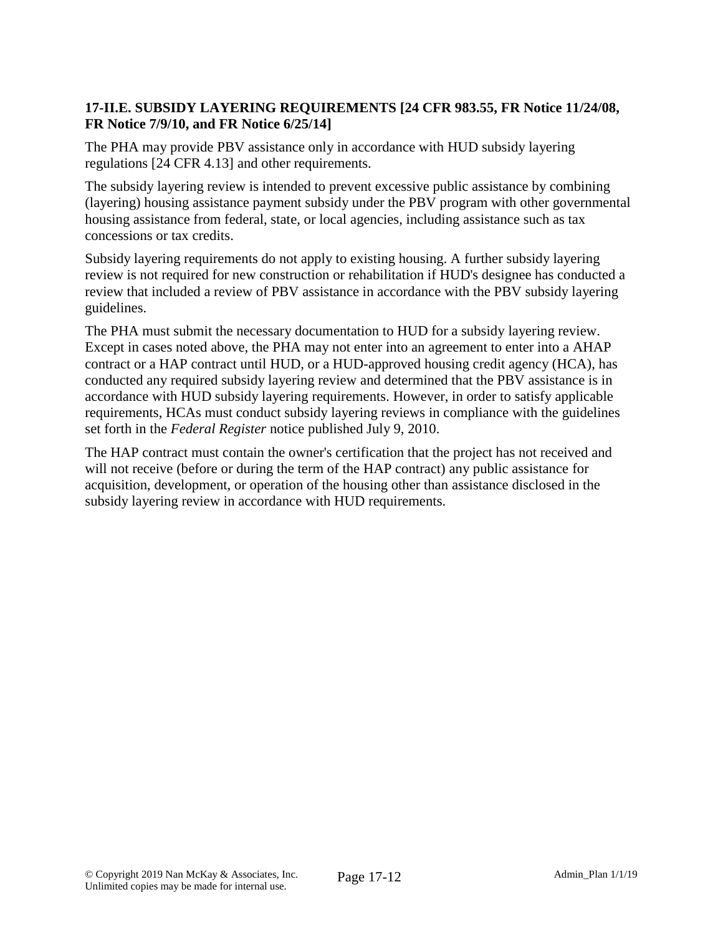### **17-II.E. SUBSIDY LAYERING REQUIREMENTS [24 CFR 983.55, FR Notice 11/24/08, FR Notice 7/9/10, and FR Notice 6/25/14]**

The PHA may provide PBV assistance only in accordance with HUD subsidy layering regulations [24 CFR 4.13] and other requirements.

The subsidy layering review is intended to prevent excessive public assistance by combining (layering) housing assistance payment subsidy under the PBV program with other governmental housing assistance from federal, state, or local agencies, including assistance such as tax concessions or tax credits.

Subsidy layering requirements do not apply to existing housing. A further subsidy layering review is not required for new construction or rehabilitation if HUD's designee has conducted a review that included a review of PBV assistance in accordance with the PBV subsidy layering guidelines.

The PHA must submit the necessary documentation to HUD for a subsidy layering review. Except in cases noted above, the PHA may not enter into an agreement to enter into a AHAP contract or a HAP contract until HUD, or a HUD-approved housing credit agency (HCA), has conducted any required subsidy layering review and determined that the PBV assistance is in accordance with HUD subsidy layering requirements. However, in order to satisfy applicable requirements, HCAs must conduct subsidy layering reviews in compliance with the guidelines set forth in the *Federal Register* notice published July 9, 2010.

The HAP contract must contain the owner's certification that the project has not received and will not receive (before or during the term of the HAP contract) any public assistance for acquisition, development, or operation of the housing other than assistance disclosed in the subsidy layering review in accordance with HUD requirements.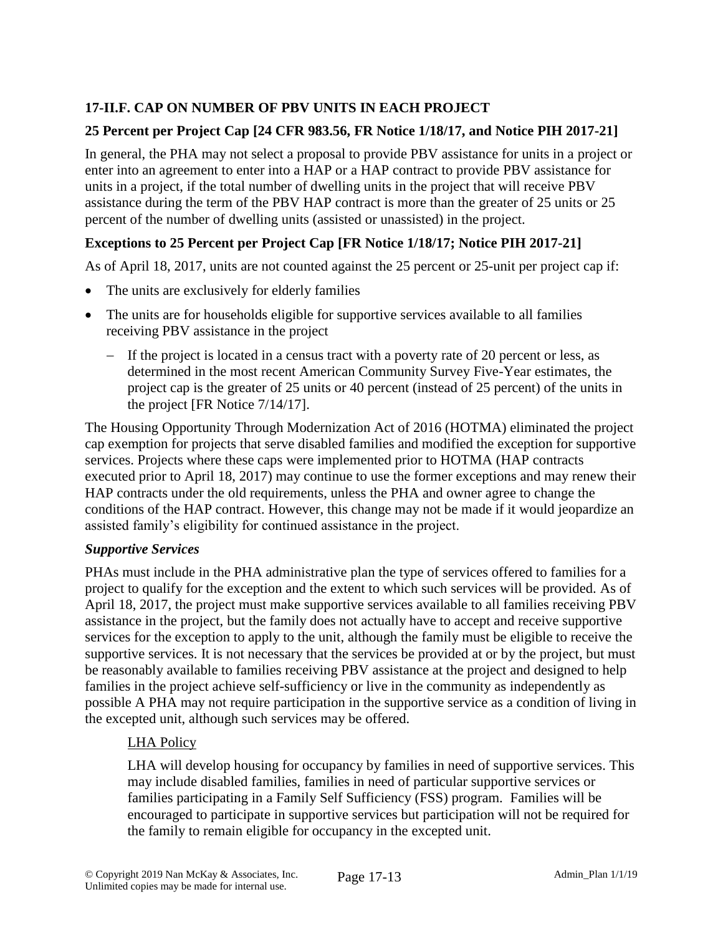# **17-II.F. CAP ON NUMBER OF PBV UNITS IN EACH PROJECT**

# **25 Percent per Project Cap [24 CFR 983.56, FR Notice 1/18/17, and Notice PIH 2017-21]**

In general, the PHA may not select a proposal to provide PBV assistance for units in a project or enter into an agreement to enter into a HAP or a HAP contract to provide PBV assistance for units in a project, if the total number of dwelling units in the project that will receive PBV assistance during the term of the PBV HAP contract is more than the greater of 25 units or 25 percent of the number of dwelling units (assisted or unassisted) in the project.

# **Exceptions to 25 Percent per Project Cap [FR Notice 1/18/17; Notice PIH 2017-21]**

As of April 18, 2017, units are not counted against the 25 percent or 25-unit per project cap if:

- The units are exclusively for elderly families
- The units are for households eligible for supportive services available to all families receiving PBV assistance in the project
	- If the project is located in a census tract with a poverty rate of 20 percent or less, as determined in the most recent American Community Survey Five-Year estimates, the project cap is the greater of 25 units or 40 percent (instead of 25 percent) of the units in the project [FR Notice 7/14/17].

The Housing Opportunity Through Modernization Act of 2016 (HOTMA) eliminated the project cap exemption for projects that serve disabled families and modified the exception for supportive services. Projects where these caps were implemented prior to HOTMA (HAP contracts executed prior to April 18, 2017) may continue to use the former exceptions and may renew their HAP contracts under the old requirements, unless the PHA and owner agree to change the conditions of the HAP contract. However, this change may not be made if it would jeopardize an assisted family's eligibility for continued assistance in the project.

### *Supportive Services*

PHAs must include in the PHA administrative plan the type of services offered to families for a project to qualify for the exception and the extent to which such services will be provided. As of April 18, 2017, the project must make supportive services available to all families receiving PBV assistance in the project, but the family does not actually have to accept and receive supportive services for the exception to apply to the unit, although the family must be eligible to receive the supportive services. It is not necessary that the services be provided at or by the project, but must be reasonably available to families receiving PBV assistance at the project and designed to help families in the project achieve self-sufficiency or live in the community as independently as possible A PHA may not require participation in the supportive service as a condition of living in the excepted unit, although such services may be offered.

# LHA Policy

LHA will develop housing for occupancy by families in need of supportive services. This may include disabled families, families in need of particular supportive services or families participating in a Family Self Sufficiency (FSS) program. Families will be encouraged to participate in supportive services but participation will not be required for the family to remain eligible for occupancy in the excepted unit.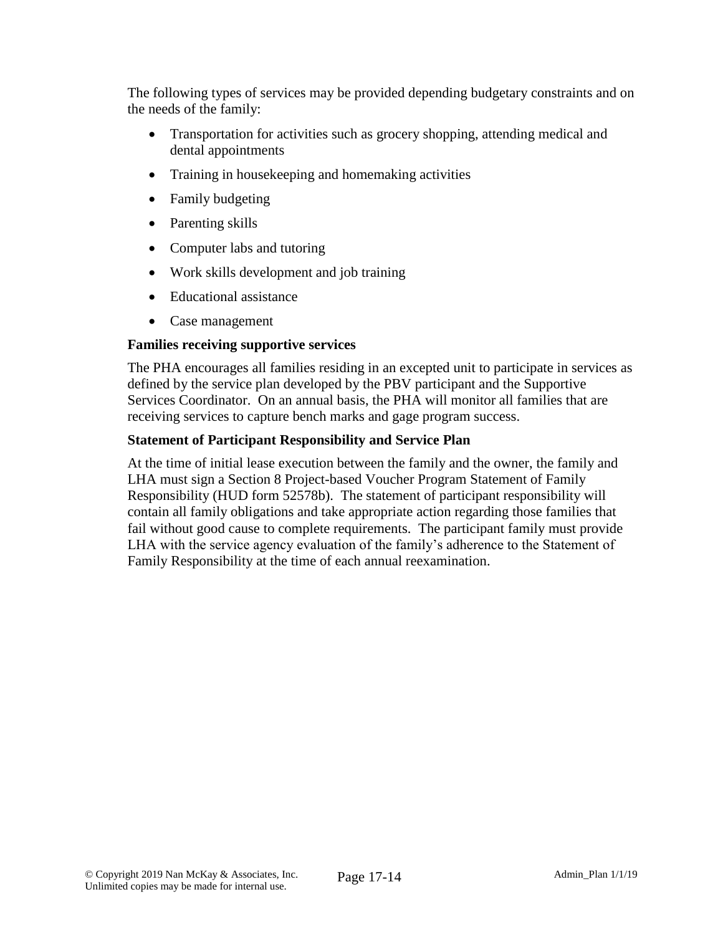The following types of services may be provided depending budgetary constraints and on the needs of the family:

- Transportation for activities such as grocery shopping, attending medical and dental appointments
- Training in house keeping and homemaking activities
- Family budgeting
- Parenting skills
- Computer labs and tutoring
- Work skills development and job training
- Educational assistance
- Case management

### **Families receiving supportive services**

The PHA encourages all families residing in an excepted unit to participate in services as defined by the service plan developed by the PBV participant and the Supportive Services Coordinator. On an annual basis, the PHA will monitor all families that are receiving services to capture bench marks and gage program success.

#### **Statement of Participant Responsibility and Service Plan**

At the time of initial lease execution between the family and the owner, the family and LHA must sign a Section 8 Project-based Voucher Program Statement of Family Responsibility (HUD form 52578b). The statement of participant responsibility will contain all family obligations and take appropriate action regarding those families that fail without good cause to complete requirements. The participant family must provide LHA with the service agency evaluation of the family's adherence to the Statement of Family Responsibility at the time of each annual reexamination.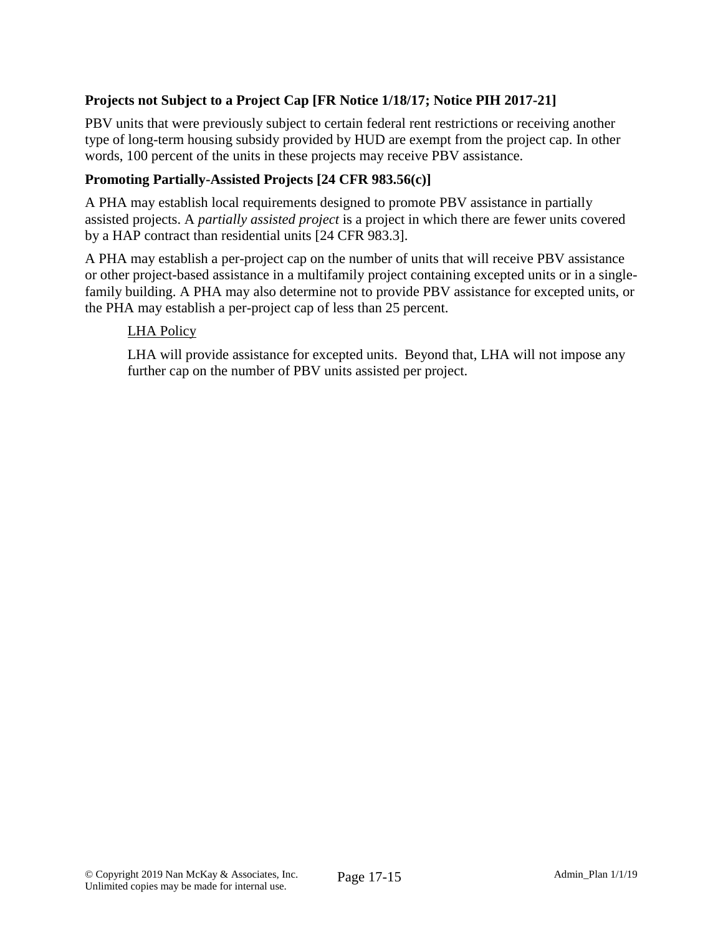# **Projects not Subject to a Project Cap [FR Notice 1/18/17; Notice PIH 2017-21]**

PBV units that were previously subject to certain federal rent restrictions or receiving another type of long-term housing subsidy provided by HUD are exempt from the project cap. In other words, 100 percent of the units in these projects may receive PBV assistance.

#### **Promoting Partially-Assisted Projects [24 CFR 983.56(c)]**

A PHA may establish local requirements designed to promote PBV assistance in partially assisted projects. A *partially assisted project* is a project in which there are fewer units covered by a HAP contract than residential units [24 CFR 983.3].

A PHA may establish a per-project cap on the number of units that will receive PBV assistance or other project-based assistance in a multifamily project containing excepted units or in a singlefamily building. A PHA may also determine not to provide PBV assistance for excepted units, or the PHA may establish a per-project cap of less than 25 percent.

#### LHA Policy

LHA will provide assistance for excepted units. Beyond that, LHA will not impose any further cap on the number of PBV units assisted per project.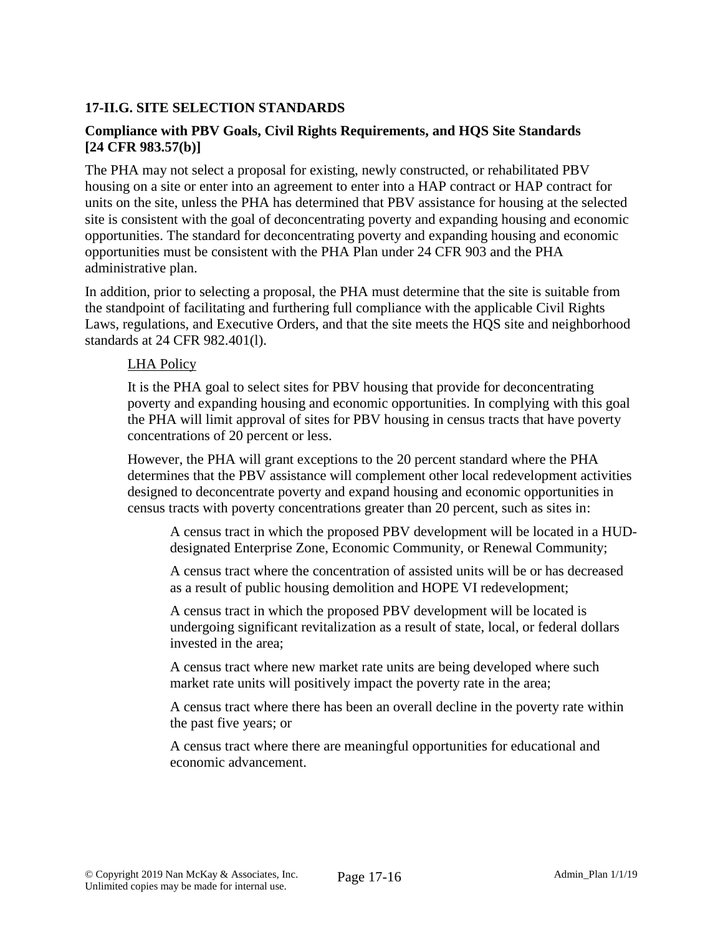### **17-II.G. SITE SELECTION STANDARDS**

### **Compliance with PBV Goals, Civil Rights Requirements, and HQS Site Standards [24 CFR 983.57(b)]**

The PHA may not select a proposal for existing, newly constructed, or rehabilitated PBV housing on a site or enter into an agreement to enter into a HAP contract or HAP contract for units on the site, unless the PHA has determined that PBV assistance for housing at the selected site is consistent with the goal of deconcentrating poverty and expanding housing and economic opportunities. The standard for deconcentrating poverty and expanding housing and economic opportunities must be consistent with the PHA Plan under 24 CFR 903 and the PHA administrative plan.

In addition, prior to selecting a proposal, the PHA must determine that the site is suitable from the standpoint of facilitating and furthering full compliance with the applicable Civil Rights Laws, regulations, and Executive Orders, and that the site meets the HQS site and neighborhood standards at 24 CFR 982.401(l).

#### LHA Policy

It is the PHA goal to select sites for PBV housing that provide for deconcentrating poverty and expanding housing and economic opportunities. In complying with this goal the PHA will limit approval of sites for PBV housing in census tracts that have poverty concentrations of 20 percent or less.

However, the PHA will grant exceptions to the 20 percent standard where the PHA determines that the PBV assistance will complement other local redevelopment activities designed to deconcentrate poverty and expand housing and economic opportunities in census tracts with poverty concentrations greater than 20 percent, such as sites in:

A census tract in which the proposed PBV development will be located in a HUDdesignated Enterprise Zone, Economic Community, or Renewal Community;

A census tract where the concentration of assisted units will be or has decreased as a result of public housing demolition and HOPE VI redevelopment;

A census tract in which the proposed PBV development will be located is undergoing significant revitalization as a result of state, local, or federal dollars invested in the area;

A census tract where new market rate units are being developed where such market rate units will positively impact the poverty rate in the area;

A census tract where there has been an overall decline in the poverty rate within the past five years; or

A census tract where there are meaningful opportunities for educational and economic advancement.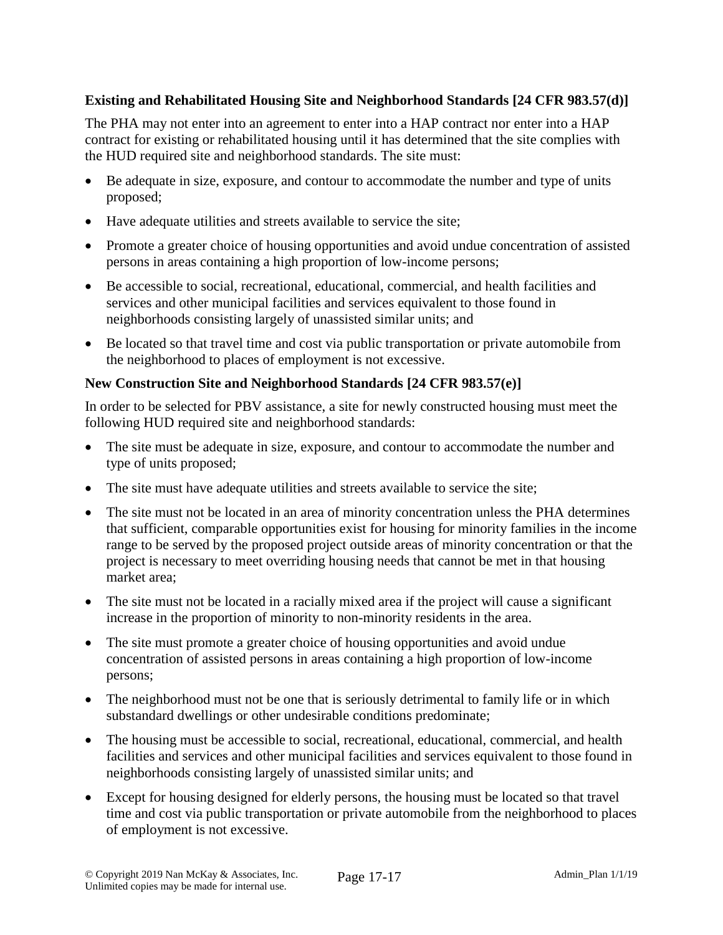# **Existing and Rehabilitated Housing Site and Neighborhood Standards [24 CFR 983.57(d)]**

The PHA may not enter into an agreement to enter into a HAP contract nor enter into a HAP contract for existing or rehabilitated housing until it has determined that the site complies with the HUD required site and neighborhood standards. The site must:

- Be adequate in size, exposure, and contour to accommodate the number and type of units proposed;
- Have adequate utilities and streets available to service the site;
- Promote a greater choice of housing opportunities and avoid undue concentration of assisted persons in areas containing a high proportion of low-income persons;
- Be accessible to social, recreational, educational, commercial, and health facilities and services and other municipal facilities and services equivalent to those found in neighborhoods consisting largely of unassisted similar units; and
- Be located so that travel time and cost via public transportation or private automobile from the neighborhood to places of employment is not excessive.

### **New Construction Site and Neighborhood Standards [24 CFR 983.57(e)]**

In order to be selected for PBV assistance, a site for newly constructed housing must meet the following HUD required site and neighborhood standards:

- The site must be adequate in size, exposure, and contour to accommodate the number and type of units proposed;
- The site must have adequate utilities and streets available to service the site;
- The site must not be located in an area of minority concentration unless the PHA determines that sufficient, comparable opportunities exist for housing for minority families in the income range to be served by the proposed project outside areas of minority concentration or that the project is necessary to meet overriding housing needs that cannot be met in that housing market area;
- The site must not be located in a racially mixed area if the project will cause a significant increase in the proportion of minority to non-minority residents in the area.
- The site must promote a greater choice of housing opportunities and avoid undue concentration of assisted persons in areas containing a high proportion of low-income persons;
- The neighborhood must not be one that is seriously detrimental to family life or in which substandard dwellings or other undesirable conditions predominate;
- The housing must be accessible to social, recreational, educational, commercial, and health facilities and services and other municipal facilities and services equivalent to those found in neighborhoods consisting largely of unassisted similar units; and
- Except for housing designed for elderly persons, the housing must be located so that travel time and cost via public transportation or private automobile from the neighborhood to places of employment is not excessive.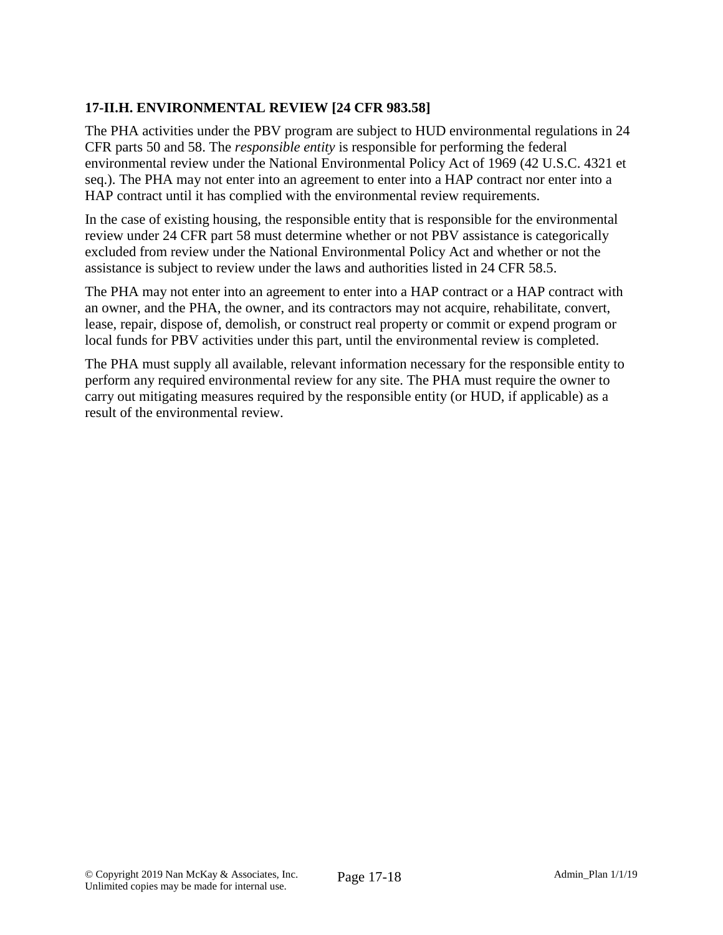# **17-II.H. ENVIRONMENTAL REVIEW [24 CFR 983.58]**

The PHA activities under the PBV program are subject to HUD environmental regulations in 24 CFR parts 50 and 58. The *responsible entity* is responsible for performing the federal environmental review under the National Environmental Policy Act of 1969 (42 U.S.C. 4321 et seq.). The PHA may not enter into an agreement to enter into a HAP contract nor enter into a HAP contract until it has complied with the environmental review requirements.

In the case of existing housing, the responsible entity that is responsible for the environmental review under 24 CFR part 58 must determine whether or not PBV assistance is categorically excluded from review under the National Environmental Policy Act and whether or not the assistance is subject to review under the laws and authorities listed in 24 CFR 58.5.

The PHA may not enter into an agreement to enter into a HAP contract or a HAP contract with an owner, and the PHA, the owner, and its contractors may not acquire, rehabilitate, convert, lease, repair, dispose of, demolish, or construct real property or commit or expend program or local funds for PBV activities under this part, until the environmental review is completed.

The PHA must supply all available, relevant information necessary for the responsible entity to perform any required environmental review for any site. The PHA must require the owner to carry out mitigating measures required by the responsible entity (or HUD, if applicable) as a result of the environmental review.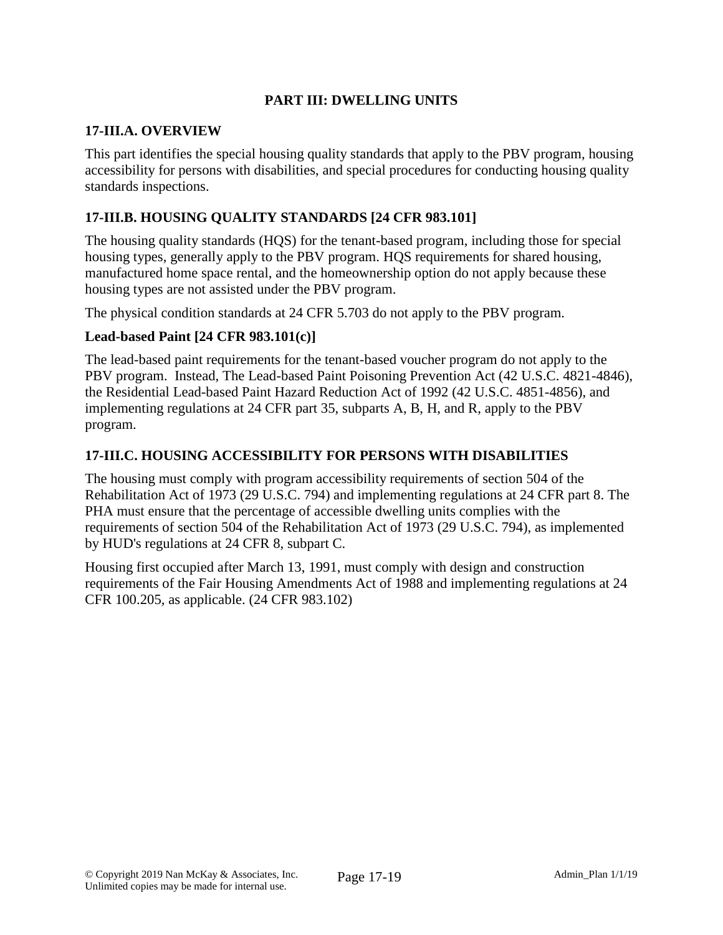# **PART III: DWELLING UNITS**

#### **17-III.A. OVERVIEW**

This part identifies the special housing quality standards that apply to the PBV program, housing accessibility for persons with disabilities, and special procedures for conducting housing quality standards inspections.

### **17-III.B. HOUSING QUALITY STANDARDS [24 CFR 983.101]**

The housing quality standards (HQS) for the tenant-based program, including those for special housing types, generally apply to the PBV program. HQS requirements for shared housing, manufactured home space rental, and the homeownership option do not apply because these housing types are not assisted under the PBV program.

The physical condition standards at 24 CFR 5.703 do not apply to the PBV program.

#### **Lead-based Paint [24 CFR 983.101(c)]**

The lead-based paint requirements for the tenant-based voucher program do not apply to the PBV program. Instead, The Lead-based Paint Poisoning Prevention Act (42 U.S.C. 4821-4846), the Residential Lead-based Paint Hazard Reduction Act of 1992 (42 U.S.C. 4851-4856), and implementing regulations at 24 CFR part 35, subparts A, B, H, and R, apply to the PBV program.

### **17-III.C. HOUSING ACCESSIBILITY FOR PERSONS WITH DISABILITIES**

The housing must comply with program accessibility requirements of section 504 of the Rehabilitation Act of 1973 (29 U.S.C. 794) and implementing regulations at 24 CFR part 8. The PHA must ensure that the percentage of accessible dwelling units complies with the requirements of section 504 of the Rehabilitation Act of 1973 (29 U.S.C. 794), as implemented by HUD's regulations at 24 CFR 8, subpart C.

Housing first occupied after March 13, 1991, must comply with design and construction requirements of the Fair Housing Amendments Act of 1988 and implementing regulations at 24 CFR 100.205, as applicable. (24 CFR 983.102)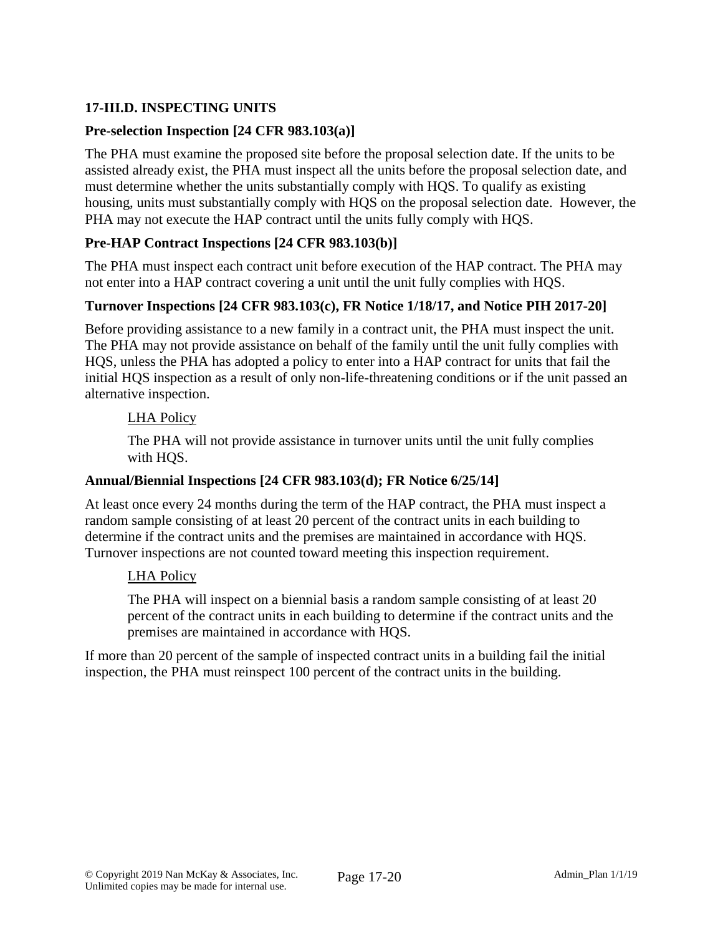# **17-III.D. INSPECTING UNITS**

### **Pre-selection Inspection [24 CFR 983.103(a)]**

The PHA must examine the proposed site before the proposal selection date. If the units to be assisted already exist, the PHA must inspect all the units before the proposal selection date, and must determine whether the units substantially comply with HQS. To qualify as existing housing, units must substantially comply with HQS on the proposal selection date. However, the PHA may not execute the HAP contract until the units fully comply with HQS.

### **Pre-HAP Contract Inspections [24 CFR 983.103(b)]**

The PHA must inspect each contract unit before execution of the HAP contract. The PHA may not enter into a HAP contract covering a unit until the unit fully complies with HQS.

### **Turnover Inspections [24 CFR 983.103(c), FR Notice 1/18/17, and Notice PIH 2017-20]**

Before providing assistance to a new family in a contract unit, the PHA must inspect the unit. The PHA may not provide assistance on behalf of the family until the unit fully complies with HQS, unless the PHA has adopted a policy to enter into a HAP contract for units that fail the initial HQS inspection as a result of only non-life-threatening conditions or if the unit passed an alternative inspection.

#### LHA Policy

The PHA will not provide assistance in turnover units until the unit fully complies with HQS.

#### **Annual/Biennial Inspections [24 CFR 983.103(d); FR Notice 6/25/14]**

At least once every 24 months during the term of the HAP contract, the PHA must inspect a random sample consisting of at least 20 percent of the contract units in each building to determine if the contract units and the premises are maintained in accordance with HQS. Turnover inspections are not counted toward meeting this inspection requirement.

#### LHA Policy

The PHA will inspect on a biennial basis a random sample consisting of at least 20 percent of the contract units in each building to determine if the contract units and the premises are maintained in accordance with HQS.

If more than 20 percent of the sample of inspected contract units in a building fail the initial inspection, the PHA must reinspect 100 percent of the contract units in the building.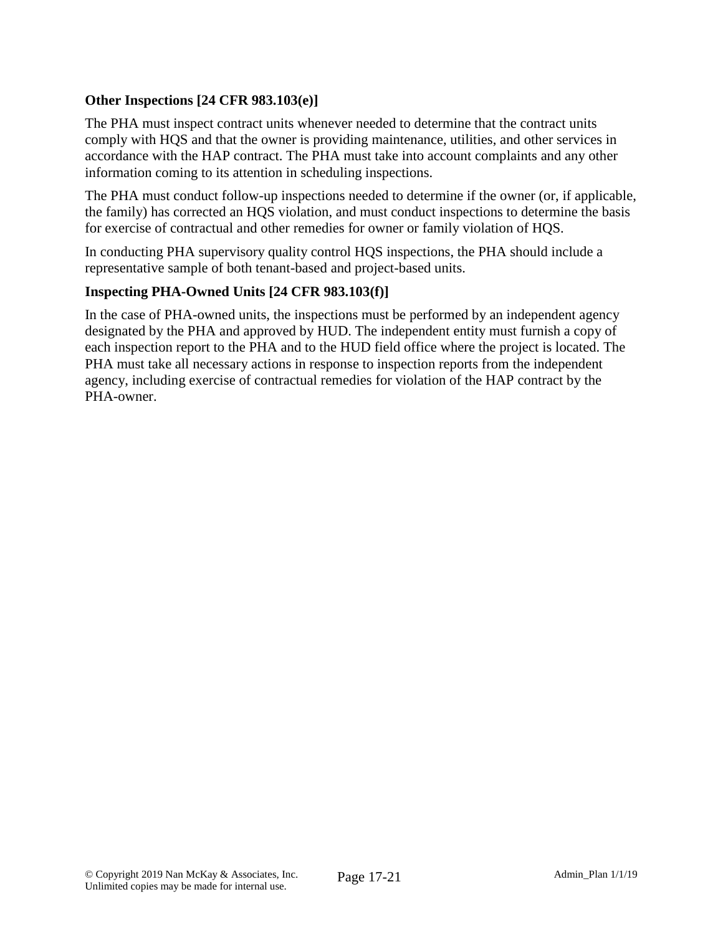# **Other Inspections [24 CFR 983.103(e)]**

The PHA must inspect contract units whenever needed to determine that the contract units comply with HQS and that the owner is providing maintenance, utilities, and other services in accordance with the HAP contract. The PHA must take into account complaints and any other information coming to its attention in scheduling inspections.

The PHA must conduct follow-up inspections needed to determine if the owner (or, if applicable, the family) has corrected an HQS violation, and must conduct inspections to determine the basis for exercise of contractual and other remedies for owner or family violation of HQS.

In conducting PHA supervisory quality control HQS inspections, the PHA should include a representative sample of both tenant-based and project-based units.

### **Inspecting PHA-Owned Units [24 CFR 983.103(f)]**

In the case of PHA-owned units, the inspections must be performed by an independent agency designated by the PHA and approved by HUD. The independent entity must furnish a copy of each inspection report to the PHA and to the HUD field office where the project is located. The PHA must take all necessary actions in response to inspection reports from the independent agency, including exercise of contractual remedies for violation of the HAP contract by the PHA-owner.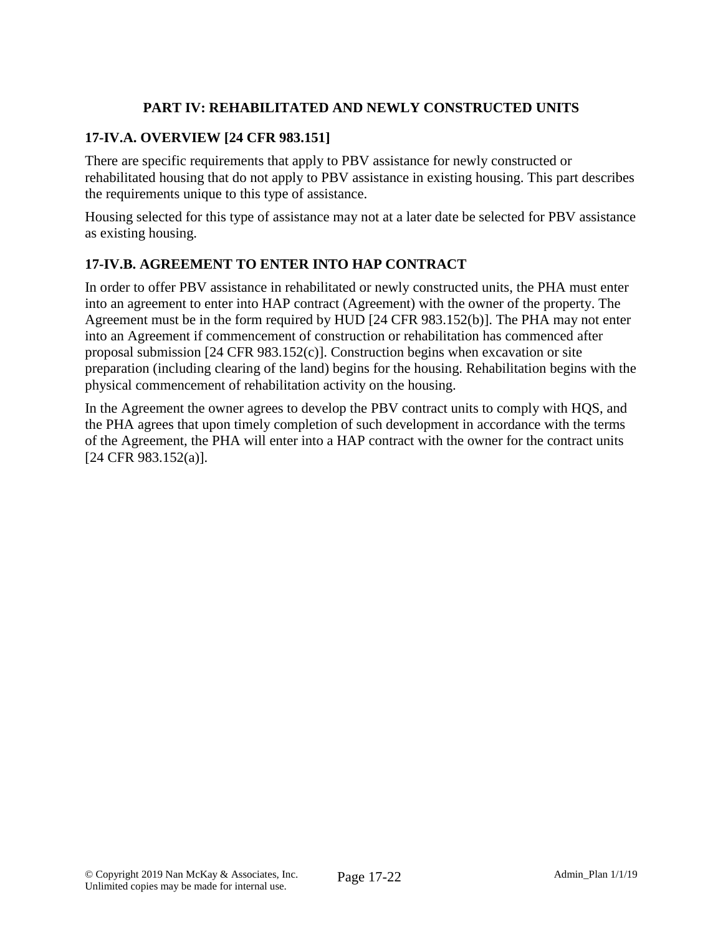# **PART IV: REHABILITATED AND NEWLY CONSTRUCTED UNITS**

# **17-IV.A. OVERVIEW [24 CFR 983.151]**

There are specific requirements that apply to PBV assistance for newly constructed or rehabilitated housing that do not apply to PBV assistance in existing housing. This part describes the requirements unique to this type of assistance.

Housing selected for this type of assistance may not at a later date be selected for PBV assistance as existing housing.

# **17-IV.B. AGREEMENT TO ENTER INTO HAP CONTRACT**

In order to offer PBV assistance in rehabilitated or newly constructed units, the PHA must enter into an agreement to enter into HAP contract (Agreement) with the owner of the property. The Agreement must be in the form required by HUD [24 CFR 983.152(b)]. The PHA may not enter into an Agreement if commencement of construction or rehabilitation has commenced after proposal submission [24 CFR 983.152(c)]. Construction begins when excavation or site preparation (including clearing of the land) begins for the housing. Rehabilitation begins with the physical commencement of rehabilitation activity on the housing.

In the Agreement the owner agrees to develop the PBV contract units to comply with HQS, and the PHA agrees that upon timely completion of such development in accordance with the terms of the Agreement, the PHA will enter into a HAP contract with the owner for the contract units [24 CFR 983.152(a)].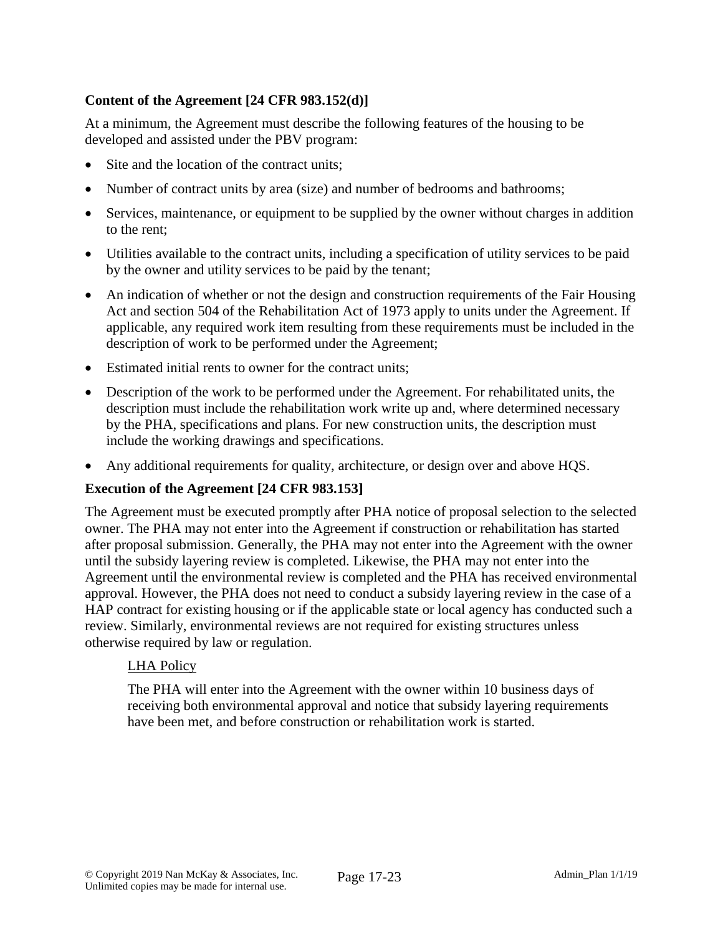# **Content of the Agreement [24 CFR 983.152(d)]**

At a minimum, the Agreement must describe the following features of the housing to be developed and assisted under the PBV program:

- Site and the location of the contract units;
- Number of contract units by area (size) and number of bedrooms and bathrooms;
- Services, maintenance, or equipment to be supplied by the owner without charges in addition to the rent;
- Utilities available to the contract units, including a specification of utility services to be paid by the owner and utility services to be paid by the tenant;
- An indication of whether or not the design and construction requirements of the Fair Housing Act and section 504 of the Rehabilitation Act of 1973 apply to units under the Agreement. If applicable, any required work item resulting from these requirements must be included in the description of work to be performed under the Agreement;
- Estimated initial rents to owner for the contract units;
- Description of the work to be performed under the Agreement. For rehabilitated units, the description must include the rehabilitation work write up and, where determined necessary by the PHA, specifications and plans. For new construction units, the description must include the working drawings and specifications.
- Any additional requirements for quality, architecture, or design over and above HQS.

### **Execution of the Agreement [24 CFR 983.153]**

The Agreement must be executed promptly after PHA notice of proposal selection to the selected owner. The PHA may not enter into the Agreement if construction or rehabilitation has started after proposal submission. Generally, the PHA may not enter into the Agreement with the owner until the subsidy layering review is completed. Likewise, the PHA may not enter into the Agreement until the environmental review is completed and the PHA has received environmental approval. However, the PHA does not need to conduct a subsidy layering review in the case of a HAP contract for existing housing or if the applicable state or local agency has conducted such a review. Similarly, environmental reviews are not required for existing structures unless otherwise required by law or regulation.

### LHA Policy

The PHA will enter into the Agreement with the owner within 10 business days of receiving both environmental approval and notice that subsidy layering requirements have been met, and before construction or rehabilitation work is started.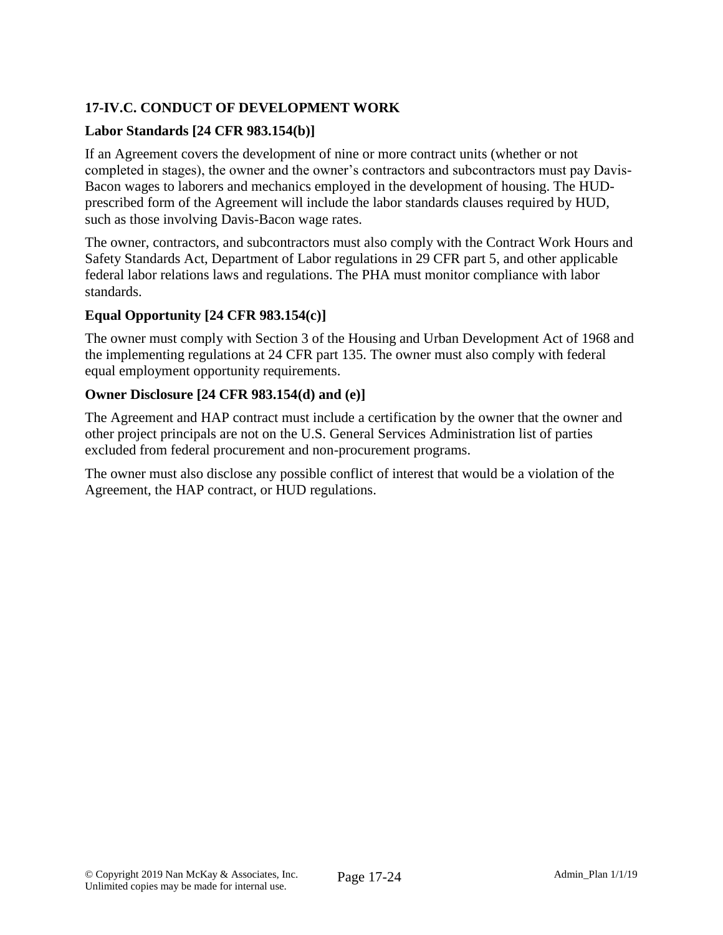# **17-IV.C. CONDUCT OF DEVELOPMENT WORK**

# **Labor Standards [24 CFR 983.154(b)]**

If an Agreement covers the development of nine or more contract units (whether or not completed in stages), the owner and the owner's contractors and subcontractors must pay Davis-Bacon wages to laborers and mechanics employed in the development of housing. The HUDprescribed form of the Agreement will include the labor standards clauses required by HUD, such as those involving Davis-Bacon wage rates.

The owner, contractors, and subcontractors must also comply with the Contract Work Hours and Safety Standards Act, Department of Labor regulations in 29 CFR part 5, and other applicable federal labor relations laws and regulations. The PHA must monitor compliance with labor standards.

### **Equal Opportunity [24 CFR 983.154(c)]**

The owner must comply with Section 3 of the Housing and Urban Development Act of 1968 and the implementing regulations at 24 CFR part 135. The owner must also comply with federal equal employment opportunity requirements.

### **Owner Disclosure [24 CFR 983.154(d) and (e)]**

The Agreement and HAP contract must include a certification by the owner that the owner and other project principals are not on the U.S. General Services Administration list of parties excluded from federal procurement and non-procurement programs.

The owner must also disclose any possible conflict of interest that would be a violation of the Agreement, the HAP contract, or HUD regulations.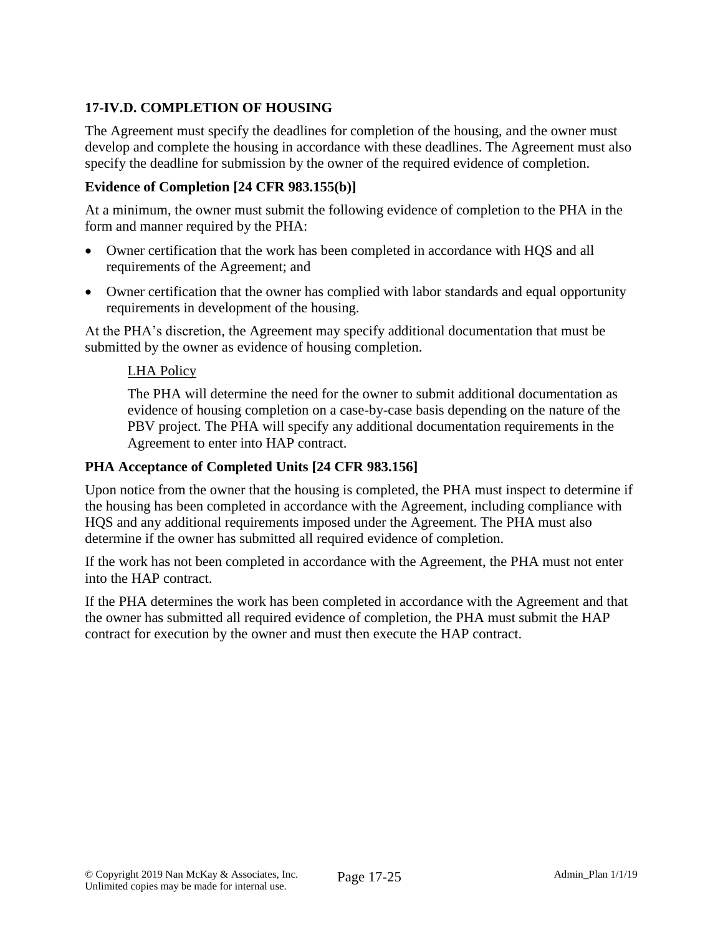# **17-IV.D. COMPLETION OF HOUSING**

The Agreement must specify the deadlines for completion of the housing, and the owner must develop and complete the housing in accordance with these deadlines. The Agreement must also specify the deadline for submission by the owner of the required evidence of completion.

### **Evidence of Completion [24 CFR 983.155(b)]**

At a minimum, the owner must submit the following evidence of completion to the PHA in the form and manner required by the PHA:

- Owner certification that the work has been completed in accordance with HQS and all requirements of the Agreement; and
- Owner certification that the owner has complied with labor standards and equal opportunity requirements in development of the housing.

At the PHA's discretion, the Agreement may specify additional documentation that must be submitted by the owner as evidence of housing completion.

#### LHA Policy

The PHA will determine the need for the owner to submit additional documentation as evidence of housing completion on a case-by-case basis depending on the nature of the PBV project. The PHA will specify any additional documentation requirements in the Agreement to enter into HAP contract.

#### **PHA Acceptance of Completed Units [24 CFR 983.156]**

Upon notice from the owner that the housing is completed, the PHA must inspect to determine if the housing has been completed in accordance with the Agreement, including compliance with HQS and any additional requirements imposed under the Agreement. The PHA must also determine if the owner has submitted all required evidence of completion.

If the work has not been completed in accordance with the Agreement, the PHA must not enter into the HAP contract.

If the PHA determines the work has been completed in accordance with the Agreement and that the owner has submitted all required evidence of completion, the PHA must submit the HAP contract for execution by the owner and must then execute the HAP contract.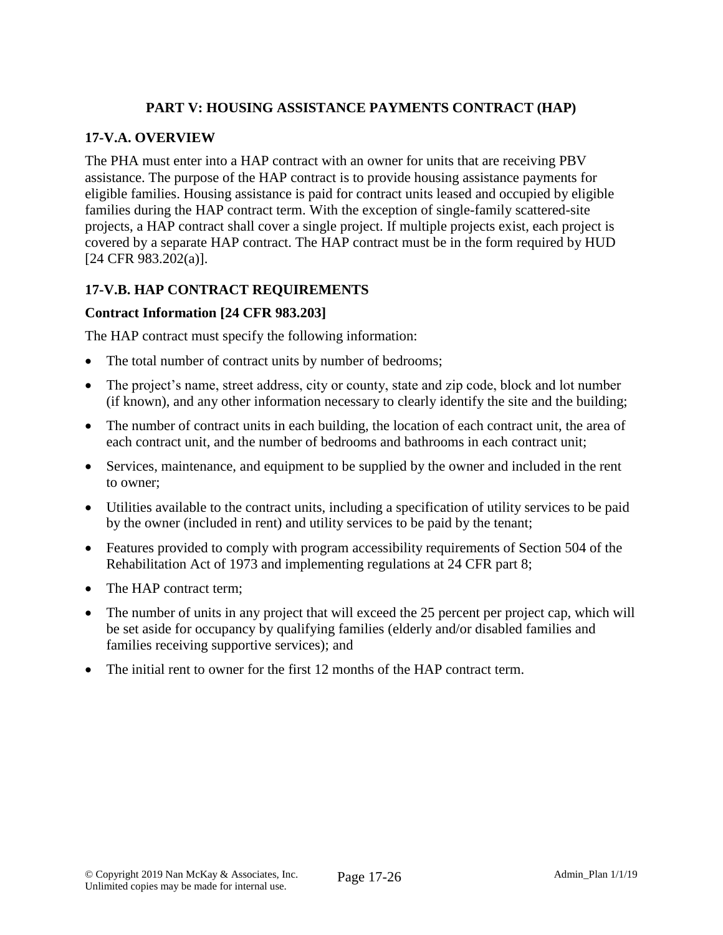# **PART V: HOUSING ASSISTANCE PAYMENTS CONTRACT (HAP)**

### **17-V.A. OVERVIEW**

The PHA must enter into a HAP contract with an owner for units that are receiving PBV assistance. The purpose of the HAP contract is to provide housing assistance payments for eligible families. Housing assistance is paid for contract units leased and occupied by eligible families during the HAP contract term. With the exception of single-family scattered-site projects, a HAP contract shall cover a single project. If multiple projects exist, each project is covered by a separate HAP contract. The HAP contract must be in the form required by HUD [24 CFR 983.202(a)].

# **17-V.B. HAP CONTRACT REQUIREMENTS**

#### **Contract Information [24 CFR 983.203]**

The HAP contract must specify the following information:

- The total number of contract units by number of bedrooms;
- The project's name, street address, city or county, state and zip code, block and lot number (if known), and any other information necessary to clearly identify the site and the building;
- The number of contract units in each building, the location of each contract unit, the area of each contract unit, and the number of bedrooms and bathrooms in each contract unit;
- Services, maintenance, and equipment to be supplied by the owner and included in the rent to owner;
- Utilities available to the contract units, including a specification of utility services to be paid by the owner (included in rent) and utility services to be paid by the tenant;
- Features provided to comply with program accessibility requirements of Section 504 of the Rehabilitation Act of 1973 and implementing regulations at 24 CFR part 8;
- The HAP contract term:
- The number of units in any project that will exceed the 25 percent per project cap, which will be set aside for occupancy by qualifying families (elderly and/or disabled families and families receiving supportive services); and
- The initial rent to owner for the first 12 months of the HAP contract term.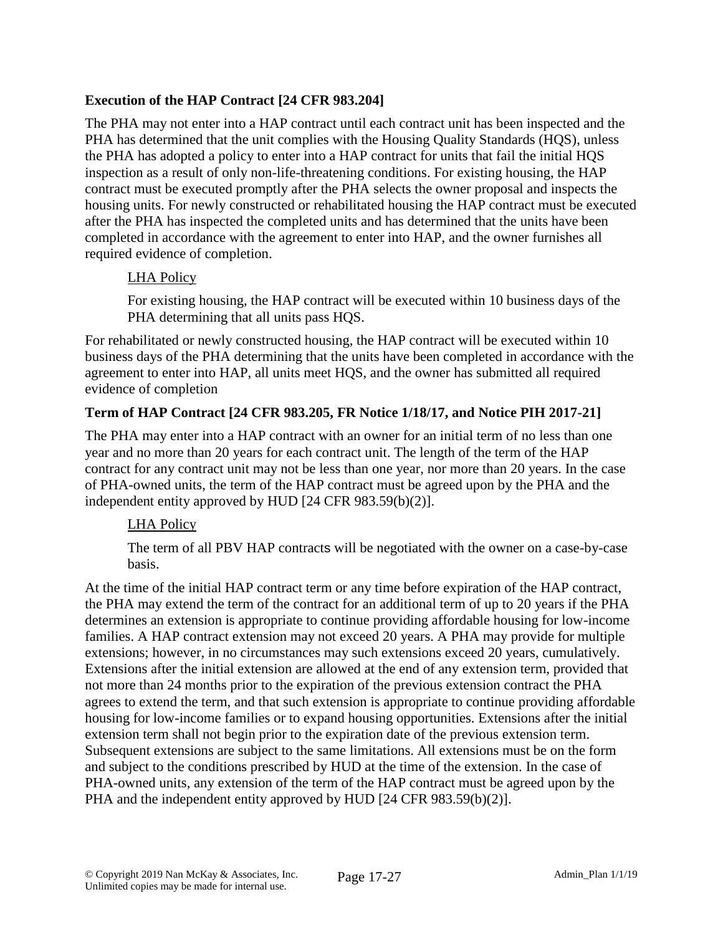# **Execution of the HAP Contract [24 CFR 983.204]**

The PHA may not enter into a HAP contract until each contract unit has been inspected and the PHA has determined that the unit complies with the Housing Quality Standards (HQS), unless the PHA has adopted a policy to enter into a HAP contract for units that fail the initial HQS inspection as a result of only non-life-threatening conditions. For existing housing, the HAP contract must be executed promptly after the PHA selects the owner proposal and inspects the housing units. For newly constructed or rehabilitated housing the HAP contract must be executed after the PHA has inspected the completed units and has determined that the units have been completed in accordance with the agreement to enter into HAP, and the owner furnishes all required evidence of completion.

### LHA Policy

For existing housing, the HAP contract will be executed within 10 business days of the PHA determining that all units pass HQS.

For rehabilitated or newly constructed housing, the HAP contract will be executed within 10 business days of the PHA determining that the units have been completed in accordance with the agreement to enter into HAP, all units meet HQS, and the owner has submitted all required evidence of completion

# **Term of HAP Contract [24 CFR 983.205, FR Notice 1/18/17, and Notice PIH 2017-21]**

The PHA may enter into a HAP contract with an owner for an initial term of no less than one year and no more than 20 years for each contract unit. The length of the term of the HAP contract for any contract unit may not be less than one year, nor more than 20 years. In the case of PHA-owned units, the term of the HAP contract must be agreed upon by the PHA and the independent entity approved by HUD [24 CFR 983.59(b)(2)].

### LHA Policy

The term of all PBV HAP contracts will be negotiated with the owner on a case-by-case basis.

At the time of the initial HAP contract term or any time before expiration of the HAP contract, the PHA may extend the term of the contract for an additional term of up to 20 years if the PHA determines an extension is appropriate to continue providing affordable housing for low-income families. A HAP contract extension may not exceed 20 years. A PHA may provide for multiple extensions; however, in no circumstances may such extensions exceed 20 years, cumulatively. Extensions after the initial extension are allowed at the end of any extension term, provided that not more than 24 months prior to the expiration of the previous extension contract the PHA agrees to extend the term, and that such extension is appropriate to continue providing affordable housing for low-income families or to expand housing opportunities. Extensions after the initial extension term shall not begin prior to the expiration date of the previous extension term. Subsequent extensions are subject to the same limitations. All extensions must be on the form and subject to the conditions prescribed by HUD at the time of the extension. In the case of PHA-owned units, any extension of the term of the HAP contract must be agreed upon by the PHA and the independent entity approved by HUD [24 CFR 983.59(b)(2)].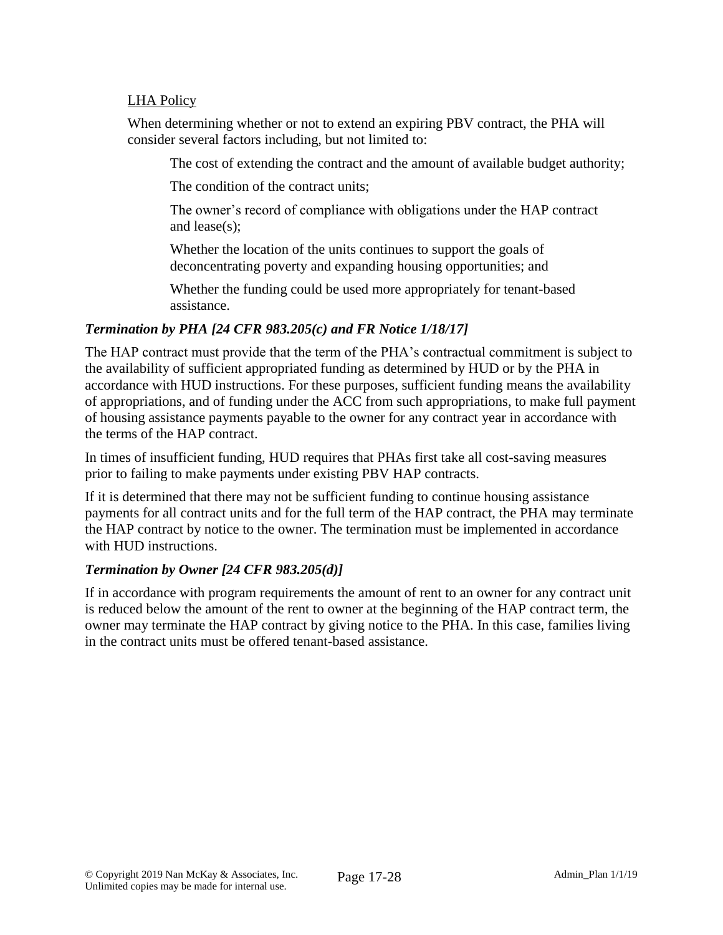### LHA Policy

When determining whether or not to extend an expiring PBV contract, the PHA will consider several factors including, but not limited to:

The cost of extending the contract and the amount of available budget authority;

The condition of the contract units;

The owner's record of compliance with obligations under the HAP contract and lease(s);

Whether the location of the units continues to support the goals of deconcentrating poverty and expanding housing opportunities; and

Whether the funding could be used more appropriately for tenant-based assistance.

#### *Termination by PHA [24 CFR 983.205(c) and FR Notice 1/18/17]*

The HAP contract must provide that the term of the PHA's contractual commitment is subject to the availability of sufficient appropriated funding as determined by HUD or by the PHA in accordance with HUD instructions. For these purposes, sufficient funding means the availability of appropriations, and of funding under the ACC from such appropriations, to make full payment of housing assistance payments payable to the owner for any contract year in accordance with the terms of the HAP contract.

In times of insufficient funding, HUD requires that PHAs first take all cost-saving measures prior to failing to make payments under existing PBV HAP contracts.

If it is determined that there may not be sufficient funding to continue housing assistance payments for all contract units and for the full term of the HAP contract, the PHA may terminate the HAP contract by notice to the owner. The termination must be implemented in accordance with HUD instructions.

### *Termination by Owner [24 CFR 983.205(d)]*

If in accordance with program requirements the amount of rent to an owner for any contract unit is reduced below the amount of the rent to owner at the beginning of the HAP contract term, the owner may terminate the HAP contract by giving notice to the PHA. In this case, families living in the contract units must be offered tenant-based assistance.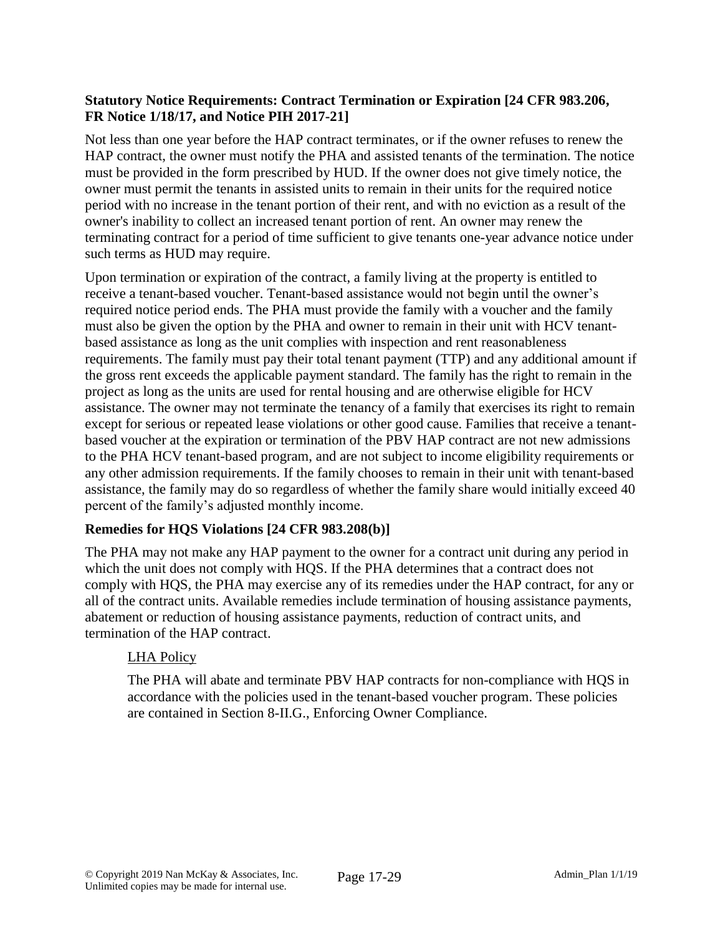### **Statutory Notice Requirements: Contract Termination or Expiration [24 CFR 983.206, FR Notice 1/18/17, and Notice PIH 2017-21]**

Not less than one year before the HAP contract terminates, or if the owner refuses to renew the HAP contract, the owner must notify the PHA and assisted tenants of the termination. The notice must be provided in the form prescribed by HUD. If the owner does not give timely notice, the owner must permit the tenants in assisted units to remain in their units for the required notice period with no increase in the tenant portion of their rent, and with no eviction as a result of the owner's inability to collect an increased tenant portion of rent. An owner may renew the terminating contract for a period of time sufficient to give tenants one-year advance notice under such terms as HUD may require.

Upon termination or expiration of the contract, a family living at the property is entitled to receive a tenant-based voucher. Tenant-based assistance would not begin until the owner's required notice period ends. The PHA must provide the family with a voucher and the family must also be given the option by the PHA and owner to remain in their unit with HCV tenantbased assistance as long as the unit complies with inspection and rent reasonableness requirements. The family must pay their total tenant payment (TTP) and any additional amount if the gross rent exceeds the applicable payment standard. The family has the right to remain in the project as long as the units are used for rental housing and are otherwise eligible for HCV assistance. The owner may not terminate the tenancy of a family that exercises its right to remain except for serious or repeated lease violations or other good cause. Families that receive a tenantbased voucher at the expiration or termination of the PBV HAP contract are not new admissions to the PHA HCV tenant-based program, and are not subject to income eligibility requirements or any other admission requirements. If the family chooses to remain in their unit with tenant-based assistance, the family may do so regardless of whether the family share would initially exceed 40 percent of the family's adjusted monthly income.

# **Remedies for HQS Violations [24 CFR 983.208(b)]**

The PHA may not make any HAP payment to the owner for a contract unit during any period in which the unit does not comply with HQS. If the PHA determines that a contract does not comply with HQS, the PHA may exercise any of its remedies under the HAP contract, for any or all of the contract units. Available remedies include termination of housing assistance payments, abatement or reduction of housing assistance payments, reduction of contract units, and termination of the HAP contract.

### LHA Policy

The PHA will abate and terminate PBV HAP contracts for non-compliance with HQS in accordance with the policies used in the tenant-based voucher program. These policies are contained in Section 8-II.G., Enforcing Owner Compliance.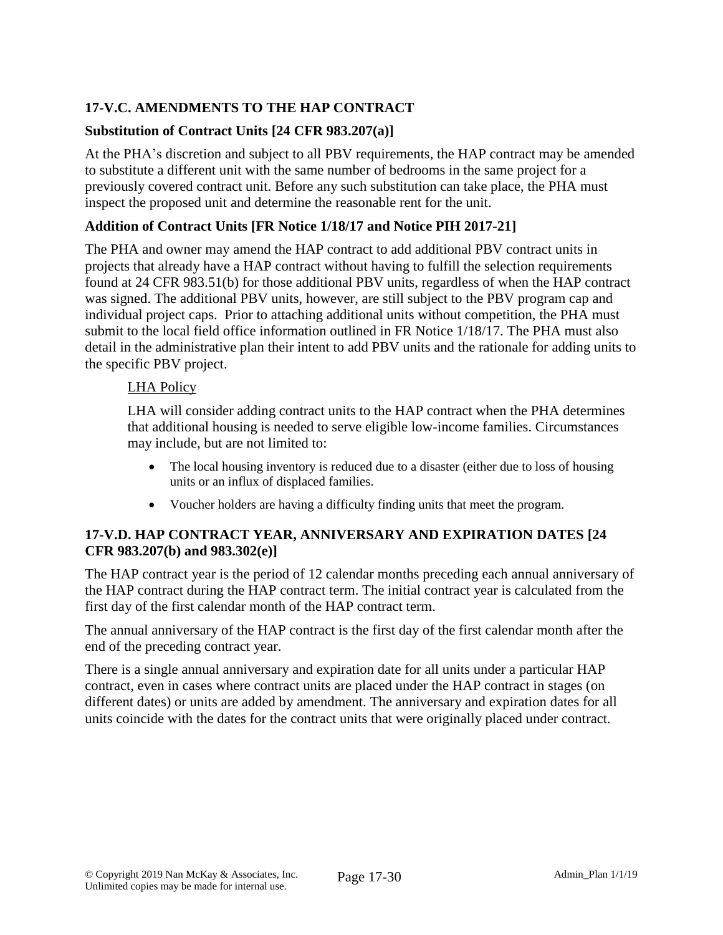# **17-V.C. AMENDMENTS TO THE HAP CONTRACT**

# **Substitution of Contract Units [24 CFR 983.207(a)]**

At the PHA's discretion and subject to all PBV requirements, the HAP contract may be amended to substitute a different unit with the same number of bedrooms in the same project for a previously covered contract unit. Before any such substitution can take place, the PHA must inspect the proposed unit and determine the reasonable rent for the unit.

# **Addition of Contract Units [FR Notice 1/18/17 and Notice PIH 2017-21]**

The PHA and owner may amend the HAP contract to add additional PBV contract units in projects that already have a HAP contract without having to fulfill the selection requirements found at 24 CFR 983.51(b) for those additional PBV units, regardless of when the HAP contract was signed. The additional PBV units, however, are still subject to the PBV program cap and individual project caps. Prior to attaching additional units without competition, the PHA must submit to the local field office information outlined in FR Notice 1/18/17. The PHA must also detail in the administrative plan their intent to add PBV units and the rationale for adding units to the specific PBV project.

# LHA Policy

LHA will consider adding contract units to the HAP contract when the PHA determines that additional housing is needed to serve eligible low-income families. Circumstances may include, but are not limited to:

- The local housing inventory is reduced due to a disaster (either due to loss of housing units or an influx of displaced families.
- Voucher holders are having a difficulty finding units that meet the program.

### **17-V.D. HAP CONTRACT YEAR, ANNIVERSARY AND EXPIRATION DATES [24 CFR 983.207(b) and 983.302(e)]**

The HAP contract year is the period of 12 calendar months preceding each annual anniversary of the HAP contract during the HAP contract term. The initial contract year is calculated from the first day of the first calendar month of the HAP contract term.

The annual anniversary of the HAP contract is the first day of the first calendar month after the end of the preceding contract year.

There is a single annual anniversary and expiration date for all units under a particular HAP contract, even in cases where contract units are placed under the HAP contract in stages (on different dates) or units are added by amendment. The anniversary and expiration dates for all units coincide with the dates for the contract units that were originally placed under contract.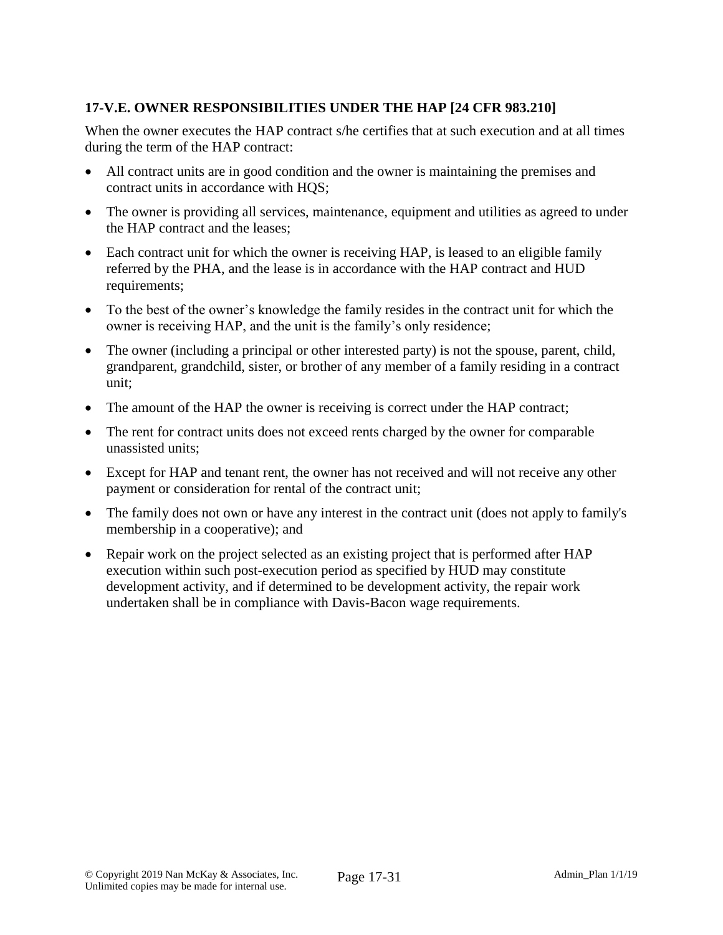# **17-V.E. OWNER RESPONSIBILITIES UNDER THE HAP [24 CFR 983.210]**

When the owner executes the HAP contract s/he certifies that at such execution and at all times during the term of the HAP contract:

- All contract units are in good condition and the owner is maintaining the premises and contract units in accordance with HQS;
- The owner is providing all services, maintenance, equipment and utilities as agreed to under the HAP contract and the leases;
- Each contract unit for which the owner is receiving HAP, is leased to an eligible family referred by the PHA, and the lease is in accordance with the HAP contract and HUD requirements;
- To the best of the owner's knowledge the family resides in the contract unit for which the owner is receiving HAP, and the unit is the family's only residence;
- The owner (including a principal or other interested party) is not the spouse, parent, child, grandparent, grandchild, sister, or brother of any member of a family residing in a contract unit;
- The amount of the HAP the owner is receiving is correct under the HAP contract;
- The rent for contract units does not exceed rents charged by the owner for comparable unassisted units;
- Except for HAP and tenant rent, the owner has not received and will not receive any other payment or consideration for rental of the contract unit;
- The family does not own or have any interest in the contract unit (does not apply to family's membership in a cooperative); and
- Repair work on the project selected as an existing project that is performed after HAP execution within such post-execution period as specified by HUD may constitute development activity, and if determined to be development activity, the repair work undertaken shall be in compliance with Davis-Bacon wage requirements.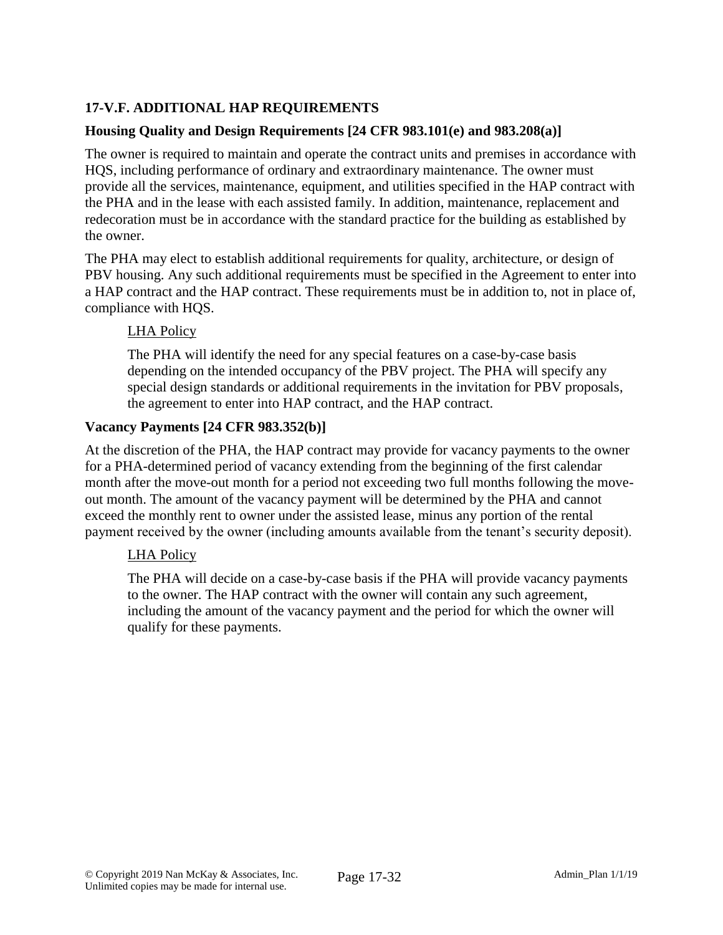# **17-V.F. ADDITIONAL HAP REQUIREMENTS**

### **Housing Quality and Design Requirements [24 CFR 983.101(e) and 983.208(a)]**

The owner is required to maintain and operate the contract units and premises in accordance with HQS, including performance of ordinary and extraordinary maintenance. The owner must provide all the services, maintenance, equipment, and utilities specified in the HAP contract with the PHA and in the lease with each assisted family. In addition, maintenance, replacement and redecoration must be in accordance with the standard practice for the building as established by the owner.

The PHA may elect to establish additional requirements for quality, architecture, or design of PBV housing. Any such additional requirements must be specified in the Agreement to enter into a HAP contract and the HAP contract. These requirements must be in addition to, not in place of, compliance with HQS.

#### LHA Policy

The PHA will identify the need for any special features on a case-by-case basis depending on the intended occupancy of the PBV project. The PHA will specify any special design standards or additional requirements in the invitation for PBV proposals, the agreement to enter into HAP contract, and the HAP contract.

#### **Vacancy Payments [24 CFR 983.352(b)]**

At the discretion of the PHA, the HAP contract may provide for vacancy payments to the owner for a PHA-determined period of vacancy extending from the beginning of the first calendar month after the move-out month for a period not exceeding two full months following the moveout month. The amount of the vacancy payment will be determined by the PHA and cannot exceed the monthly rent to owner under the assisted lease, minus any portion of the rental payment received by the owner (including amounts available from the tenant's security deposit).

### LHA Policy

The PHA will decide on a case-by-case basis if the PHA will provide vacancy payments to the owner. The HAP contract with the owner will contain any such agreement, including the amount of the vacancy payment and the period for which the owner will qualify for these payments.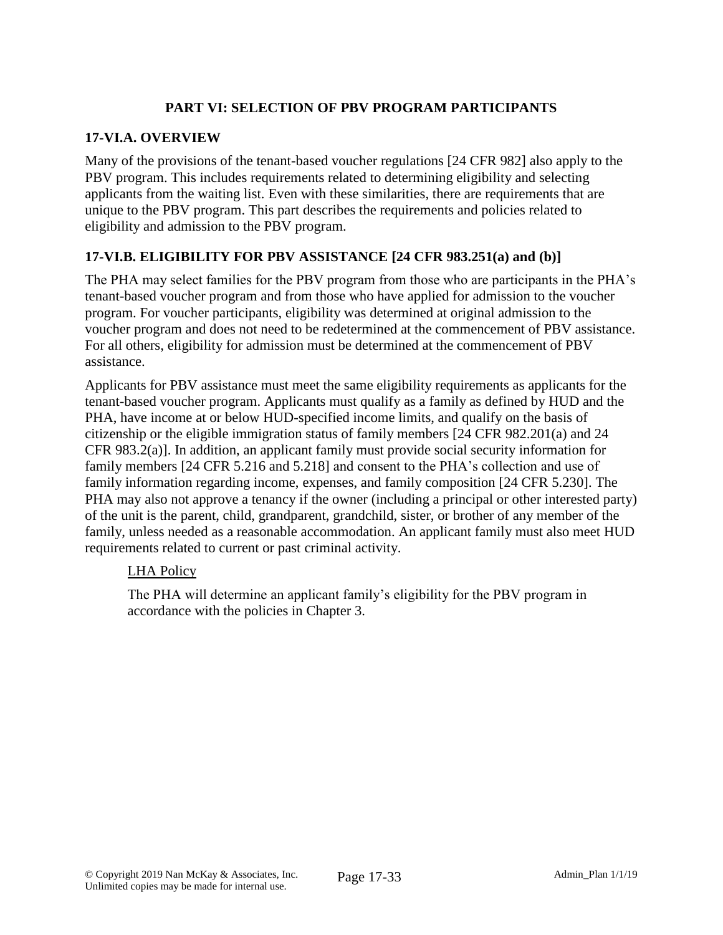# **PART VI: SELECTION OF PBV PROGRAM PARTICIPANTS**

### **17-VI.A. OVERVIEW**

Many of the provisions of the tenant-based voucher regulations [24 CFR 982] also apply to the PBV program. This includes requirements related to determining eligibility and selecting applicants from the waiting list. Even with these similarities, there are requirements that are unique to the PBV program. This part describes the requirements and policies related to eligibility and admission to the PBV program.

# **17-VI.B. ELIGIBILITY FOR PBV ASSISTANCE [24 CFR 983.251(a) and (b)]**

The PHA may select families for the PBV program from those who are participants in the PHA's tenant-based voucher program and from those who have applied for admission to the voucher program. For voucher participants, eligibility was determined at original admission to the voucher program and does not need to be redetermined at the commencement of PBV assistance. For all others, eligibility for admission must be determined at the commencement of PBV assistance.

Applicants for PBV assistance must meet the same eligibility requirements as applicants for the tenant-based voucher program. Applicants must qualify as a family as defined by HUD and the PHA, have income at or below HUD-specified income limits, and qualify on the basis of citizenship or the eligible immigration status of family members [24 CFR 982.201(a) and 24 CFR 983.2(a)]. In addition, an applicant family must provide social security information for family members [24 CFR 5.216 and 5.218] and consent to the PHA's collection and use of family information regarding income, expenses, and family composition [24 CFR 5.230]. The PHA may also not approve a tenancy if the owner (including a principal or other interested party) of the unit is the parent, child, grandparent, grandchild, sister, or brother of any member of the family, unless needed as a reasonable accommodation. An applicant family must also meet HUD requirements related to current or past criminal activity.

### LHA Policy

The PHA will determine an applicant family's eligibility for the PBV program in accordance with the policies in Chapter 3.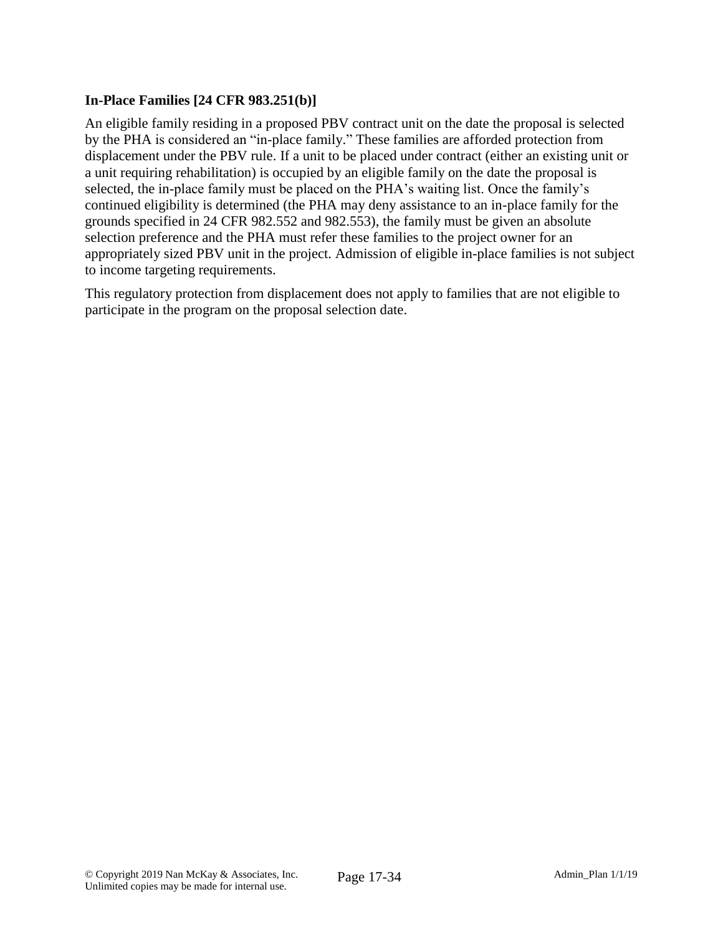### **In-Place Families [24 CFR 983.251(b)]**

An eligible family residing in a proposed PBV contract unit on the date the proposal is selected by the PHA is considered an "in-place family." These families are afforded protection from displacement under the PBV rule. If a unit to be placed under contract (either an existing unit or a unit requiring rehabilitation) is occupied by an eligible family on the date the proposal is selected, the in-place family must be placed on the PHA's waiting list. Once the family's continued eligibility is determined (the PHA may deny assistance to an in-place family for the grounds specified in 24 CFR 982.552 and 982.553), the family must be given an absolute selection preference and the PHA must refer these families to the project owner for an appropriately sized PBV unit in the project. Admission of eligible in-place families is not subject to income targeting requirements.

This regulatory protection from displacement does not apply to families that are not eligible to participate in the program on the proposal selection date.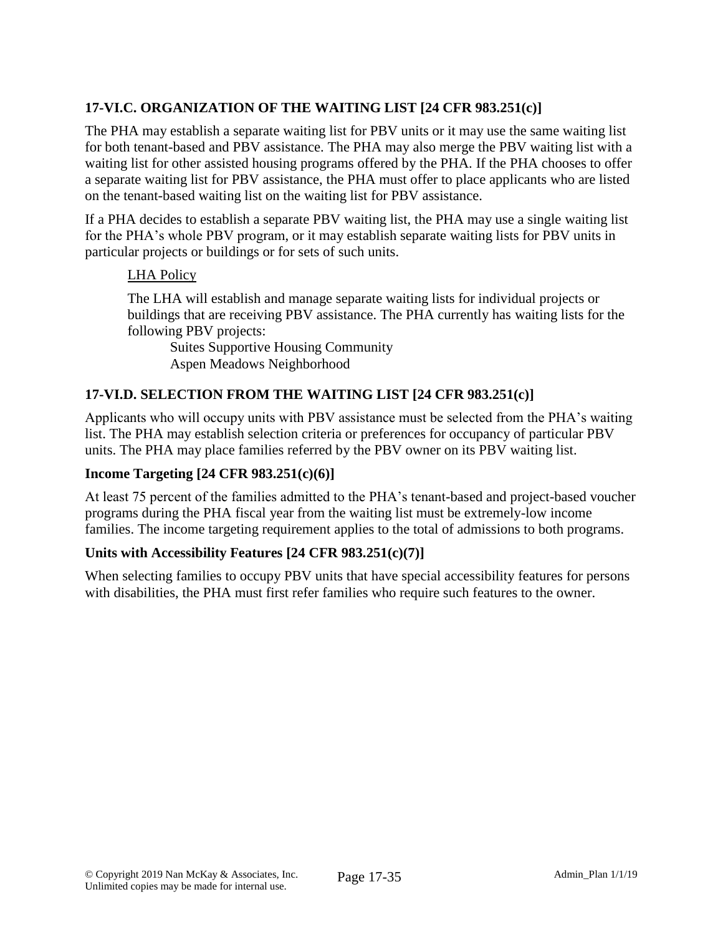# **17-VI.C. ORGANIZATION OF THE WAITING LIST [24 CFR 983.251(c)]**

The PHA may establish a separate waiting list for PBV units or it may use the same waiting list for both tenant-based and PBV assistance. The PHA may also merge the PBV waiting list with a waiting list for other assisted housing programs offered by the PHA. If the PHA chooses to offer a separate waiting list for PBV assistance, the PHA must offer to place applicants who are listed on the tenant-based waiting list on the waiting list for PBV assistance.

If a PHA decides to establish a separate PBV waiting list, the PHA may use a single waiting list for the PHA's whole PBV program, or it may establish separate waiting lists for PBV units in particular projects or buildings or for sets of such units.

#### LHA Policy

The LHA will establish and manage separate waiting lists for individual projects or buildings that are receiving PBV assistance. The PHA currently has waiting lists for the following PBV projects:

Suites Supportive Housing Community Aspen Meadows Neighborhood

### **17-VI.D. SELECTION FROM THE WAITING LIST [24 CFR 983.251(c)]**

Applicants who will occupy units with PBV assistance must be selected from the PHA's waiting list. The PHA may establish selection criteria or preferences for occupancy of particular PBV units. The PHA may place families referred by the PBV owner on its PBV waiting list.

#### **Income Targeting [24 CFR 983.251(c)(6)]**

At least 75 percent of the families admitted to the PHA's tenant-based and project-based voucher programs during the PHA fiscal year from the waiting list must be extremely-low income families. The income targeting requirement applies to the total of admissions to both programs.

### **Units with Accessibility Features [24 CFR 983.251(c)(7)]**

When selecting families to occupy PBV units that have special accessibility features for persons with disabilities, the PHA must first refer families who require such features to the owner.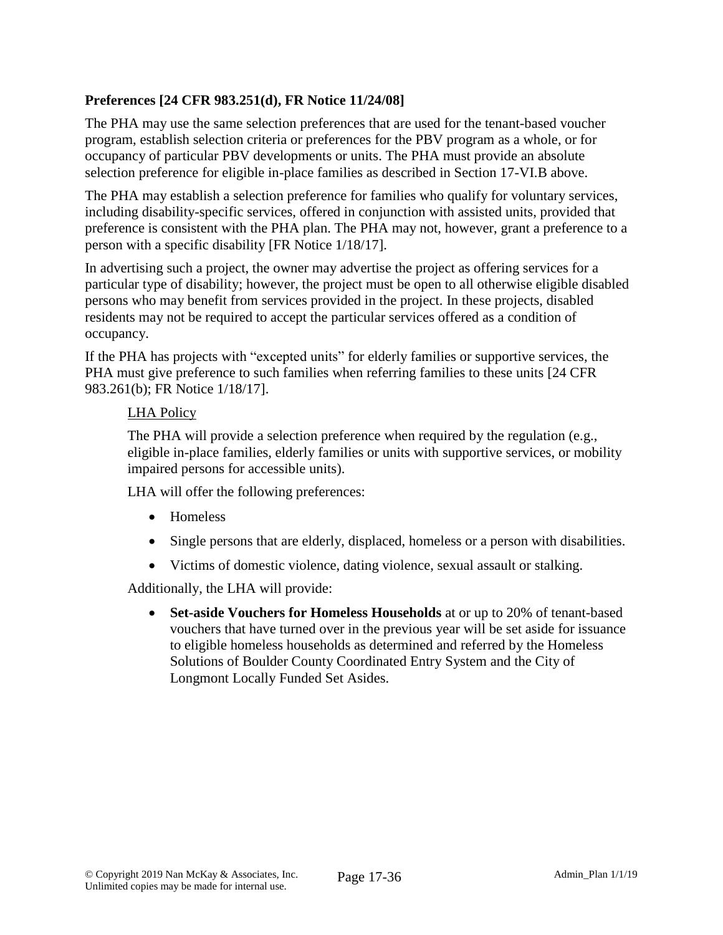# **Preferences [24 CFR 983.251(d), FR Notice 11/24/08]**

The PHA may use the same selection preferences that are used for the tenant-based voucher program, establish selection criteria or preferences for the PBV program as a whole, or for occupancy of particular PBV developments or units. The PHA must provide an absolute selection preference for eligible in-place families as described in Section 17-VI.B above.

The PHA may establish a selection preference for families who qualify for voluntary services, including disability-specific services, offered in conjunction with assisted units, provided that preference is consistent with the PHA plan. The PHA may not, however, grant a preference to a person with a specific disability [FR Notice 1/18/17].

In advertising such a project, the owner may advertise the project as offering services for a particular type of disability; however, the project must be open to all otherwise eligible disabled persons who may benefit from services provided in the project. In these projects, disabled residents may not be required to accept the particular services offered as a condition of occupancy.

If the PHA has projects with "excepted units" for elderly families or supportive services, the PHA must give preference to such families when referring families to these units [24 CFR 983.261(b); FR Notice 1/18/17].

#### LHA Policy

The PHA will provide a selection preference when required by the regulation (e.g., eligible in-place families, elderly families or units with supportive services, or mobility impaired persons for accessible units).

LHA will offer the following preferences:

- Homeless
- Single persons that are elderly, displaced, homeless or a person with disabilities.
- Victims of domestic violence, dating violence, sexual assault or stalking.

Additionally, the LHA will provide:

 **Set-aside Vouchers for Homeless Households** at or up to 20% of tenant-based vouchers that have turned over in the previous year will be set aside for issuance to eligible homeless households as determined and referred by the Homeless Solutions of Boulder County Coordinated Entry System and the City of Longmont Locally Funded Set Asides.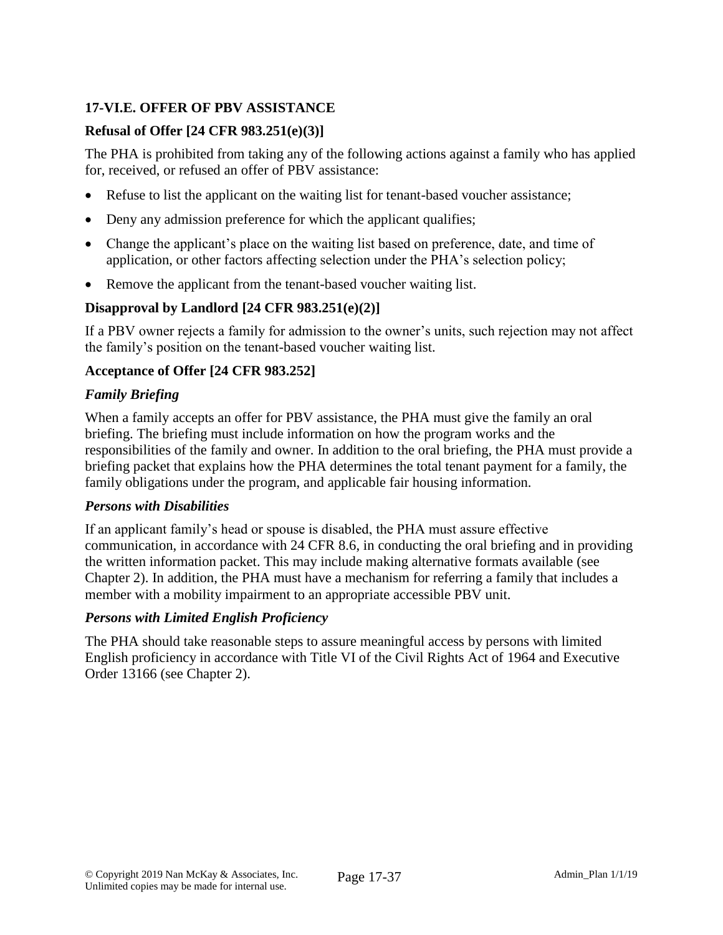# **17-VI.E. OFFER OF PBV ASSISTANCE**

### **Refusal of Offer [24 CFR 983.251(e)(3)]**

The PHA is prohibited from taking any of the following actions against a family who has applied for, received, or refused an offer of PBV assistance:

- Refuse to list the applicant on the waiting list for tenant-based voucher assistance;
- Deny any admission preference for which the applicant qualifies;
- Change the applicant's place on the waiting list based on preference, date, and time of application, or other factors affecting selection under the PHA's selection policy;
- Remove the applicant from the tenant-based voucher waiting list.

# **Disapproval by Landlord [24 CFR 983.251(e)(2)]**

If a PBV owner rejects a family for admission to the owner's units, such rejection may not affect the family's position on the tenant-based voucher waiting list.

### **Acceptance of Offer [24 CFR 983.252]**

### *Family Briefing*

When a family accepts an offer for PBV assistance, the PHA must give the family an oral briefing. The briefing must include information on how the program works and the responsibilities of the family and owner. In addition to the oral briefing, the PHA must provide a briefing packet that explains how the PHA determines the total tenant payment for a family, the family obligations under the program, and applicable fair housing information.

### *Persons with Disabilities*

If an applicant family's head or spouse is disabled, the PHA must assure effective communication, in accordance with 24 CFR 8.6, in conducting the oral briefing and in providing the written information packet. This may include making alternative formats available (see Chapter 2). In addition, the PHA must have a mechanism for referring a family that includes a member with a mobility impairment to an appropriate accessible PBV unit.

### *Persons with Limited English Proficiency*

The PHA should take reasonable steps to assure meaningful access by persons with limited English proficiency in accordance with Title VI of the Civil Rights Act of 1964 and Executive Order 13166 (see Chapter 2).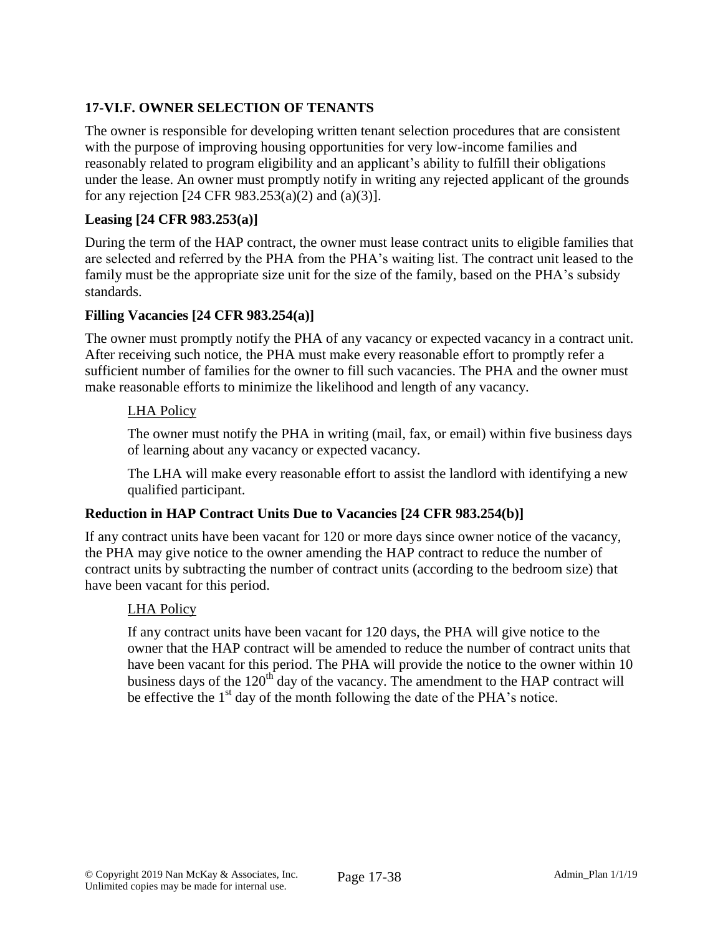# **17-VI.F. OWNER SELECTION OF TENANTS**

The owner is responsible for developing written tenant selection procedures that are consistent with the purpose of improving housing opportunities for very low-income families and reasonably related to program eligibility and an applicant's ability to fulfill their obligations under the lease. An owner must promptly notify in writing any rejected applicant of the grounds for any rejection [24 CFR 983.253(a)(2) and (a)(3)].

### **Leasing [24 CFR 983.253(a)]**

During the term of the HAP contract, the owner must lease contract units to eligible families that are selected and referred by the PHA from the PHA's waiting list. The contract unit leased to the family must be the appropriate size unit for the size of the family, based on the PHA's subsidy standards.

### **Filling Vacancies [24 CFR 983.254(a)]**

The owner must promptly notify the PHA of any vacancy or expected vacancy in a contract unit. After receiving such notice, the PHA must make every reasonable effort to promptly refer a sufficient number of families for the owner to fill such vacancies. The PHA and the owner must make reasonable efforts to minimize the likelihood and length of any vacancy.

### LHA Policy

The owner must notify the PHA in writing (mail, fax, or email) within five business days of learning about any vacancy or expected vacancy.

The LHA will make every reasonable effort to assist the landlord with identifying a new qualified participant.

### **Reduction in HAP Contract Units Due to Vacancies [24 CFR 983.254(b)]**

If any contract units have been vacant for 120 or more days since owner notice of the vacancy, the PHA may give notice to the owner amending the HAP contract to reduce the number of contract units by subtracting the number of contract units (according to the bedroom size) that have been vacant for this period.

### LHA Policy

If any contract units have been vacant for 120 days, the PHA will give notice to the owner that the HAP contract will be amended to reduce the number of contract units that have been vacant for this period. The PHA will provide the notice to the owner within 10 business days of the 120<sup>th</sup> day of the vacancy. The amendment to the HAP contract will be effective the  $1<sup>st</sup>$  day of the month following the date of the PHA's notice.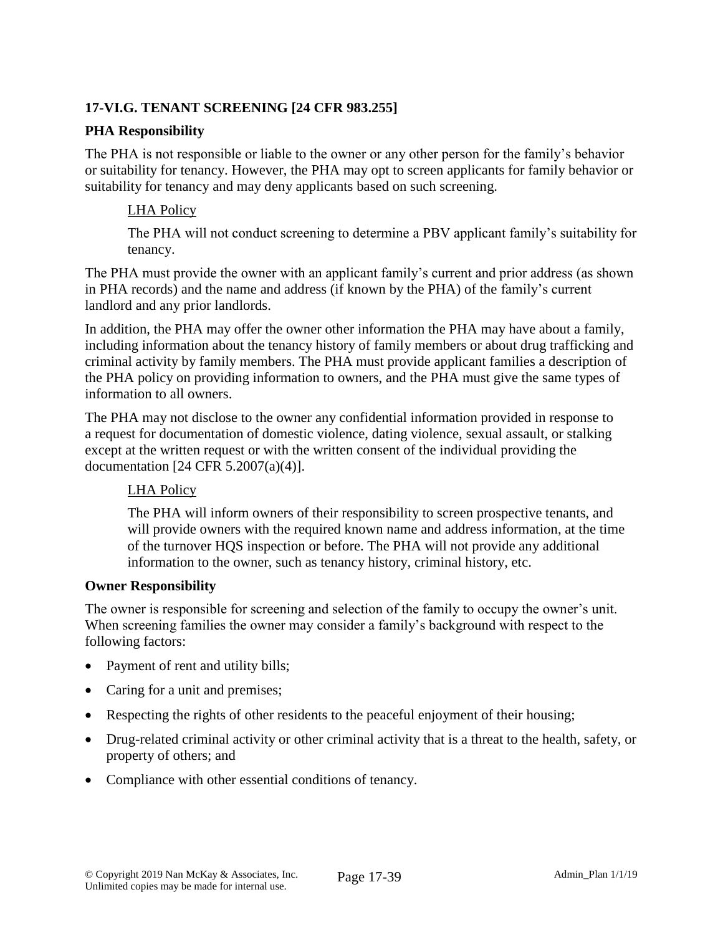# **17-VI.G. TENANT SCREENING [24 CFR 983.255]**

#### **PHA Responsibility**

The PHA is not responsible or liable to the owner or any other person for the family's behavior or suitability for tenancy. However, the PHA may opt to screen applicants for family behavior or suitability for tenancy and may deny applicants based on such screening.

#### LHA Policy

The PHA will not conduct screening to determine a PBV applicant family's suitability for tenancy.

The PHA must provide the owner with an applicant family's current and prior address (as shown in PHA records) and the name and address (if known by the PHA) of the family's current landlord and any prior landlords.

In addition, the PHA may offer the owner other information the PHA may have about a family, including information about the tenancy history of family members or about drug trafficking and criminal activity by family members. The PHA must provide applicant families a description of the PHA policy on providing information to owners, and the PHA must give the same types of information to all owners.

The PHA may not disclose to the owner any confidential information provided in response to a request for documentation of domestic violence, dating violence, sexual assault, or stalking except at the written request or with the written consent of the individual providing the documentation [24 CFR 5.2007(a)(4)].

### LHA Policy

The PHA will inform owners of their responsibility to screen prospective tenants, and will provide owners with the required known name and address information, at the time of the turnover HQS inspection or before. The PHA will not provide any additional information to the owner, such as tenancy history, criminal history, etc.

#### **Owner Responsibility**

The owner is responsible for screening and selection of the family to occupy the owner's unit. When screening families the owner may consider a family's background with respect to the following factors:

- Payment of rent and utility bills;
- Caring for a unit and premises;
- Respecting the rights of other residents to the peaceful enjoyment of their housing;
- Drug-related criminal activity or other criminal activity that is a threat to the health, safety, or property of others; and
- Compliance with other essential conditions of tenancy.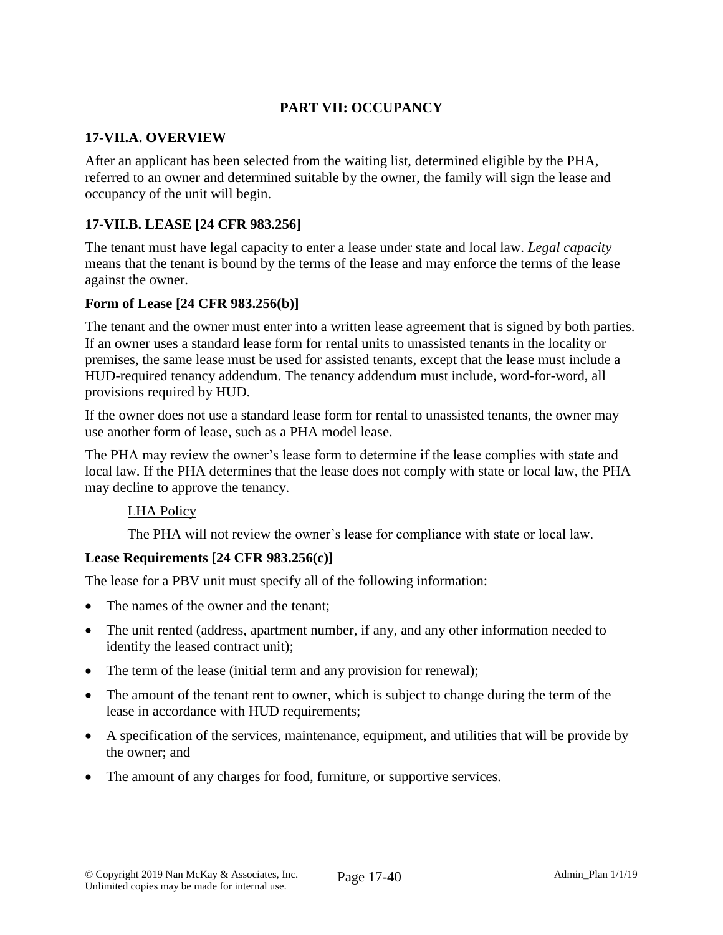# **PART VII: OCCUPANCY**

#### **17-VII.A. OVERVIEW**

After an applicant has been selected from the waiting list, determined eligible by the PHA, referred to an owner and determined suitable by the owner, the family will sign the lease and occupancy of the unit will begin.

### **17-VII.B. LEASE [24 CFR 983.256]**

The tenant must have legal capacity to enter a lease under state and local law. *Legal capacity* means that the tenant is bound by the terms of the lease and may enforce the terms of the lease against the owner.

#### **Form of Lease [24 CFR 983.256(b)]**

The tenant and the owner must enter into a written lease agreement that is signed by both parties. If an owner uses a standard lease form for rental units to unassisted tenants in the locality or premises, the same lease must be used for assisted tenants, except that the lease must include a HUD-required tenancy addendum. The tenancy addendum must include, word-for-word, all provisions required by HUD.

If the owner does not use a standard lease form for rental to unassisted tenants, the owner may use another form of lease, such as a PHA model lease.

The PHA may review the owner's lease form to determine if the lease complies with state and local law. If the PHA determines that the lease does not comply with state or local law, the PHA may decline to approve the tenancy.

#### LHA Policy

The PHA will not review the owner's lease for compliance with state or local law.

#### **Lease Requirements [24 CFR 983.256(c)]**

The lease for a PBV unit must specify all of the following information:

- The names of the owner and the tenant;
- The unit rented (address, apartment number, if any, and any other information needed to identify the leased contract unit);
- The term of the lease (initial term and any provision for renewal);
- The amount of the tenant rent to owner, which is subject to change during the term of the lease in accordance with HUD requirements;
- A specification of the services, maintenance, equipment, and utilities that will be provide by the owner; and
- The amount of any charges for food, furniture, or supportive services.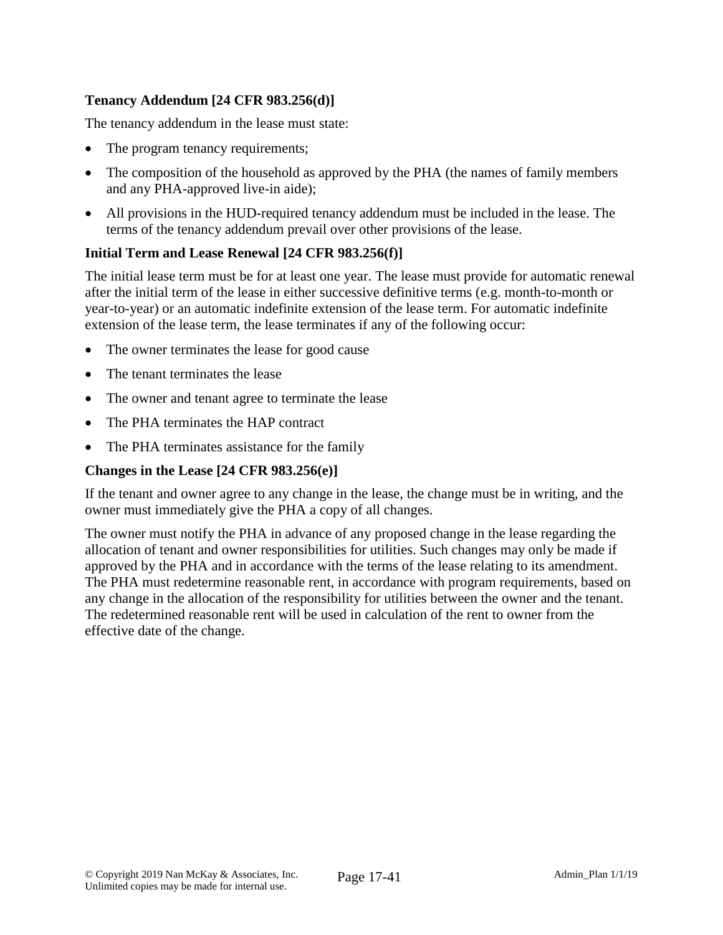# **Tenancy Addendum [24 CFR 983.256(d)]**

The tenancy addendum in the lease must state:

- The program tenancy requirements;
- The composition of the household as approved by the PHA (the names of family members and any PHA-approved live-in aide);
- All provisions in the HUD-required tenancy addendum must be included in the lease. The terms of the tenancy addendum prevail over other provisions of the lease.

### **Initial Term and Lease Renewal [24 CFR 983.256(f)]**

The initial lease term must be for at least one year. The lease must provide for automatic renewal after the initial term of the lease in either successive definitive terms (e.g. month-to-month or year-to-year) or an automatic indefinite extension of the lease term. For automatic indefinite extension of the lease term, the lease terminates if any of the following occur:

- The owner terminates the lease for good cause
- The tenant terminates the lease
- The owner and tenant agree to terminate the lease
- The PHA terminates the HAP contract
- The PHA terminates assistance for the family

#### **Changes in the Lease [24 CFR 983.256(e)]**

If the tenant and owner agree to any change in the lease, the change must be in writing, and the owner must immediately give the PHA a copy of all changes.

The owner must notify the PHA in advance of any proposed change in the lease regarding the allocation of tenant and owner responsibilities for utilities. Such changes may only be made if approved by the PHA and in accordance with the terms of the lease relating to its amendment. The PHA must redetermine reasonable rent, in accordance with program requirements, based on any change in the allocation of the responsibility for utilities between the owner and the tenant. The redetermined reasonable rent will be used in calculation of the rent to owner from the effective date of the change.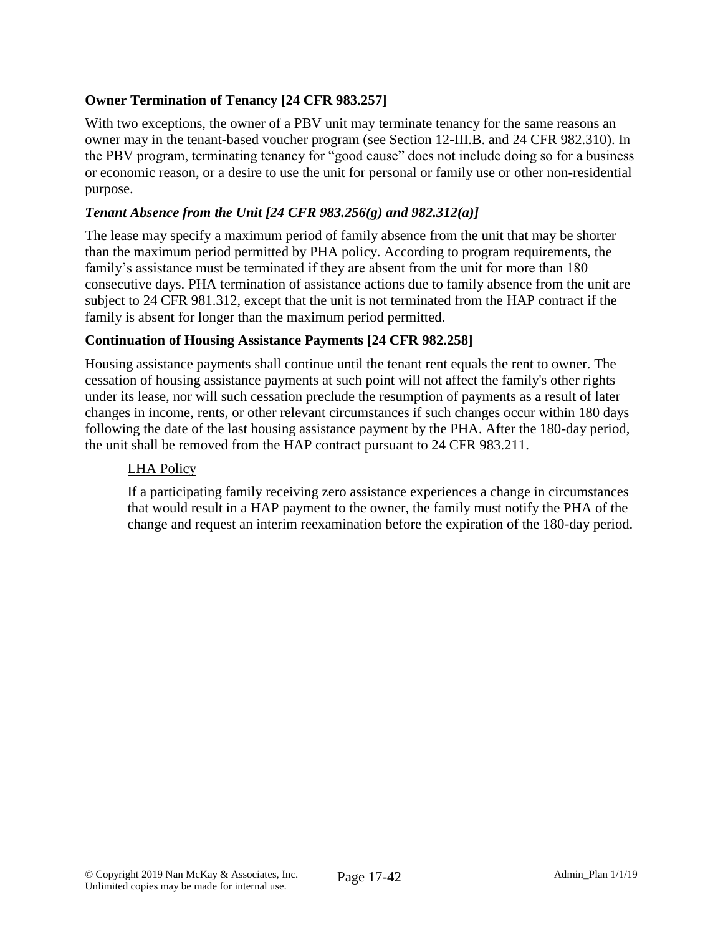# **Owner Termination of Tenancy [24 CFR 983.257]**

With two exceptions, the owner of a PBV unit may terminate tenancy for the same reasons an owner may in the tenant-based voucher program (see Section 12-III.B. and 24 CFR 982.310). In the PBV program, terminating tenancy for "good cause" does not include doing so for a business or economic reason, or a desire to use the unit for personal or family use or other non-residential purpose.

### *Tenant Absence from the Unit [24 CFR 983.256(g) and 982.312(a)]*

The lease may specify a maximum period of family absence from the unit that may be shorter than the maximum period permitted by PHA policy. According to program requirements, the family's assistance must be terminated if they are absent from the unit for more than 180 consecutive days. PHA termination of assistance actions due to family absence from the unit are subject to 24 CFR 981.312, except that the unit is not terminated from the HAP contract if the family is absent for longer than the maximum period permitted.

### **Continuation of Housing Assistance Payments [24 CFR 982.258]**

Housing assistance payments shall continue until the tenant rent equals the rent to owner. The cessation of housing assistance payments at such point will not affect the family's other rights under its lease, nor will such cessation preclude the resumption of payments as a result of later changes in income, rents, or other relevant circumstances if such changes occur within 180 days following the date of the last housing assistance payment by the PHA. After the 180-day period, the unit shall be removed from the HAP contract pursuant to 24 CFR 983.211.

#### LHA Policy

If a participating family receiving zero assistance experiences a change in circumstances that would result in a HAP payment to the owner, the family must notify the PHA of the change and request an interim reexamination before the expiration of the 180-day period.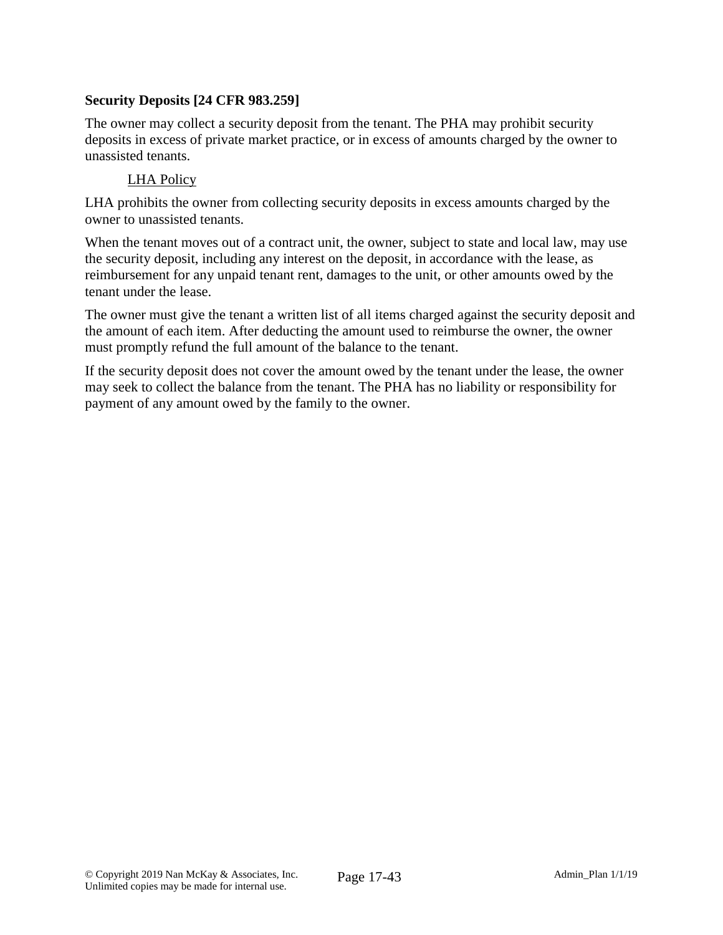### **Security Deposits [24 CFR 983.259]**

The owner may collect a security deposit from the tenant. The PHA may prohibit security deposits in excess of private market practice, or in excess of amounts charged by the owner to unassisted tenants.

# LHA Policy

LHA prohibits the owner from collecting security deposits in excess amounts charged by the owner to unassisted tenants.

When the tenant moves out of a contract unit, the owner, subject to state and local law, may use the security deposit, including any interest on the deposit, in accordance with the lease, as reimbursement for any unpaid tenant rent, damages to the unit, or other amounts owed by the tenant under the lease.

The owner must give the tenant a written list of all items charged against the security deposit and the amount of each item. After deducting the amount used to reimburse the owner, the owner must promptly refund the full amount of the balance to the tenant.

If the security deposit does not cover the amount owed by the tenant under the lease, the owner may seek to collect the balance from the tenant. The PHA has no liability or responsibility for payment of any amount owed by the family to the owner.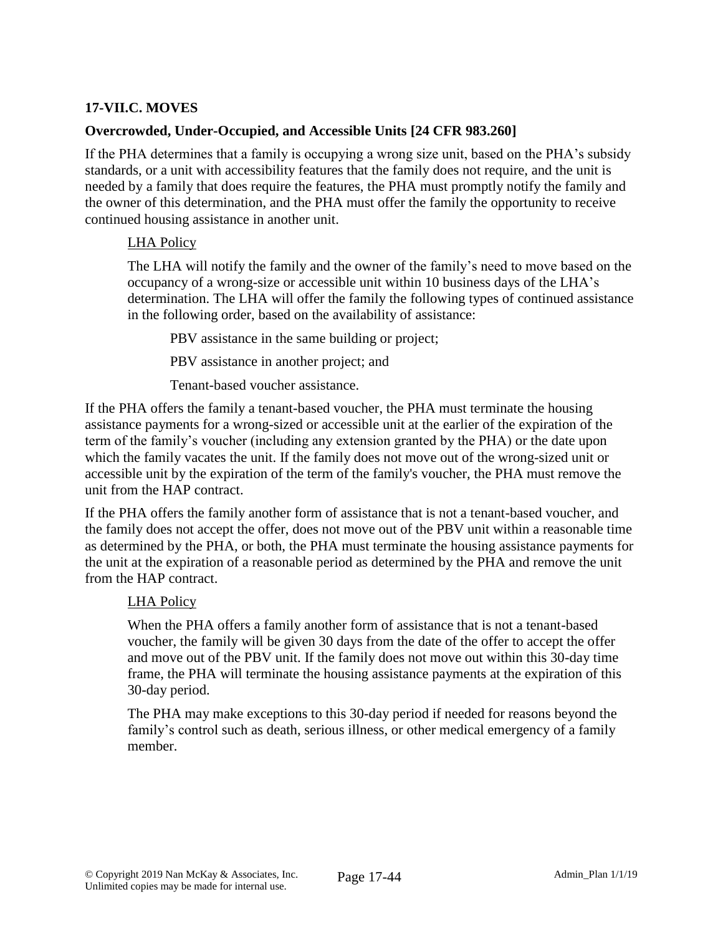### **17-VII.C. MOVES**

### **Overcrowded, Under-Occupied, and Accessible Units [24 CFR 983.260]**

If the PHA determines that a family is occupying a wrong size unit, based on the PHA's subsidy standards, or a unit with accessibility features that the family does not require, and the unit is needed by a family that does require the features, the PHA must promptly notify the family and the owner of this determination, and the PHA must offer the family the opportunity to receive continued housing assistance in another unit.

### LHA Policy

The LHA will notify the family and the owner of the family's need to move based on the occupancy of a wrong-size or accessible unit within 10 business days of the LHA's determination. The LHA will offer the family the following types of continued assistance in the following order, based on the availability of assistance:

PBV assistance in the same building or project;

PBV assistance in another project; and

Tenant-based voucher assistance.

If the PHA offers the family a tenant-based voucher, the PHA must terminate the housing assistance payments for a wrong-sized or accessible unit at the earlier of the expiration of the term of the family's voucher (including any extension granted by the PHA) or the date upon which the family vacates the unit. If the family does not move out of the wrong-sized unit or accessible unit by the expiration of the term of the family's voucher, the PHA must remove the unit from the HAP contract.

If the PHA offers the family another form of assistance that is not a tenant-based voucher, and the family does not accept the offer, does not move out of the PBV unit within a reasonable time as determined by the PHA, or both, the PHA must terminate the housing assistance payments for the unit at the expiration of a reasonable period as determined by the PHA and remove the unit from the HAP contract.

### LHA Policy

When the PHA offers a family another form of assistance that is not a tenant-based voucher, the family will be given 30 days from the date of the offer to accept the offer and move out of the PBV unit. If the family does not move out within this 30-day time frame, the PHA will terminate the housing assistance payments at the expiration of this 30-day period.

The PHA may make exceptions to this 30-day period if needed for reasons beyond the family's control such as death, serious illness, or other medical emergency of a family member.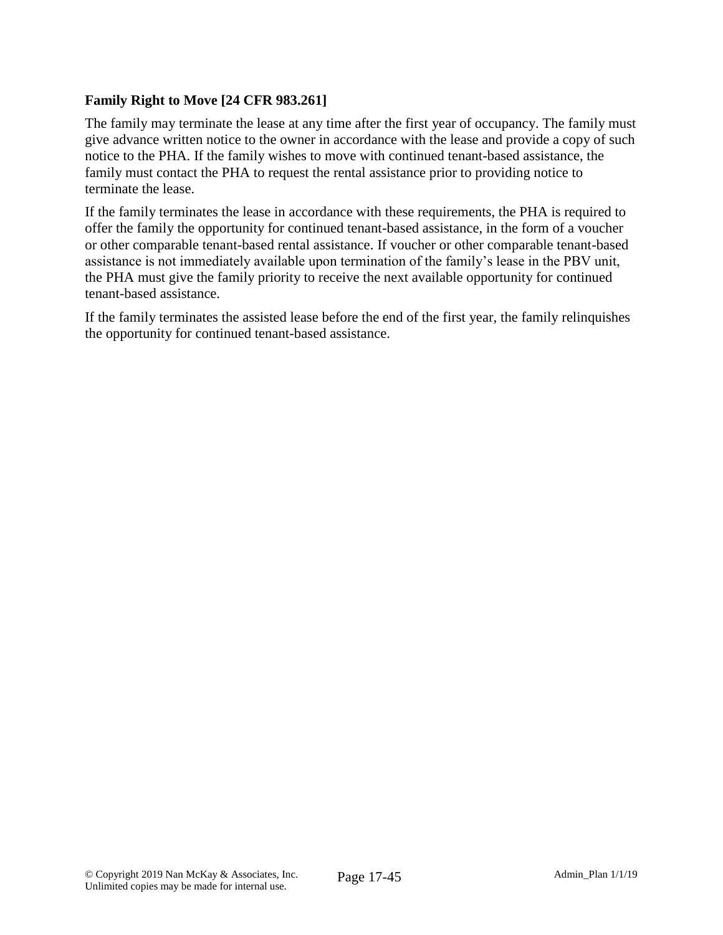### **Family Right to Move [24 CFR 983.261]**

The family may terminate the lease at any time after the first year of occupancy. The family must give advance written notice to the owner in accordance with the lease and provide a copy of such notice to the PHA. If the family wishes to move with continued tenant-based assistance, the family must contact the PHA to request the rental assistance prior to providing notice to terminate the lease.

If the family terminates the lease in accordance with these requirements, the PHA is required to offer the family the opportunity for continued tenant-based assistance, in the form of a voucher or other comparable tenant-based rental assistance. If voucher or other comparable tenant-based assistance is not immediately available upon termination of the family's lease in the PBV unit, the PHA must give the family priority to receive the next available opportunity for continued tenant-based assistance.

If the family terminates the assisted lease before the end of the first year, the family relinquishes the opportunity for continued tenant-based assistance.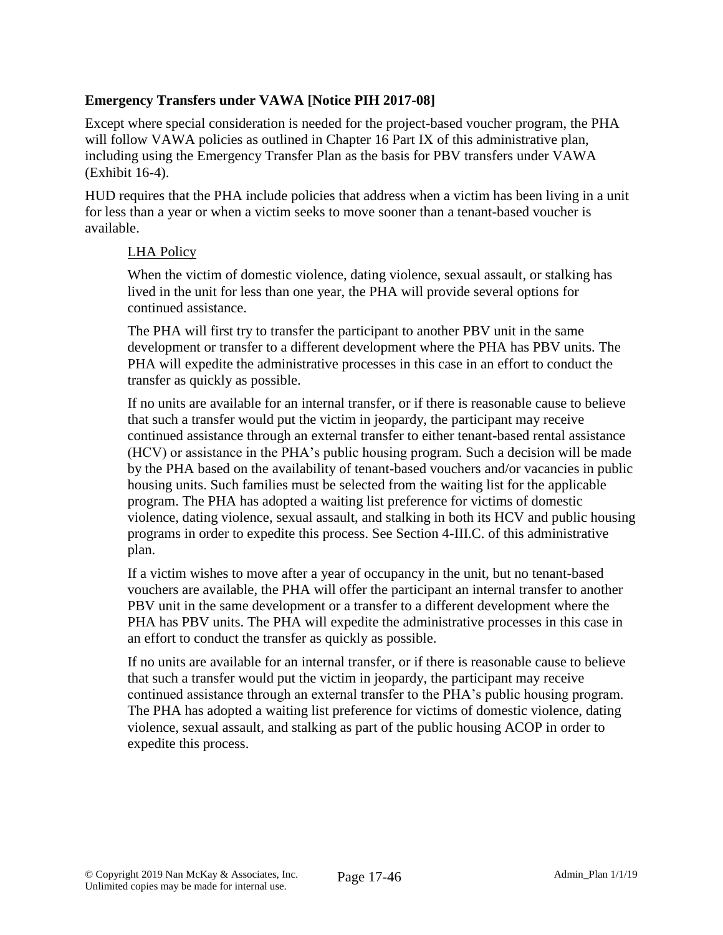### **Emergency Transfers under VAWA [Notice PIH 2017-08]**

Except where special consideration is needed for the project-based voucher program, the PHA will follow VAWA policies as outlined in Chapter 16 Part IX of this administrative plan, including using the Emergency Transfer Plan as the basis for PBV transfers under VAWA (Exhibit 16-4).

HUD requires that the PHA include policies that address when a victim has been living in a unit for less than a year or when a victim seeks to move sooner than a tenant-based voucher is available.

### LHA Policy

When the victim of domestic violence, dating violence, sexual assault, or stalking has lived in the unit for less than one year, the PHA will provide several options for continued assistance.

The PHA will first try to transfer the participant to another PBV unit in the same development or transfer to a different development where the PHA has PBV units. The PHA will expedite the administrative processes in this case in an effort to conduct the transfer as quickly as possible.

If no units are available for an internal transfer, or if there is reasonable cause to believe that such a transfer would put the victim in jeopardy, the participant may receive continued assistance through an external transfer to either tenant-based rental assistance (HCV) or assistance in the PHA's public housing program. Such a decision will be made by the PHA based on the availability of tenant-based vouchers and/or vacancies in public housing units. Such families must be selected from the waiting list for the applicable program. The PHA has adopted a waiting list preference for victims of domestic violence, dating violence, sexual assault, and stalking in both its HCV and public housing programs in order to expedite this process. See Section 4-III.C. of this administrative plan.

If a victim wishes to move after a year of occupancy in the unit, but no tenant-based vouchers are available, the PHA will offer the participant an internal transfer to another PBV unit in the same development or a transfer to a different development where the PHA has PBV units. The PHA will expedite the administrative processes in this case in an effort to conduct the transfer as quickly as possible.

If no units are available for an internal transfer, or if there is reasonable cause to believe that such a transfer would put the victim in jeopardy, the participant may receive continued assistance through an external transfer to the PHA's public housing program. The PHA has adopted a waiting list preference for victims of domestic violence, dating violence, sexual assault, and stalking as part of the public housing ACOP in order to expedite this process.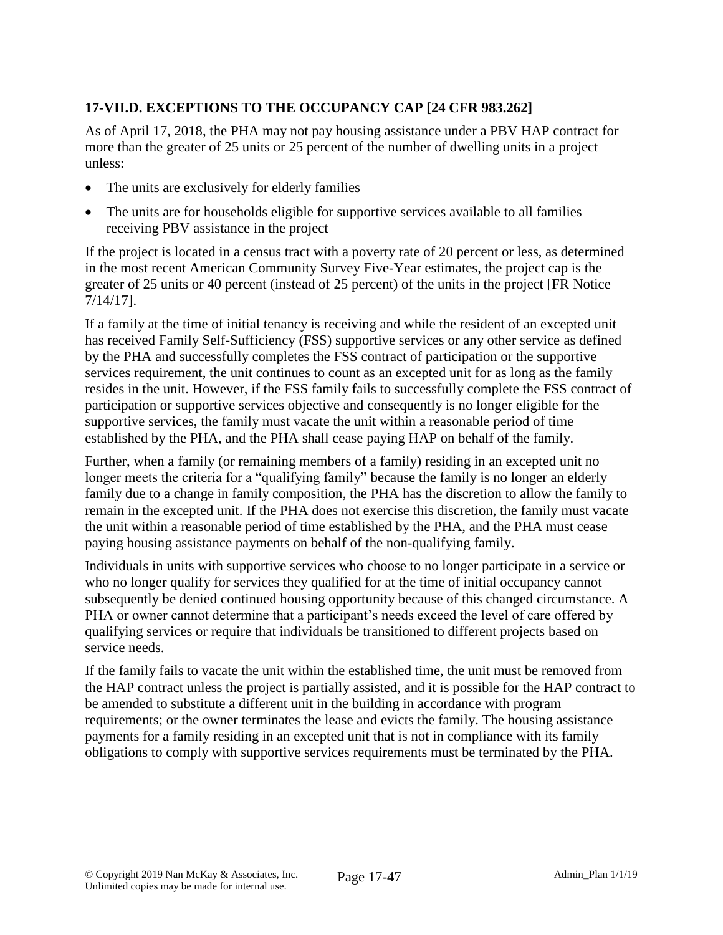# **17-VII.D. EXCEPTIONS TO THE OCCUPANCY CAP [24 CFR 983.262]**

As of April 17, 2018, the PHA may not pay housing assistance under a PBV HAP contract for more than the greater of 25 units or 25 percent of the number of dwelling units in a project unless:

- The units are exclusively for elderly families
- The units are for households eligible for supportive services available to all families receiving PBV assistance in the project

If the project is located in a census tract with a poverty rate of 20 percent or less, as determined in the most recent American Community Survey Five-Year estimates, the project cap is the greater of 25 units or 40 percent (instead of 25 percent) of the units in the project [FR Notice 7/14/17].

If a family at the time of initial tenancy is receiving and while the resident of an excepted unit has received Family Self-Sufficiency (FSS) supportive services or any other service as defined by the PHA and successfully completes the FSS contract of participation or the supportive services requirement, the unit continues to count as an excepted unit for as long as the family resides in the unit. However, if the FSS family fails to successfully complete the FSS contract of participation or supportive services objective and consequently is no longer eligible for the supportive services, the family must vacate the unit within a reasonable period of time established by the PHA, and the PHA shall cease paying HAP on behalf of the family.

Further, when a family (or remaining members of a family) residing in an excepted unit no longer meets the criteria for a "qualifying family" because the family is no longer an elderly family due to a change in family composition, the PHA has the discretion to allow the family to remain in the excepted unit. If the PHA does not exercise this discretion, the family must vacate the unit within a reasonable period of time established by the PHA, and the PHA must cease paying housing assistance payments on behalf of the non-qualifying family.

Individuals in units with supportive services who choose to no longer participate in a service or who no longer qualify for services they qualified for at the time of initial occupancy cannot subsequently be denied continued housing opportunity because of this changed circumstance. A PHA or owner cannot determine that a participant's needs exceed the level of care offered by qualifying services or require that individuals be transitioned to different projects based on service needs.

If the family fails to vacate the unit within the established time, the unit must be removed from the HAP contract unless the project is partially assisted, and it is possible for the HAP contract to be amended to substitute a different unit in the building in accordance with program requirements; or the owner terminates the lease and evicts the family. The housing assistance payments for a family residing in an excepted unit that is not in compliance with its family obligations to comply with supportive services requirements must be terminated by the PHA.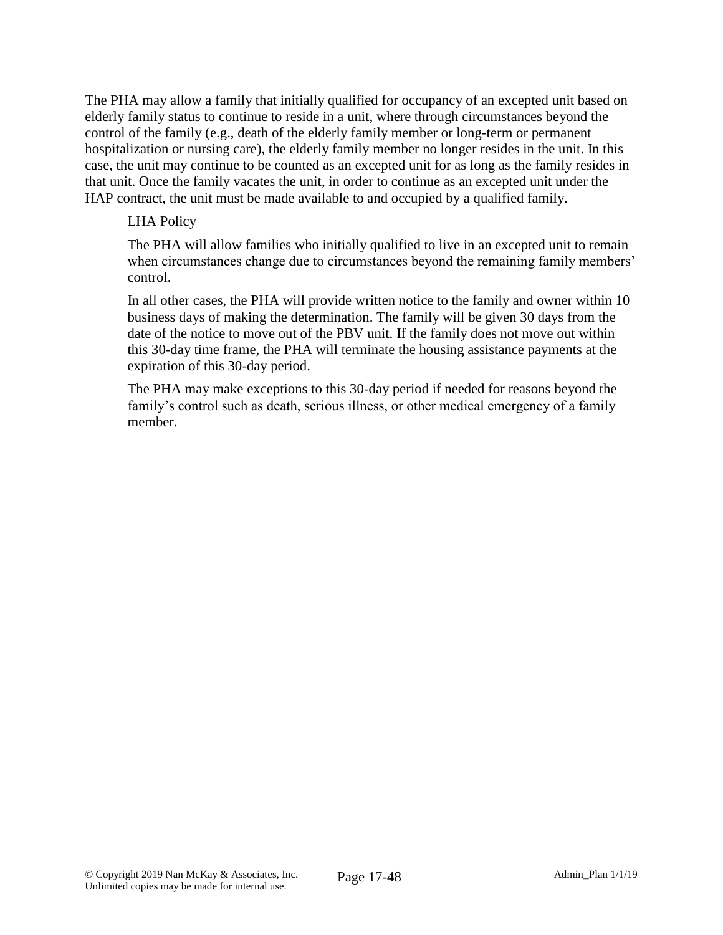The PHA may allow a family that initially qualified for occupancy of an excepted unit based on elderly family status to continue to reside in a unit, where through circumstances beyond the control of the family (e.g., death of the elderly family member or long-term or permanent hospitalization or nursing care), the elderly family member no longer resides in the unit. In this case, the unit may continue to be counted as an excepted unit for as long as the family resides in that unit. Once the family vacates the unit, in order to continue as an excepted unit under the HAP contract, the unit must be made available to and occupied by a qualified family.

#### LHA Policy

The PHA will allow families who initially qualified to live in an excepted unit to remain when circumstances change due to circumstances beyond the remaining family members' control.

In all other cases, the PHA will provide written notice to the family and owner within 10 business days of making the determination. The family will be given 30 days from the date of the notice to move out of the PBV unit. If the family does not move out within this 30-day time frame, the PHA will terminate the housing assistance payments at the expiration of this 30-day period.

The PHA may make exceptions to this 30-day period if needed for reasons beyond the family's control such as death, serious illness, or other medical emergency of a family member.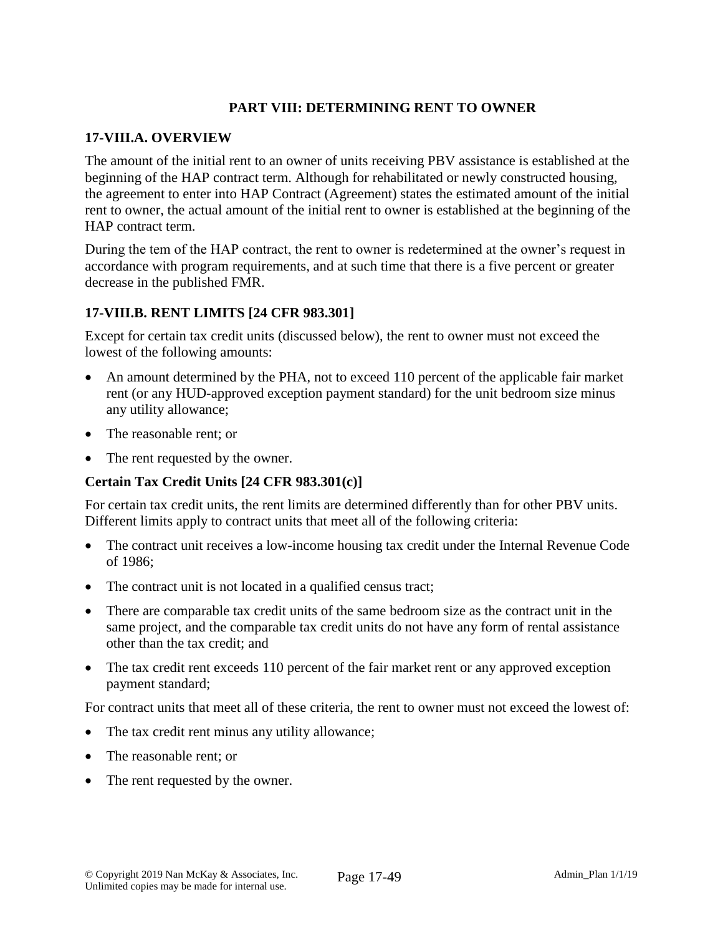# **PART VIII: DETERMINING RENT TO OWNER**

#### **17-VIII.A. OVERVIEW**

The amount of the initial rent to an owner of units receiving PBV assistance is established at the beginning of the HAP contract term. Although for rehabilitated or newly constructed housing, the agreement to enter into HAP Contract (Agreement) states the estimated amount of the initial rent to owner, the actual amount of the initial rent to owner is established at the beginning of the HAP contract term.

During the tem of the HAP contract, the rent to owner is redetermined at the owner's request in accordance with program requirements, and at such time that there is a five percent or greater decrease in the published FMR.

#### **17-VIII.B. RENT LIMITS [24 CFR 983.301]**

Except for certain tax credit units (discussed below), the rent to owner must not exceed the lowest of the following amounts:

- An amount determined by the PHA, not to exceed 110 percent of the applicable fair market rent (or any HUD-approved exception payment standard) for the unit bedroom size minus any utility allowance;
- The reasonable rent; or
- The rent requested by the owner.

#### **Certain Tax Credit Units [24 CFR 983.301(c)]**

For certain tax credit units, the rent limits are determined differently than for other PBV units. Different limits apply to contract units that meet all of the following criteria:

- The contract unit receives a low-income housing tax credit under the Internal Revenue Code of 1986;
- The contract unit is not located in a qualified census tract;
- There are comparable tax credit units of the same bedroom size as the contract unit in the same project, and the comparable tax credit units do not have any form of rental assistance other than the tax credit; and
- The tax credit rent exceeds 110 percent of the fair market rent or any approved exception payment standard;

For contract units that meet all of these criteria, the rent to owner must not exceed the lowest of:

- The tax credit rent minus any utility allowance;
- The reasonable rent: or
- The rent requested by the owner.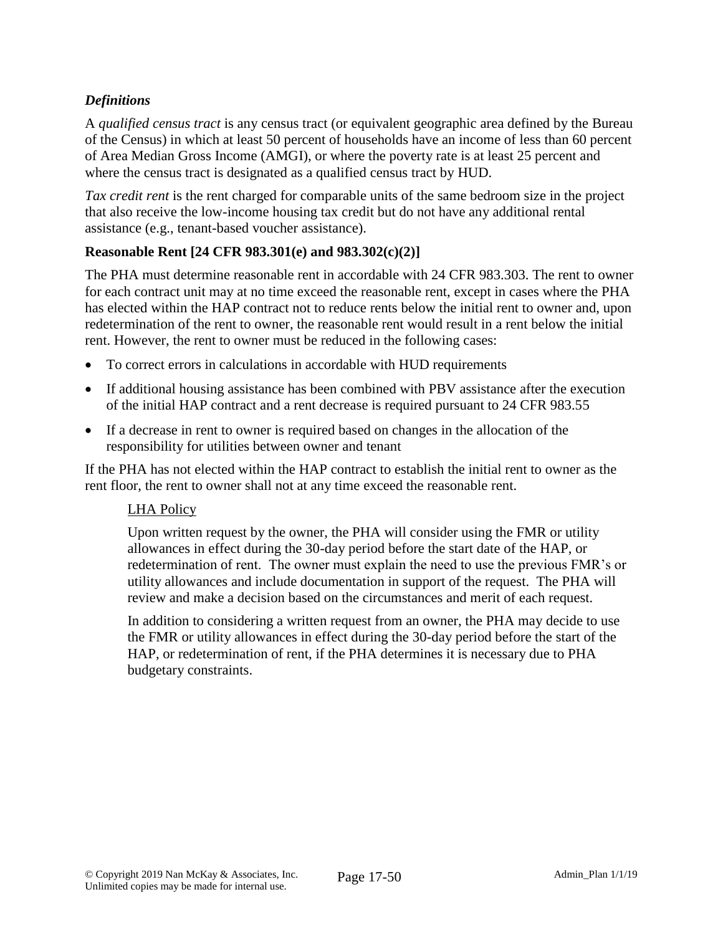# *Definitions*

A *qualified census tract* is any census tract (or equivalent geographic area defined by the Bureau of the Census) in which at least 50 percent of households have an income of less than 60 percent of Area Median Gross Income (AMGI), or where the poverty rate is at least 25 percent and where the census tract is designated as a qualified census tract by HUD.

*Tax credit rent* is the rent charged for comparable units of the same bedroom size in the project that also receive the low-income housing tax credit but do not have any additional rental assistance (e.g., tenant-based voucher assistance).

### **Reasonable Rent [24 CFR 983.301(e) and 983.302(c)(2)]**

The PHA must determine reasonable rent in accordable with 24 CFR 983.303. The rent to owner for each contract unit may at no time exceed the reasonable rent, except in cases where the PHA has elected within the HAP contract not to reduce rents below the initial rent to owner and, upon redetermination of the rent to owner, the reasonable rent would result in a rent below the initial rent. However, the rent to owner must be reduced in the following cases:

- To correct errors in calculations in accordable with HUD requirements
- If additional housing assistance has been combined with PBV assistance after the execution of the initial HAP contract and a rent decrease is required pursuant to 24 CFR 983.55
- If a decrease in rent to owner is required based on changes in the allocation of the responsibility for utilities between owner and tenant

If the PHA has not elected within the HAP contract to establish the initial rent to owner as the rent floor, the rent to owner shall not at any time exceed the reasonable rent.

### LHA Policy

Upon written request by the owner, the PHA will consider using the FMR or utility allowances in effect during the 30-day period before the start date of the HAP, or redetermination of rent. The owner must explain the need to use the previous FMR's or utility allowances and include documentation in support of the request. The PHA will review and make a decision based on the circumstances and merit of each request.

In addition to considering a written request from an owner, the PHA may decide to use the FMR or utility allowances in effect during the 30-day period before the start of the HAP, or redetermination of rent, if the PHA determines it is necessary due to PHA budgetary constraints.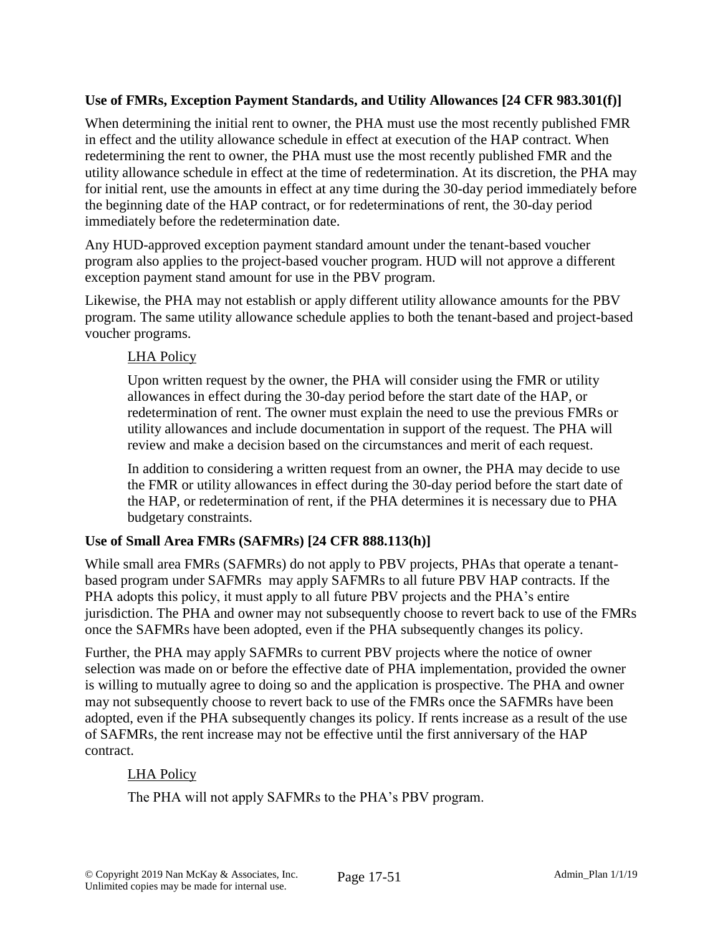# **Use of FMRs, Exception Payment Standards, and Utility Allowances [24 CFR 983.301(f)]**

When determining the initial rent to owner, the PHA must use the most recently published FMR in effect and the utility allowance schedule in effect at execution of the HAP contract. When redetermining the rent to owner, the PHA must use the most recently published FMR and the utility allowance schedule in effect at the time of redetermination. At its discretion, the PHA may for initial rent, use the amounts in effect at any time during the 30-day period immediately before the beginning date of the HAP contract, or for redeterminations of rent, the 30-day period immediately before the redetermination date.

Any HUD-approved exception payment standard amount under the tenant-based voucher program also applies to the project-based voucher program. HUD will not approve a different exception payment stand amount for use in the PBV program.

Likewise, the PHA may not establish or apply different utility allowance amounts for the PBV program. The same utility allowance schedule applies to both the tenant-based and project-based voucher programs.

# LHA Policy

Upon written request by the owner, the PHA will consider using the FMR or utility allowances in effect during the 30-day period before the start date of the HAP, or redetermination of rent. The owner must explain the need to use the previous FMRs or utility allowances and include documentation in support of the request. The PHA will review and make a decision based on the circumstances and merit of each request.

In addition to considering a written request from an owner, the PHA may decide to use the FMR or utility allowances in effect during the 30-day period before the start date of the HAP, or redetermination of rent, if the PHA determines it is necessary due to PHA budgetary constraints.

### **Use of Small Area FMRs (SAFMRs) [24 CFR 888.113(h)]**

While small area FMRs (SAFMRs) do not apply to PBV projects, PHAs that operate a tenantbased program under SAFMRs may apply SAFMRs to all future PBV HAP contracts. If the PHA adopts this policy, it must apply to all future PBV projects and the PHA's entire jurisdiction. The PHA and owner may not subsequently choose to revert back to use of the FMRs once the SAFMRs have been adopted, even if the PHA subsequently changes its policy.

Further, the PHA may apply SAFMRs to current PBV projects where the notice of owner selection was made on or before the effective date of PHA implementation, provided the owner is willing to mutually agree to doing so and the application is prospective. The PHA and owner may not subsequently choose to revert back to use of the FMRs once the SAFMRs have been adopted, even if the PHA subsequently changes its policy. If rents increase as a result of the use of SAFMRs, the rent increase may not be effective until the first anniversary of the HAP contract.

# LHA Policy

The PHA will not apply SAFMRs to the PHA's PBV program.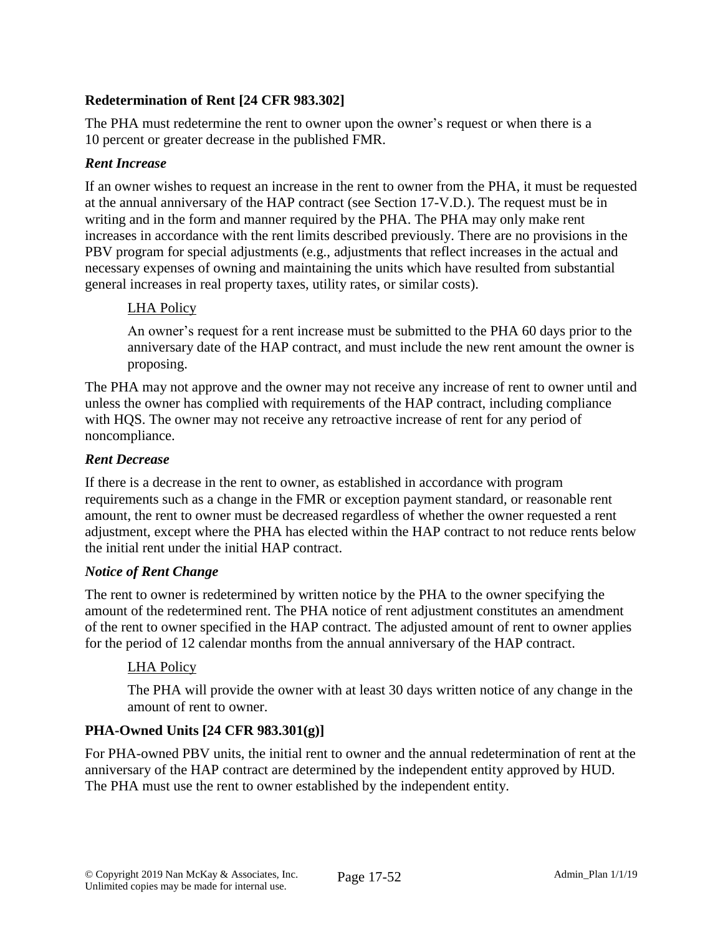# **Redetermination of Rent [24 CFR 983.302]**

The PHA must redetermine the rent to owner upon the owner's request or when there is a 10 percent or greater decrease in the published FMR.

#### *Rent Increase*

If an owner wishes to request an increase in the rent to owner from the PHA, it must be requested at the annual anniversary of the HAP contract (see Section 17-V.D.). The request must be in writing and in the form and manner required by the PHA. The PHA may only make rent increases in accordance with the rent limits described previously. There are no provisions in the PBV program for special adjustments (e.g., adjustments that reflect increases in the actual and necessary expenses of owning and maintaining the units which have resulted from substantial general increases in real property taxes, utility rates, or similar costs).

### LHA Policy

An owner's request for a rent increase must be submitted to the PHA 60 days prior to the anniversary date of the HAP contract, and must include the new rent amount the owner is proposing.

The PHA may not approve and the owner may not receive any increase of rent to owner until and unless the owner has complied with requirements of the HAP contract, including compliance with HQS. The owner may not receive any retroactive increase of rent for any period of noncompliance.

#### *Rent Decrease*

If there is a decrease in the rent to owner, as established in accordance with program requirements such as a change in the FMR or exception payment standard, or reasonable rent amount, the rent to owner must be decreased regardless of whether the owner requested a rent adjustment, except where the PHA has elected within the HAP contract to not reduce rents below the initial rent under the initial HAP contract.

### *Notice of Rent Change*

The rent to owner is redetermined by written notice by the PHA to the owner specifying the amount of the redetermined rent. The PHA notice of rent adjustment constitutes an amendment of the rent to owner specified in the HAP contract. The adjusted amount of rent to owner applies for the period of 12 calendar months from the annual anniversary of the HAP contract.

### LHA Policy

The PHA will provide the owner with at least 30 days written notice of any change in the amount of rent to owner.

### **PHA-Owned Units [24 CFR 983.301(g)]**

For PHA-owned PBV units, the initial rent to owner and the annual redetermination of rent at the anniversary of the HAP contract are determined by the independent entity approved by HUD. The PHA must use the rent to owner established by the independent entity.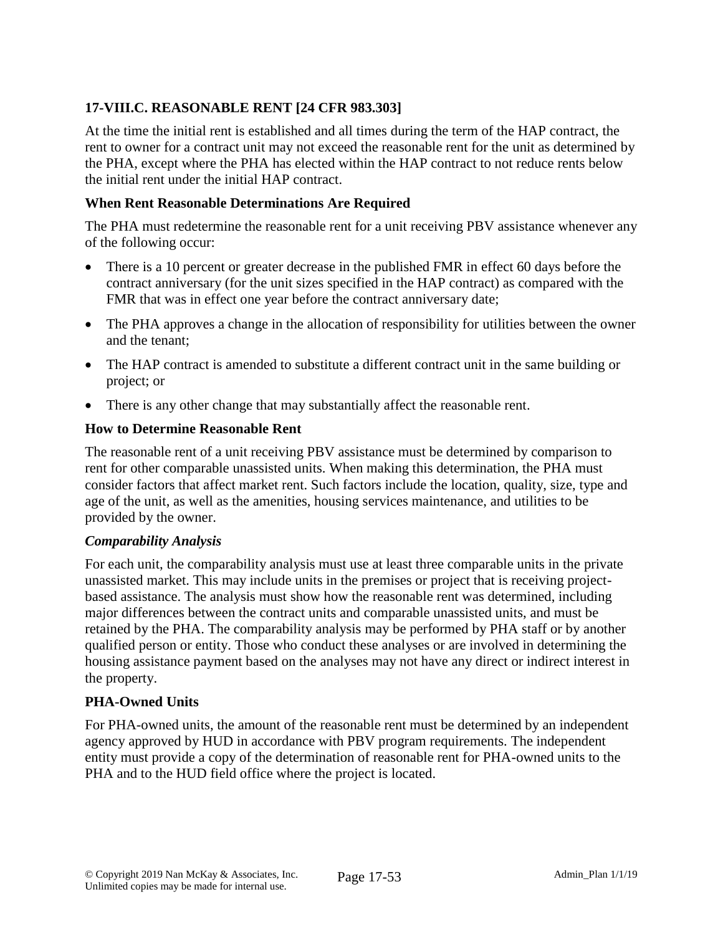# **17-VIII.C. REASONABLE RENT [24 CFR 983.303]**

At the time the initial rent is established and all times during the term of the HAP contract, the rent to owner for a contract unit may not exceed the reasonable rent for the unit as determined by the PHA, except where the PHA has elected within the HAP contract to not reduce rents below the initial rent under the initial HAP contract.

#### **When Rent Reasonable Determinations Are Required**

The PHA must redetermine the reasonable rent for a unit receiving PBV assistance whenever any of the following occur:

- There is a 10 percent or greater decrease in the published FMR in effect 60 days before the contract anniversary (for the unit sizes specified in the HAP contract) as compared with the FMR that was in effect one year before the contract anniversary date;
- The PHA approves a change in the allocation of responsibility for utilities between the owner and the tenant;
- The HAP contract is amended to substitute a different contract unit in the same building or project; or
- There is any other change that may substantially affect the reasonable rent.

#### **How to Determine Reasonable Rent**

The reasonable rent of a unit receiving PBV assistance must be determined by comparison to rent for other comparable unassisted units. When making this determination, the PHA must consider factors that affect market rent. Such factors include the location, quality, size, type and age of the unit, as well as the amenities, housing services maintenance, and utilities to be provided by the owner.

#### *Comparability Analysis*

For each unit, the comparability analysis must use at least three comparable units in the private unassisted market. This may include units in the premises or project that is receiving projectbased assistance. The analysis must show how the reasonable rent was determined, including major differences between the contract units and comparable unassisted units, and must be retained by the PHA. The comparability analysis may be performed by PHA staff or by another qualified person or entity. Those who conduct these analyses or are involved in determining the housing assistance payment based on the analyses may not have any direct or indirect interest in the property.

### **PHA-Owned Units**

For PHA-owned units, the amount of the reasonable rent must be determined by an independent agency approved by HUD in accordance with PBV program requirements. The independent entity must provide a copy of the determination of reasonable rent for PHA-owned units to the PHA and to the HUD field office where the project is located.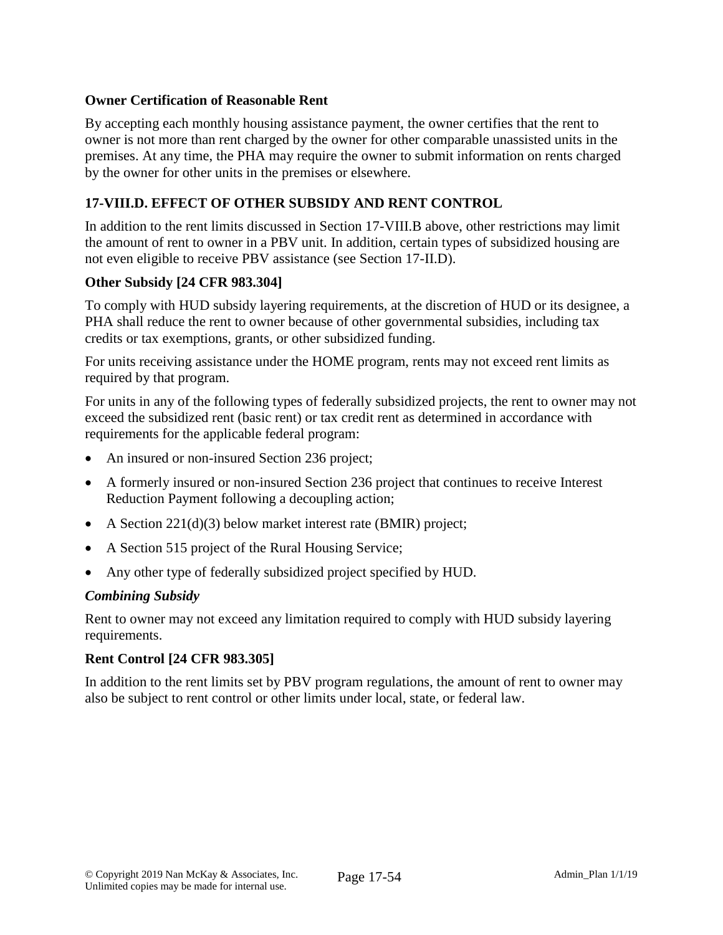#### **Owner Certification of Reasonable Rent**

By accepting each monthly housing assistance payment, the owner certifies that the rent to owner is not more than rent charged by the owner for other comparable unassisted units in the premises. At any time, the PHA may require the owner to submit information on rents charged by the owner for other units in the premises or elsewhere.

### **17-VIII.D. EFFECT OF OTHER SUBSIDY AND RENT CONTROL**

In addition to the rent limits discussed in Section 17-VIII.B above, other restrictions may limit the amount of rent to owner in a PBV unit. In addition, certain types of subsidized housing are not even eligible to receive PBV assistance (see Section 17-II.D).

#### **Other Subsidy [24 CFR 983.304]**

To comply with HUD subsidy layering requirements, at the discretion of HUD or its designee, a PHA shall reduce the rent to owner because of other governmental subsidies, including tax credits or tax exemptions, grants, or other subsidized funding.

For units receiving assistance under the HOME program, rents may not exceed rent limits as required by that program.

For units in any of the following types of federally subsidized projects, the rent to owner may not exceed the subsidized rent (basic rent) or tax credit rent as determined in accordance with requirements for the applicable federal program:

- An insured or non-insured Section 236 project;
- A formerly insured or non-insured Section 236 project that continues to receive Interest Reduction Payment following a decoupling action;
- A Section 221(d)(3) below market interest rate (BMIR) project;
- A Section 515 project of the Rural Housing Service;
- Any other type of federally subsidized project specified by HUD.

#### *Combining Subsidy*

Rent to owner may not exceed any limitation required to comply with HUD subsidy layering requirements.

### **Rent Control [24 CFR 983.305]**

In addition to the rent limits set by PBV program regulations, the amount of rent to owner may also be subject to rent control or other limits under local, state, or federal law.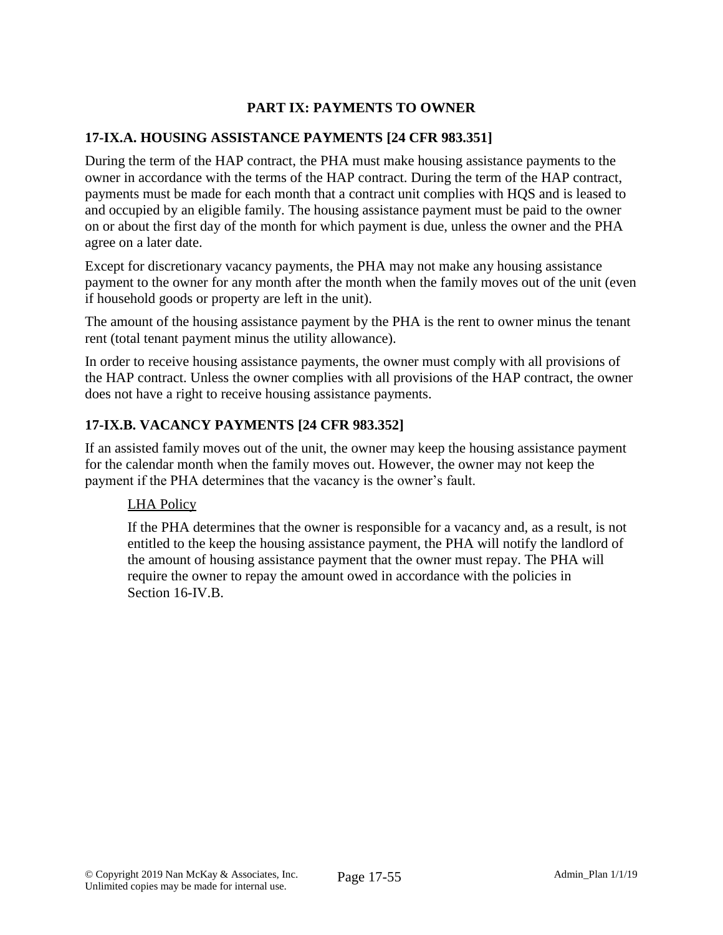# **PART IX: PAYMENTS TO OWNER**

### **17-IX.A. HOUSING ASSISTANCE PAYMENTS [24 CFR 983.351]**

During the term of the HAP contract, the PHA must make housing assistance payments to the owner in accordance with the terms of the HAP contract. During the term of the HAP contract, payments must be made for each month that a contract unit complies with HQS and is leased to and occupied by an eligible family. The housing assistance payment must be paid to the owner on or about the first day of the month for which payment is due, unless the owner and the PHA agree on a later date.

Except for discretionary vacancy payments, the PHA may not make any housing assistance payment to the owner for any month after the month when the family moves out of the unit (even if household goods or property are left in the unit).

The amount of the housing assistance payment by the PHA is the rent to owner minus the tenant rent (total tenant payment minus the utility allowance).

In order to receive housing assistance payments, the owner must comply with all provisions of the HAP contract. Unless the owner complies with all provisions of the HAP contract, the owner does not have a right to receive housing assistance payments.

# **17-IX.B. VACANCY PAYMENTS [24 CFR 983.352]**

If an assisted family moves out of the unit, the owner may keep the housing assistance payment for the calendar month when the family moves out. However, the owner may not keep the payment if the PHA determines that the vacancy is the owner's fault.

### LHA Policy

If the PHA determines that the owner is responsible for a vacancy and, as a result, is not entitled to the keep the housing assistance payment, the PHA will notify the landlord of the amount of housing assistance payment that the owner must repay. The PHA will require the owner to repay the amount owed in accordance with the policies in Section 16-IV.B.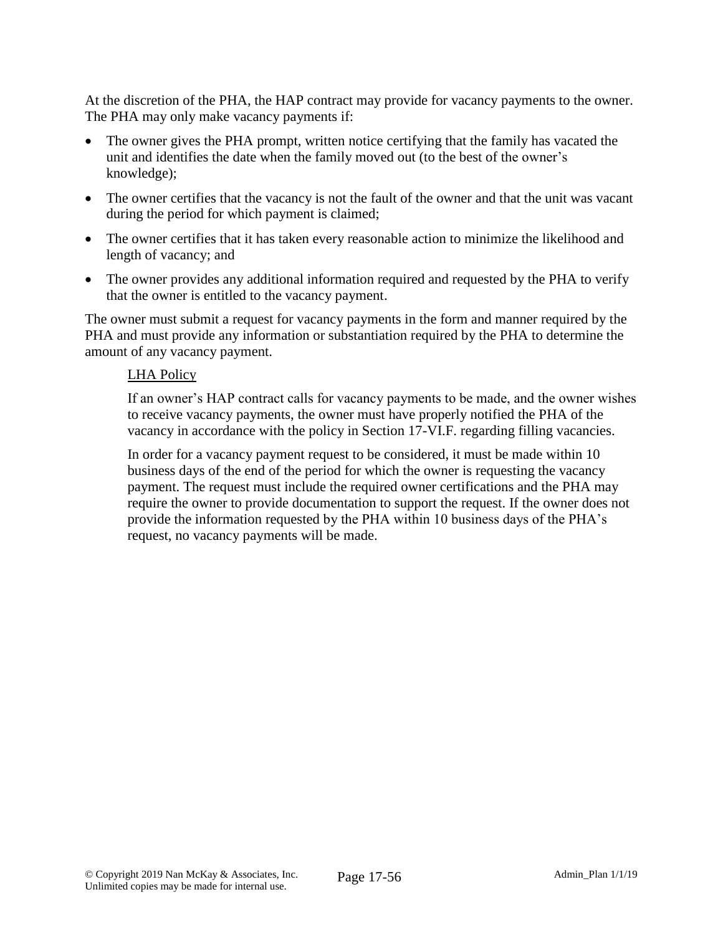At the discretion of the PHA, the HAP contract may provide for vacancy payments to the owner. The PHA may only make vacancy payments if:

- The owner gives the PHA prompt, written notice certifying that the family has vacated the unit and identifies the date when the family moved out (to the best of the owner's knowledge);
- The owner certifies that the vacancy is not the fault of the owner and that the unit was vacant during the period for which payment is claimed;
- The owner certifies that it has taken every reasonable action to minimize the likelihood and length of vacancy; and
- The owner provides any additional information required and requested by the PHA to verify that the owner is entitled to the vacancy payment.

The owner must submit a request for vacancy payments in the form and manner required by the PHA and must provide any information or substantiation required by the PHA to determine the amount of any vacancy payment.

#### LHA Policy

If an owner's HAP contract calls for vacancy payments to be made, and the owner wishes to receive vacancy payments, the owner must have properly notified the PHA of the vacancy in accordance with the policy in Section 17-VI.F. regarding filling vacancies.

In order for a vacancy payment request to be considered, it must be made within 10 business days of the end of the period for which the owner is requesting the vacancy payment. The request must include the required owner certifications and the PHA may require the owner to provide documentation to support the request. If the owner does not provide the information requested by the PHA within 10 business days of the PHA's request, no vacancy payments will be made.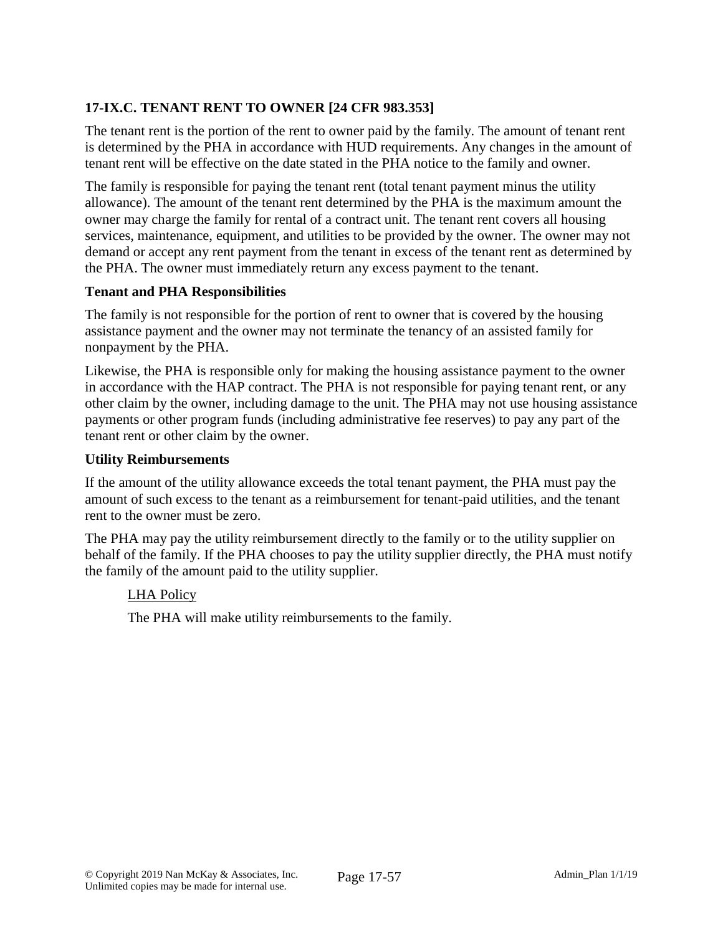# **17-IX.C. TENANT RENT TO OWNER [24 CFR 983.353]**

The tenant rent is the portion of the rent to owner paid by the family. The amount of tenant rent is determined by the PHA in accordance with HUD requirements. Any changes in the amount of tenant rent will be effective on the date stated in the PHA notice to the family and owner.

The family is responsible for paying the tenant rent (total tenant payment minus the utility allowance). The amount of the tenant rent determined by the PHA is the maximum amount the owner may charge the family for rental of a contract unit. The tenant rent covers all housing services, maintenance, equipment, and utilities to be provided by the owner. The owner may not demand or accept any rent payment from the tenant in excess of the tenant rent as determined by the PHA. The owner must immediately return any excess payment to the tenant.

#### **Tenant and PHA Responsibilities**

The family is not responsible for the portion of rent to owner that is covered by the housing assistance payment and the owner may not terminate the tenancy of an assisted family for nonpayment by the PHA.

Likewise, the PHA is responsible only for making the housing assistance payment to the owner in accordance with the HAP contract. The PHA is not responsible for paying tenant rent, or any other claim by the owner, including damage to the unit. The PHA may not use housing assistance payments or other program funds (including administrative fee reserves) to pay any part of the tenant rent or other claim by the owner.

#### **Utility Reimbursements**

If the amount of the utility allowance exceeds the total tenant payment, the PHA must pay the amount of such excess to the tenant as a reimbursement for tenant-paid utilities, and the tenant rent to the owner must be zero.

The PHA may pay the utility reimbursement directly to the family or to the utility supplier on behalf of the family. If the PHA chooses to pay the utility supplier directly, the PHA must notify the family of the amount paid to the utility supplier.

### LHA Policy

The PHA will make utility reimbursements to the family.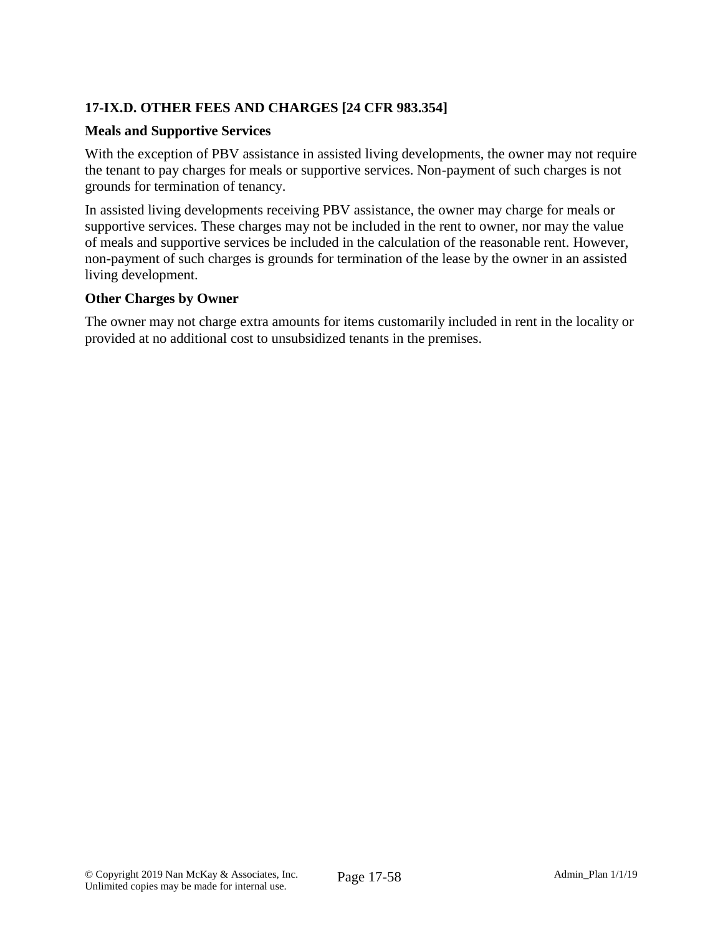# **17-IX.D. OTHER FEES AND CHARGES [24 CFR 983.354]**

#### **Meals and Supportive Services**

With the exception of PBV assistance in assisted living developments, the owner may not require the tenant to pay charges for meals or supportive services. Non-payment of such charges is not grounds for termination of tenancy.

In assisted living developments receiving PBV assistance, the owner may charge for meals or supportive services. These charges may not be included in the rent to owner, nor may the value of meals and supportive services be included in the calculation of the reasonable rent. However, non-payment of such charges is grounds for termination of the lease by the owner in an assisted living development.

#### **Other Charges by Owner**

The owner may not charge extra amounts for items customarily included in rent in the locality or provided at no additional cost to unsubsidized tenants in the premises.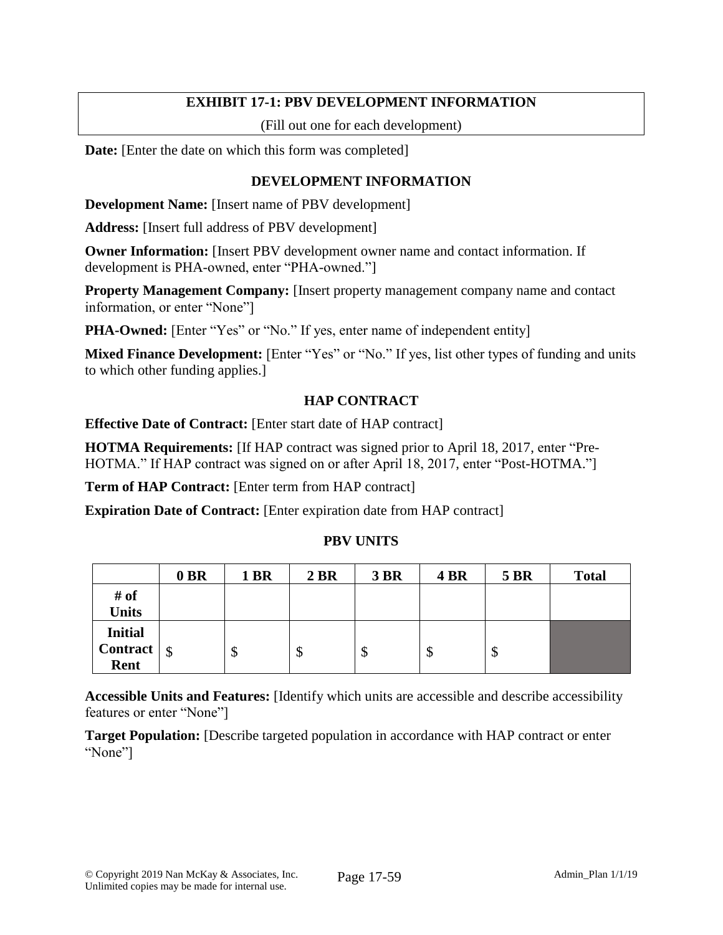### **EXHIBIT 17-1: PBV DEVELOPMENT INFORMATION**

(Fill out one for each development)

**Date:** [Enter the date on which this form was completed]

### **DEVELOPMENT INFORMATION**

**Development Name:** [Insert name of PBV development]

**Address:** [Insert full address of PBV development]

**Owner Information:** [Insert PBV development owner name and contact information. If development is PHA-owned, enter "PHA-owned."]

**Property Management Company:** [Insert property management company name and contact information, or enter "None"]

**PHA-Owned:** [Enter "Yes" or "No." If yes, enter name of independent entity]

Mixed Finance Development: [Enter "Yes" or "No." If yes, list other types of funding and units to which other funding applies.]

# **HAP CONTRACT**

**Effective Date of Contract:** [Enter start date of HAP contract]

**HOTMA Requirements:** [If HAP contract was signed prior to April 18, 2017, enter "Pre-HOTMA." If HAP contract was signed on or after April 18, 2017, enter "Post-HOTMA."]

**Term of HAP Contract:** [Enter term from HAP contract]

**Expiration Date of Contract:** [Enter expiration date from HAP contract]

# **PBV UNITS**

|                 | 0 BR | <b>1 BR</b> | 2 BR | <b>3 BR</b> | 4 BR | <b>5 BR</b> | <b>Total</b> |
|-----------------|------|-------------|------|-------------|------|-------------|--------------|
| # of            |      |             |      |             |      |             |              |
| <b>Units</b>    |      |             |      |             |      |             |              |
| <b>Initial</b>  |      |             |      |             |      |             |              |
| <b>Contract</b> | ∣\$  | Φ           | Φ    | Φ           | ◡    | Φ           |              |
| Rent            |      |             |      |             |      |             |              |

**Accessible Units and Features:** [Identify which units are accessible and describe accessibility features or enter "None"]

**Target Population:** [Describe targeted population in accordance with HAP contract or enter "None"]